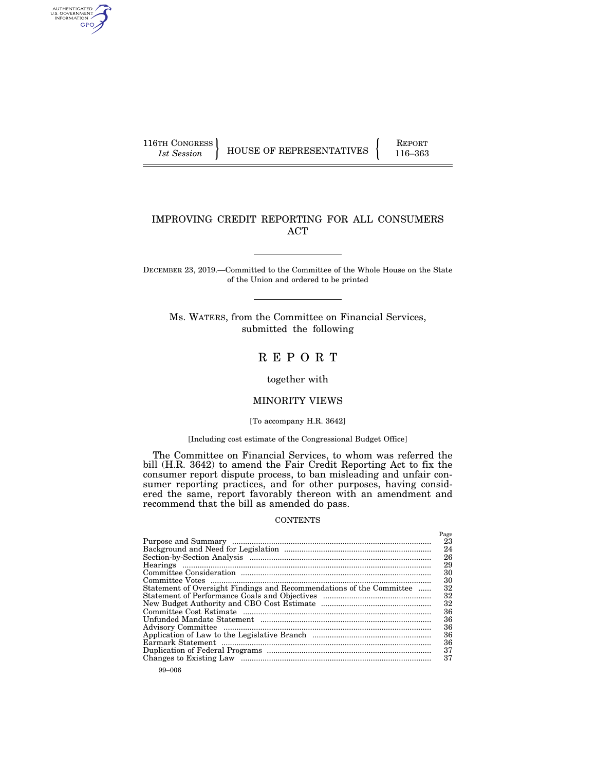AUTHENTICATED<br>U.S. GOVERNMENT<br>INFORMATION GPO

116TH CONGRESS HOUSE OF REPRESENTATIVES FEPORT 116–363

# IMPROVING CREDIT REPORTING FOR ALL CONSUMERS ACT

DECEMBER 23, 2019.—Committed to the Committee of the Whole House on the State of the Union and ordered to be printed

Ms. WATERS, from the Committee on Financial Services, submitted the following

# R E P O R T

together with

## MINORITY VIEWS

#### [To accompany H.R. 3642]

## [Including cost estimate of the Congressional Budget Office]

The Committee on Financial Services, to whom was referred the bill (H.R. 3642) to amend the Fair Credit Reporting Act to fix the consumer report dispute process, to ban misleading and unfair consumer reporting practices, and for other purposes, having considered the same, report favorably thereon with an amendment and recommend that the bill as amended do pass.

## **CONTENTS**

|                                                                      | Page |
|----------------------------------------------------------------------|------|
|                                                                      | 23   |
|                                                                      | 24   |
|                                                                      | 26   |
|                                                                      | 29   |
|                                                                      | 30   |
|                                                                      | 30   |
| Statement of Oversight Findings and Recommendations of the Committee | 32   |
|                                                                      | 32   |
|                                                                      | 32   |
|                                                                      | 36   |
|                                                                      | 36   |
|                                                                      | 36   |
|                                                                      | 36   |
|                                                                      | 36   |
|                                                                      | 37   |
|                                                                      | 37   |
|                                                                      |      |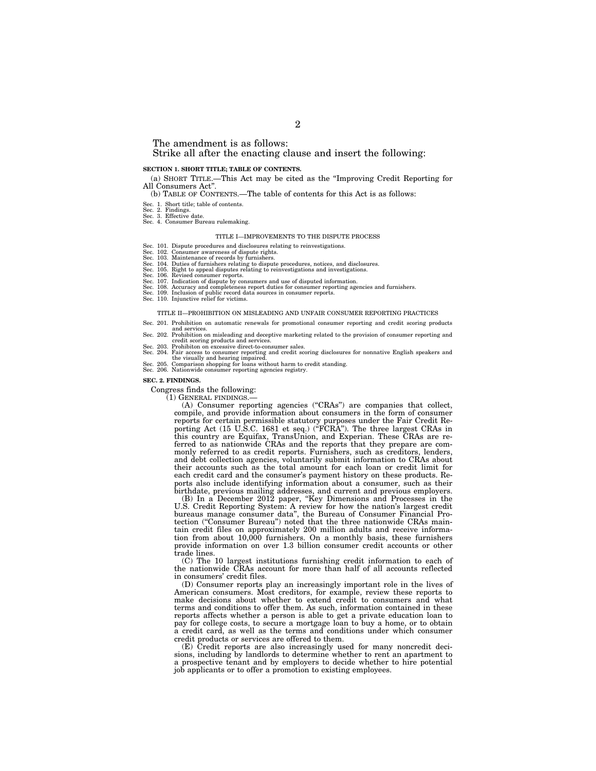The amendment is as follows:

## Strike all after the enacting clause and insert the following:

#### **SECTION 1. SHORT TITLE; TABLE OF CONTENTS.**

(a) SHORT TITLE.—This Act may be cited as the ''Improving Credit Reporting for All Consumers Act''.

(b) TABLE OF CONTENTS.—The table of contents for this Act is as follows:

- Sec. 1. Short title; table of contents. Sec. 2. Findings. Sec. 3. Effective date.
- 
- Sec. 4. Consumer Bureau rulemaking.

#### TITLE I—IMPROVEMENTS TO THE DISPUTE PROCESS

- 
- 
- 
- 
- 
- 
- Sec. 101. Dispute procedures and disclosures relating to reinvestigations.<br>Sec. 102. Consumer awareness of dispute rights.<br>Sec. 103. Maintenance of records by furnishers.<br>Sec. 104. Duties of furnishers relating to dispute
- 
- 

#### TITLE II—PROHIBITION ON MISLEADING AND UNFAIR CONSUMER REPORTING PRACTICES

- Sec. 201. Prohibition on automatic renewals for promotional consumer reporting and credit scoring products
- and services. Sec. 202. Prohibition on misleading and deceptive marketing related to the provision of consumer reporting and
- credit scoring products and services.<br>
Sec. 203. Prohibiton on excessive direct-to-consumer sales.<br>
Sec. 204. Fair access to consumer reporting and credit scoring disclosures for nonnative English speakers and<br>
the visuall
- 
- 

#### **SEC. 2. FINDINGS.**

Congress finds the following:

(1) GENERAL FINDINGS.—

(A) Consumer reporting agencies ("CRAs") are companies that collect, compile, and provide information about consumers in the form of consumer reports for certain permissible statutory purposes under the Fair Credit Reporting Act (15 U.S.C. 1681 et seq.) (''FCRA''). The three largest CRAs in this country are Equifax, TransUnion, and Experian. These CRAs are referred to as nationwide CRAs and the reports that they prepare are commonly referred to as credit reports. Furnishers, such as creditors, lenders, and debt collection agencies, voluntarily submit information to CRAs about their accounts such as the total amount for each loan or credit limit for each credit card and the consumer's payment history on these products. Reports also include identifying information about a consumer, such as their birthdate, previous mailing addresses, and current and previous employers.

(B) In a December 2012 paper, ''Key Dimensions and Processes in the U.S. Credit Reporting System: A review for how the nation's largest credit bureaus manage consumer data'', the Bureau of Consumer Financial Protection (''Consumer Bureau'') noted that the three nationwide CRAs maintain credit files on approximately 200 million adults and receive information from about 10,000 furnishers. On a monthly basis, these furnishers provide information on over 1.3 billion consumer credit accounts or other trade lines.

(C) The 10 largest institutions furnishing credit information to each of the nationwide CRAs account for more than half of all accounts reflected in consumers' credit files.

(D) Consumer reports play an increasingly important role in the lives of American consumers. Most creditors, for example, review these reports to make decisions about whether to extend credit to consumers and what terms and conditions to offer them. As such, information contained in these reports affects whether a person is able to get a private education loan to pay for college costs, to secure a mortgage loan to buy a home, or to obtain a credit card, as well as the terms and conditions under which consumer

credit products or services are offered to them. (E) Credit reports are also increasingly used for many noncredit decisions, including by landlords to determine whether to rent an apartment to a prospective tenant and by employers to decide whether to hire potential job applicants or to offer a promotion to existing employees.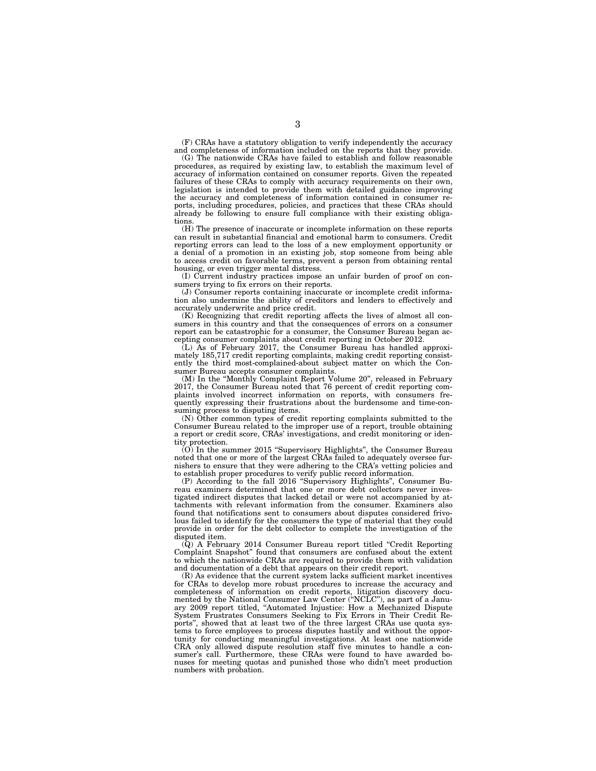(F) CRAs have a statutory obligation to verify independently the accuracy and completeness of information included on the reports that they provide.

(G) The nationwide CRAs have failed to establish and follow reasonable procedures, as required by existing law, to establish the maximum level of accuracy of information contained on consumer reports. Given the repeated failures of these CRAs to comply with accuracy requirements on their own, legislation is intended to provide them with detailed guidance improving the accuracy and completeness of information contained in consumer reports, including procedures, policies, and practices that these CRAs should already be following to ensure full compliance with their existing obligations.

(H) The presence of inaccurate or incomplete information on these reports can result in substantial financial and emotional harm to consumers. Credit reporting errors can lead to the loss of a new employment opportunity or a denial of a promotion in an existing job, stop someone from being able to access credit on favorable terms, prevent a person from obtaining rental housing, or even trigger mental distress.

(I) Current industry practices impose an unfair burden of proof on consumers trying to fix errors on their reports.

(J) Consumer reports containing inaccurate or incomplete credit information also undermine the ability of creditors and lenders to effectively and accurately underwrite and price credit.

(K) Recognizing that credit reporting affects the lives of almost all consumers in this country and that the consequences of errors on a consumer report can be catastrophic for a consumer, the Consumer Bureau began accepting consumer complaints about credit reporting in October 2012.

(L) As of February 2017, the Consumer Bureau has handled approximately 185,717 credit reporting complaints, making credit reporting consistently the third most-complained-about subject matter on which the Consumer Bureau accepts consumer complaints.

(M) In the ''Monthly Complaint Report Volume 20'', released in February 2017, the Consumer Bureau noted that 76 percent of credit reporting complaints involved incorrect information on reports, with consumers frequently expressing their frustrations about the burdensome and time-consuming process to disputing items.

(N) Other common types of credit reporting complaints submitted to the Consumer Bureau related to the improper use of a report, trouble obtaining a report or credit score, CRAs' investigations, and credit monitoring or identity protection.

 $(0)$  In the summer 2015 "Supervisory Highlights", the Consumer Bureau noted that one or more of the largest CRAs failed to adequately oversee furnishers to ensure that they were adhering to the CRA's vetting policies and to establish proper procedures to verify public record information.

(P) According to the fall 2016 ''Supervisory Highlights'', Consumer Bureau examiners determined that one or more debt collectors never investigated indirect disputes that lacked detail or were not accompanied by attachments with relevant information from the consumer. Examiners also found that notifications sent to consumers about disputes considered frivolous failed to identify for the consumers the type of material that they could provide in order for the debt collector to complete the investigation of the disputed item.

(Q) A February 2014 Consumer Bureau report titled ''Credit Reporting Complaint Snapshot'' found that consumers are confused about the extent to which the nationwide CRAs are required to provide them with validation and documentation of a debt that appears on their credit report.

(R) As evidence that the current system lacks sufficient market incentives for CRAs to develop more robust procedures to increase the accuracy and completeness of information on credit reports, litigation discovery documented by the National Consumer Law Center (''NCLC''), as part of a January 2009 report titled, ''Automated Injustice: How a Mechanized Dispute System Frustrates Consumers Seeking to Fix Errors in Their Credit Reports'', showed that at least two of the three largest CRAs use quota systems to force employees to process disputes hastily and without the opportunity for conducting meaningful investigations. At least one nationwide CRA only allowed dispute resolution staff five minutes to handle a consumer's call. Furthermore, these CRAs were found to have awarded bonuses for meeting quotas and punished those who didn't meet production numbers with probation.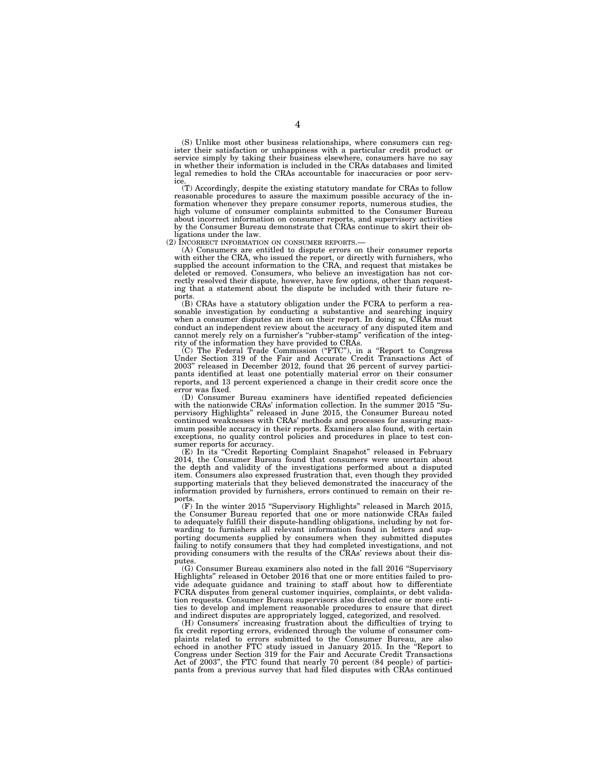(S) Unlike most other business relationships, where consumers can register their satisfaction or unhappiness with a particular credit product or service simply by taking their business elsewhere, consumers have no say in whether their information is included in the CRAs databases and limited legal remedies to hold the CRAs accountable for inaccuracies or poor service.

(T) Accordingly, despite the existing statutory mandate for CRAs to follow reasonable procedures to assure the maximum possible accuracy of the information whenever they prepare consumer reports, numerous studies, the high volume of consumer complaints submitted to the Consumer Bureau about incorrect information on consumer reports, and supervisory activities by the Consumer Bureau demonstrate that CRAs continue to skirt their obligations under the law.<br>(2) INCORRECT INFORMATION ON CONSUMER REPORTS.

(A) Consumers are entitled to dispute errors on their consumer reports with either the CRA, who issued the report, or directly with furnishers, who supplied the account information to the CRA, and request that mistakes be deleted or removed. Consumers, who believe an investigation has not cor-rectly resolved their dispute, however, have few options, other than requesting that a statement about the dispute be included with their future reports.

(B) CRAs have a statutory obligation under the FCRA to perform a reasonable investigation by conducting a substantive and searching inquiry when a consumer disputes an item on their report. In doing so, CRAs must conduct an independent review about the accuracy of any disputed item and cannot merely rely on a furnisher's "rubber-stamp" verification of the integrity of the information they have provided to CRAs.

(C) The Federal Trade Commission (''FTC''), in a ''Report to Congress Under Section 319 of the Fair and Accurate Credit Transactions Act of 2003'' released in December 2012, found that 26 percent of survey participants identified at least one potentially material error on their consumer reports, and 13 percent experienced a change in their credit score once the error was fixed.

(D) Consumer Bureau examiners have identified repeated deficiencies with the nationwide CRAs' information collection. In the summer 2015 ''Supervisory Highlights'' released in June 2015, the Consumer Bureau noted continued weaknesses with CRAs' methods and processes for assuring maximum possible accuracy in their reports. Examiners also found, with certain exceptions, no quality control policies and procedures in place to test consumer reports for accuracy.

(E) In its ''Credit Reporting Complaint Snapshot'' released in February 2014, the Consumer Bureau found that consumers were uncertain about the depth and validity of the investigations performed about a disputed item. Consumers also expressed frustration that, even though they provided supporting materials that they believed demonstrated the inaccuracy of the information provided by furnishers, errors continued to remain on their reports.

(F) In the winter 2015 ''Supervisory Highlights'' released in March 2015, the Consumer Bureau reported that one or more nationwide CRAs failed to adequately fulfill their dispute-handling obligations, including by not forwarding to furnishers all relevant information found in letters and supporting documents supplied by consumers when they submitted disputes failing to notify consumers that they had completed investigations, and not providing consumers with the results of the CRAs' reviews about their disputes.

(G) Consumer Bureau examiners also noted in the fall 2016 ''Supervisory Highlights'' released in October 2016 that one or more entities failed to provide adequate guidance and training to staff about how to differentiate FCRA disputes from general customer inquiries, complaints, or debt validation requests. Consumer Bureau supervisors also directed one or more entities to develop and implement reasonable procedures to ensure that direct and indirect disputes are appropriately logged, categorized, and resolved.

(H) Consumers' increasing frustration about the difficulties of trying to fix credit reporting errors, evidenced through the volume of consumer complaints related to errors submitted to the Consumer Bureau, are also echoed in another FTC study issued in January 2015. In the ''Report to Congress under Section 319 for the Fair and Accurate Credit Transactions Act of 2003'', the FTC found that nearly 70 percent (84 people) of participants from a previous survey that had filed disputes with CRAs continued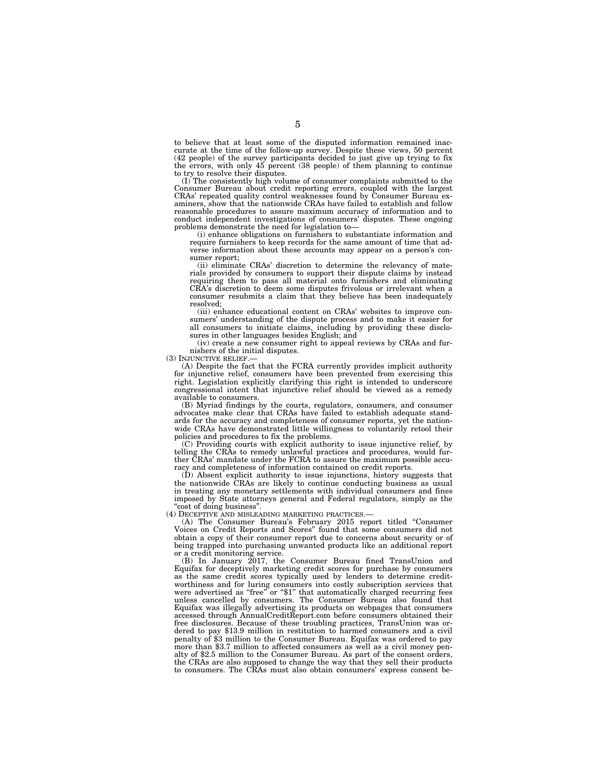to believe that at least some of the disputed information remained inaccurate at the time of the follow-up survey. Despite these views, 50 percent (42 people) of the survey participants decided to just give up trying to fix the errors, with only 45 percent (38 people) of them planning to continue to try to resolve their disputes.

(I) The consistently high volume of consumer complaints submitted to the Consumer Bureau about credit reporting errors, coupled with the largest CRAs' repeated quality control weaknesses found by Consumer Bureau examiners, show that the nationwide CRAs have failed to establish and follow reasonable procedures to assure maximum accuracy of information and to conduct independent investigations of consumers' disputes. These ongoing problems demonstrate the need for legislation to—

(i) enhance obligations on furnishers to substantiate information and require furnishers to keep records for the same amount of time that ad-verse information about these accounts may appear on a person's consumer report;

(ii) eliminate CRAs' discretion to determine the relevancy of materials provided by consumers to support their dispute claims by instead requiring them to pass all material onto furnishers and eliminating CRA's discretion to deem some disputes frivolous or irrelevant when a consumer resubmits a claim that they believe has been inadequately resolved;

(iii) enhance educational content on CRAs' websites to improve consumers' understanding of the dispute process and to make it easier for all consumers to initiate claims, including by providing these disclosures in other languages besides English; and

(iv) create a new consumer right to appeal reviews by CRAs and furnishers of the initial disputes.

(3) INJUNCTIVE RELIEF.—

(A) Despite the fact that the FCRA currently provides implicit authority for injunctive relief, consumers have been prevented from exercising this right. Legislation explicitly clarifying this right is intended to underscore congressional intent that injunctive relief should be viewed as a remedy available to consumers.

(B) Myriad findings by the courts, regulators, consumers, and consumer advocates make clear that CRAs have failed to establish adequate standards for the accuracy and completeness of consumer reports, yet the nationwide CRAs have demonstrated little willingness to voluntarily retool their policies and procedures to fix the problems.

(C) Providing courts with explicit authority to issue injunctive relief, by telling the CRAs to remedy unlawful practices and procedures, would further CRAs' mandate under the FCRA to assure the maximum possible accuracy and completeness of information contained on credit reports.

(D) Absent explicit authority to issue injunctions, history suggests that the nationwide CRAs are likely to continue conducting business as usual in treating any monetary settlements with individual consumers and fines imposed by State attorneys general and Federal regulators, simply as the 'cost of doing business".

(4) DECEPTIVE AND MISLEADING MARKETING PRACTICES.—

(A) The Consumer Bureau's February 2015 report titled ''Consumer Voices on Credit Reports and Scores'' found that some consumers did not obtain a copy of their consumer report due to concerns about security or of being trapped into purchasing unwanted products like an additional report or a credit monitoring service.

(B) In January 2017, the Consumer Bureau fined TransUnion and Equifax for deceptively marketing credit scores for purchase by consumers as the same credit scores typically used by lenders to determine creditworthiness and for luring consumers into costly subscription services that were advertised as "free" or "\$1" that automatically charged recurring fees unless cancelled by consumers. The Consumer Bureau also found that Equifax was illegally advertising its products on webpages that consumers accessed through AnnualCreditReport.com before consumers obtained their free disclosures. Because of these troubling practices, TransUnion was ordered to pay \$13.9 million in restitution to harmed consumers and a civil penalty of \$3 million to the Consumer Bureau. Equifax was ordered to pay more than \$3.7 million to affected consumers as well as a civil money penalty of \$2.5 million to the Consumer Bureau. As part of the consent orders, the CRAs are also supposed to change the way that they sell their products to consumers. The CRAs must also obtain consumers' express consent be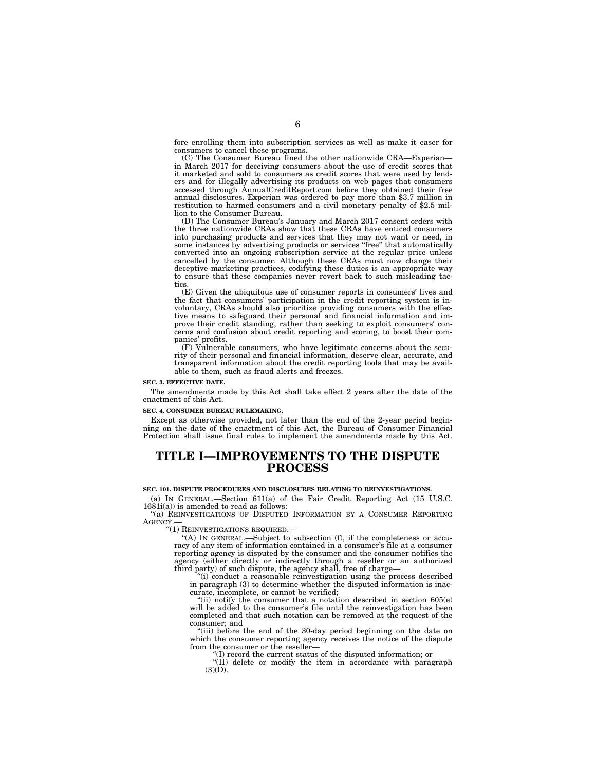fore enrolling them into subscription services as well as make it easer for consumers to cancel these programs.

(C) The Consumer Bureau fined the other nationwide CRA—Experian in March 2017 for deceiving consumers about the use of credit scores that it marketed and sold to consumers as credit scores that were used by lenders and for illegally advertising its products on web pages that consumers accessed through AnnualCreditReport.com before they obtained their free annual disclosures. Experian was ordered to pay more than \$3.7 million in restitution to harmed consumers and a civil monetary penalty of \$2.5 million to the Consumer Bureau.

(D) The Consumer Bureau's January and March 2017 consent orders with the three nationwide CRAs show that these CRAs have enticed consumers into purchasing products and services that they may not want or need, in some instances by advertising products or services "free" that automatically converted into an ongoing subscription service at the regular price unless cancelled by the consumer. Although these CRAs must now change their deceptive marketing practices, codifying these duties is an appropriate way to ensure that these companies never revert back to such misleading tactics.

(E) Given the ubiquitous use of consumer reports in consumers' lives and the fact that consumers' participation in the credit reporting system is involuntary, CRAs should also prioritize providing consumers with the effective means to safeguard their personal and financial information and improve their credit standing, rather than seeking to exploit consumers' concerns and confusion about credit reporting and scoring, to boost their companies' profits.

(F) Vulnerable consumers, who have legitimate concerns about the security of their personal and financial information, deserve clear, accurate, and transparent information about the credit reporting tools that may be available to them, such as fraud alerts and freezes.

#### **SEC. 3. EFFECTIVE DATE.**

The amendments made by this Act shall take effect 2 years after the date of the enactment of this Act.

#### **SEC. 4. CONSUMER BUREAU RULEMAKING.**

Except as otherwise provided, not later than the end of the 2-year period beginning on the date of the enactment of this Act, the Bureau of Consumer Financial Protection shall issue final rules to implement the amendments made by this Act.

# **TITLE I—IMPROVEMENTS TO THE DISPUTE PROCESS**

#### **SEC. 101. DISPUTE PROCEDURES AND DISCLOSURES RELATING TO REINVESTIGATIONS.**

(a) IN GENERAL.—Section 611(a) of the Fair Credit Reporting Act (15 U.S.C. 1681i(a)) is amended to read as follows:

''(a) REINVESTIGATIONS OF DISPUTED INFORMATION BY A CONSUMER REPORTING AGENCY.—

''(1) REINVESTIGATIONS REQUIRED.—

''(A) IN GENERAL.—Subject to subsection (f), if the completeness or accuracy of any item of information contained in a consumer's file at a consumer reporting agency is disputed by the consumer and the consumer notifies the agency (either directly or indirectly through a reseller or an authorized third party) of such dispute, the agency shall, free of charge—

(i) conduct a reasonable reinvestigation using the process described in paragraph (3) to determine whether the disputed information is inaccurate, incomplete, or cannot be verified;

 $'(ii)$  notify the consumer that a notation described in section 605 $(e)$ will be added to the consumer's file until the reinvestigation has been completed and that such notation can be removed at the request of the consumer; and

''(iii) before the end of the 30-day period beginning on the date on which the consumer reporting agency receives the notice of the dispute from the consumer or the reseller—

''(I) record the current status of the disputed information; or

''(II) delete or modify the item in accordance with paragraph  $(3)(D)$ .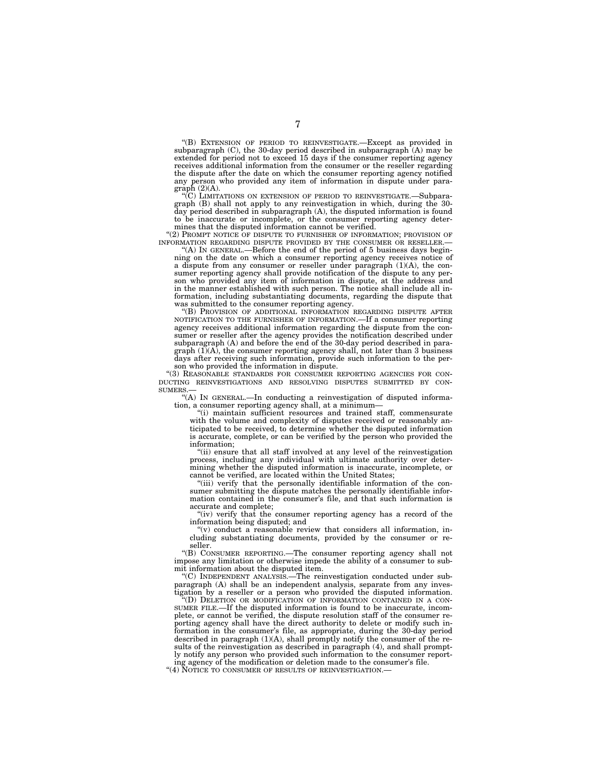''(B) EXTENSION OF PERIOD TO REINVESTIGATE.—Except as provided in subparagraph (C), the 30-day period described in subparagraph (A) may be extended for period not to exceed 15 days if the consumer reporting agency receives additional information from the consumer or the reseller regarding the dispute after the date on which the consumer reporting agency notified any person who provided any item of information in dispute under para-

graph (2)(A).<br>"(C) LIMITATIONS ON EXTENSION OF PERIOD TO REINVESTIGATE.—Subparagraph (B) shall not apply to any reinvestigation in which, during the 30 day period described in subparagraph (A), the disputed information is found to be inaccurate or incomplete, or the consumer reporting agency determines that the disputed information cannot be verified.

''(2) PROMPT NOTICE OF DISPUTE TO FURNISHER OF INFORMATION; PROVISION OF INFORMATION REGARDING DISPUTE PROVIDED BY THE CONSUMER OR RESELLER.— ''(A) IN GENERAL.—Before the end of the period of 5 business days begin-

ning on the date on which a consumer reporting agency receives notice of a dispute from any consumer or reseller under paragraph (1)(A), the consumer reporting agency shall provide notification of the dispute to any per-son who provided any item of information in dispute, at the address and in the manner established with such person. The notice shall include all in-formation, including substantiating documents, regarding the dispute that was submitted to the consumer reporting agency.

''(B) PROVISION OF ADDITIONAL INFORMATION REGARDING DISPUTE AFTER NOTIFICATION TO THE FURNISHER OF INFORMATION.—If a consumer reporting agency receives additional information regarding the dispute from the consumer or reseller after the agency provides the notification described under subparagraph (A) and before the end of the 30-day period described in paragraph  $(1)(A)$ , the consumer reporting agency shall, not later than 3 business days after receiving such information, provide such information to the person who provided the information in dispute.

''(3) REASONABLE STANDARDS FOR CONSUMER REPORTING AGENCIES FOR CON- DUCTING REINVESTIGATIONS AND RESOLVING DISPUTES SUBMITTED BY CON-SUMERS.—

''(A) IN GENERAL.—In conducting a reinvestigation of disputed information, a consumer reporting agency shall, at a minimum—

''(i) maintain sufficient resources and trained staff, commensurate with the volume and complexity of disputes received or reasonably anticipated to be received, to determine whether the disputed information is accurate, complete, or can be verified by the person who provided the information;

"(ii) ensure that all staff involved at any level of the reinvestigation process, including any individual with ultimate authority over determining whether the disputed information is inaccurate, incomplete, or cannot be verified, are located within the United States;

''(iii) verify that the personally identifiable information of the consumer submitting the dispute matches the personally identifiable information contained in the consumer's file, and that such information is accurate and complete;

''(iv) verify that the consumer reporting agency has a record of the information being disputed; and

 $(v)$  conduct a reasonable review that considers all information, including substantiating documents, provided by the consumer or reseller.

''(B) CONSUMER REPORTING.—The consumer reporting agency shall not impose any limitation or otherwise impede the ability of a consumer to submit information about the disputed item.

''(C) INDEPENDENT ANALYSIS.—The reinvestigation conducted under subparagraph (A) shall be an independent analysis, separate from any investigation by a reseller or a person who provided the disputed information.

''(D) DELETION OR MODIFICATION OF INFORMATION CONTAINED IN A CON-SUMER FILE.—If the disputed information is found to be inaccurate, incomplete, or cannot be verified, the dispute resolution staff of the consumer reporting agency shall have the direct authority to delete or modify such information in the consumer's file, as appropriate, during the 30-day period described in paragraph (1)(A), shall promptly notify the consumer of the results of the reinvestigation as described in paragraph (4), and shall promptly notify any person who provided such information to the consumer reporting agency of the modification or deletion made to the consumer's file.

"(4) NOTICE TO CONSUMER OF RESULTS OF REINVESTIGATION.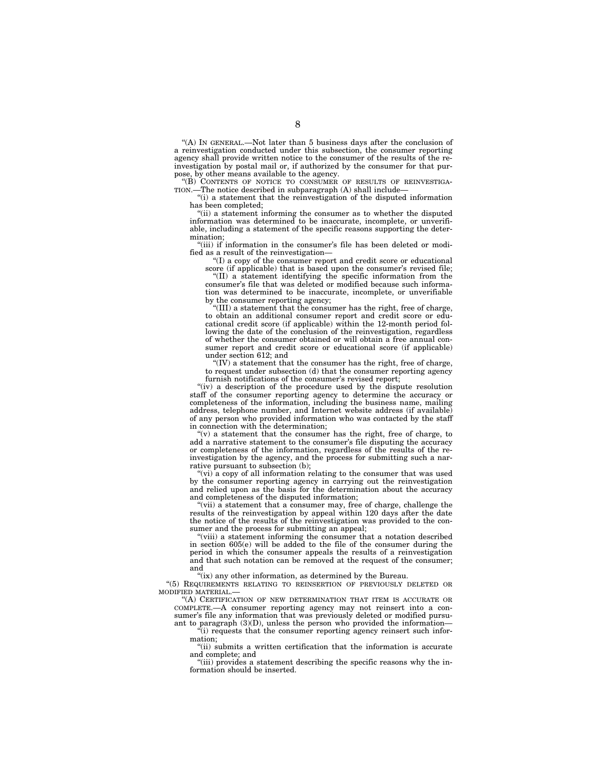''(A) IN GENERAL.—Not later than 5 business days after the conclusion of a reinvestigation conducted under this subsection, the consumer reporting agency shall provide written notice to the consumer of the results of the reinvestigation by postal mail or, if authorized by the consumer for that purpose, by other means available to the agency.

''(B) CONTENTS OF NOTICE TO CONSUMER OF RESULTS OF REINVESTIGA-TION.—The notice described in subparagraph (A) shall include—

''(i) a statement that the reinvestigation of the disputed information has been completed;

''(ii) a statement informing the consumer as to whether the disputed information was determined to be inaccurate, incomplete, or unverifiable, including a statement of the specific reasons supporting the determination;

"(iii) if information in the consumer's file has been deleted or modified as a result of the reinvestigation—

''(I) a copy of the consumer report and credit score or educational score (if applicable) that is based upon the consumer's revised file;

''(II) a statement identifying the specific information from the consumer's file that was deleted or modified because such information was determined to be inaccurate, incomplete, or unverifiable by the consumer reporting agency;

''(III) a statement that the consumer has the right, free of charge, to obtain an additional consumer report and credit score or educational credit score (if applicable) within the 12-month period following the date of the conclusion of the reinvestigation, regardless of whether the consumer obtained or will obtain a free annual consumer report and credit score or educational score (if applicable) under section 612; and

''(IV) a statement that the consumer has the right, free of charge, to request under subsection (d) that the consumer reporting agency furnish notifications of the consumer's revised report;

"(iv) a description of the procedure used by the dispute resolution staff of the consumer reporting agency to determine the accuracy or completeness of the information, including the business name, mailing address, telephone number, and Internet website address (if available) of any person who provided information who was contacted by the staff in connection with the determination;

 $f'(v)$  a statement that the consumer has the right, free of charge, to add a narrative statement to the consumer's file disputing the accuracy or completeness of the information, regardless of the results of the reinvestigation by the agency, and the process for submitting such a narrative pursuant to subsection (b);

"(vi) a copy of all information relating to the consumer that was used by the consumer reporting agency in carrying out the reinvestigation and relied upon as the basis for the determination about the accuracy and completeness of the disputed information;

'(vii) a statement that a consumer may, free of charge, challenge the results of the reinvestigation by appeal within 120 days after the date the notice of the results of the reinvestigation was provided to the consumer and the process for submitting an appeal;

"(viii) a statement informing the consumer that a notation described in section 605(e) will be added to the file of the consumer during the period in which the consumer appeals the results of a reinvestigation and that such notation can be removed at the request of the consumer; and

"(ix) any other information, as determined by the Bureau.

''(5) REQUIREMENTS RELATING TO REINSERTION OF PREVIOUSLY DELETED OR MODIFIED MATERIAL.—

''(A) CERTIFICATION OF NEW DETERMINATION THAT ITEM IS ACCURATE OR COMPLETE.—A consumer reporting agency may not reinsert into a consumer's file any information that was previously deleted or modified pursuant to paragraph (3)(D), unless the person who provided the information—

''(i) requests that the consumer reporting agency reinsert such information;<br>"(ii) submits a written certification that the information is accurate

and complete; and

"(iii) provides a statement describing the specific reasons why the information should be inserted.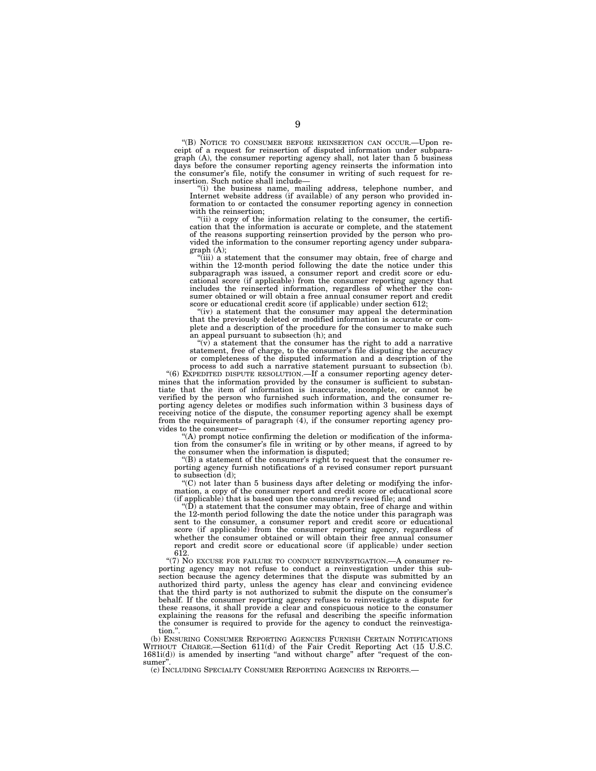''(B) NOTICE TO CONSUMER BEFORE REINSERTION CAN OCCUR.—Upon receipt of a request for reinsertion of disputed information under subpara-graph (A), the consumer reporting agency shall, not later than 5 business days before the consumer reporting agency reinserts the information into the consumer's file, notify the consumer in writing of such request for reinsertion. Such notice shall include—

''(i) the business name, mailing address, telephone number, and Internet website address (if available) of any person who provided information to or contacted the consumer reporting agency in connection with the reinsertion;

"(ii) a copy of the information relating to the consumer, the certification that the information is accurate or complete, and the statement of the reasons supporting reinsertion provided by the person who provided the information to the consumer reporting agency under subparagraph (A);

''(iii) a statement that the consumer may obtain, free of charge and within the 12-month period following the date the notice under this subparagraph was issued, a consumer report and credit score or edu-cational score (if applicable) from the consumer reporting agency that includes the reinserted information, regardless of whether the con-sumer obtained or will obtain a free annual consumer report and credit score or educational credit score (if applicable) under section 612;

''(iv) a statement that the consumer may appeal the determination that the previously deleted or modified information is accurate or complete and a description of the procedure for the consumer to make such an appeal pursuant to subsection (h); and

 $(v)$  a statement that the consumer has the right to add a narrative statement, free of charge, to the consumer's file disputing the accuracy or completeness of the disputed information and a description of the process to add such a narrative statement pursuant to subsection (b).

''(6) EXPEDITED DISPUTE RESOLUTION.—If a consumer reporting agency determines that the information provided by the consumer is sufficient to substantiate that the item of information is inaccurate, incomplete, or cannot be verified by the person who furnished such information, and the consumer reporting agency deletes or modifies such information within 3 business days of receiving notice of the dispute, the consumer reporting agency shall be exempt from the requirements of paragraph (4), if the consumer reporting agency provides to the consumer—

 $(A)$  prompt notice confirming the deletion or modification of the information from the consumer's file in writing or by other means, if agreed to by the consumer when the information is disputed;

"(B) a statement of the consumer's right to request that the consumer reporting agency furnish notifications of a revised consumer report pursuant to subsection (d);

 $\mathcal{C}(C)$  not later than 5 business days after deleting or modifying the information, a copy of the consumer report and credit score or educational score (if applicable) that is based upon the consumer's revised file; and

 $f(D)$  a statement that the consumer may obtain, free of charge and within the 12-month period following the date the notice under this paragraph was sent to the consumer, a consumer report and credit score or educational score (if applicable) from the consumer reporting agency, regardless of whether the consumer obtained or will obtain their free annual consumer report and credit score or educational score (if applicable) under section 612.

"(7) NO EXCUSE FOR FAILURE TO CONDUCT REINVESTIGATION. A consumer reporting agency may not refuse to conduct a reinvestigation under this subsection because the agency determines that the dispute was submitted by an authorized third party, unless the agency has clear and convincing evidence that the third party is not authorized to submit the dispute on the consumer's behalf. If the consumer reporting agency refuses to reinvestigate a dispute for these reasons, it shall provide a clear and conspicuous notice to the consumer explaining the reasons for the refusal and describing the specific information the consumer is required to provide for the agency to conduct the reinvestigation.

(b) ENSURING CONSUMER REPORTING AGENCIES FURNISH CERTAIN NOTIFICATIONS WITHOUT CHARGE.—Section 611(d) of the Fair Credit Reporting Act (15 U.S.C. 1681i(d)) is amended by inserting "and without charge" after "request of th sumer''.

(c) INCLUDING SPECIALTY CONSUMER REPORTING AGENCIES IN REPORTS.—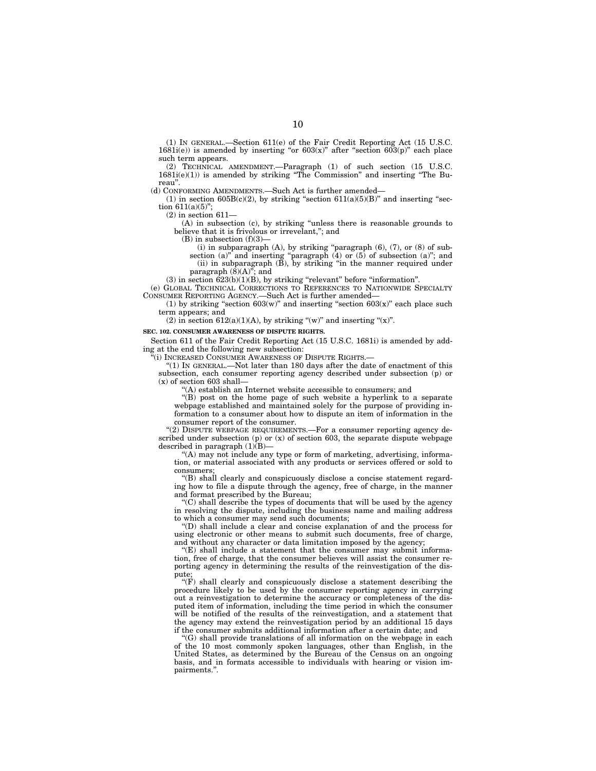(1) IN GENERAL.—Section 611(e) of the Fair Credit Reporting Act (15 U.S.C. 1681i(e)) is amended by inserting "or  $603(x)$ " after "section  $603(p)$ " each place such term appears.

(2) TECHNICAL AMENDMENT.—Paragraph (1) of such section (15 U.S.C.  $1681i(e)(1)$ ) is amended by striking "The Commission" and inserting "The Bureau''.

(d) CONFORMING AMENDMENTS.—Such Act is further amended—

(1) in section  $605B(c)(2)$ , by striking "section  $611(a)(5)(B)$ " and inserting "section  $611(a)(5)$ ";

 $(2)$  in section 611-

(A) in subsection (c), by striking ''unless there is reasonable grounds to believe that it is frivolous or irrevelant,''; and

 $(B)$  in subsection  $(f)(3)$ –

(i) in subparagraph  $(A)$ , by striking "paragraph  $(6)$ ,  $(7)$ , or  $(8)$  of subsection  $(a)$ " and inserting "paragraph  $(4)$  or  $(5)$  of subsection  $(a)$ "; and (ii) in subparagraph (B), by striking ''in the manner required under paragraph (8)(A)''; and

 $(3)$  in section  $623(b)(1)(B)$ , by striking "relevant" before "information".

(e) GLOBAL TECHNICAL CORRECTIONS TO REFERENCES TO NATIONWIDE SPECIALTY CONSUMER REPORTING AGENCY.—Such Act is further amended—

(1) by striking "section  $603(w)$ " and inserting "section  $603(x)$ " each place such term appears; and

(2) in section  $612(a)(1)(A)$ , by striking "(w)" and inserting "(x)".

#### **SEC. 102. CONSUMER AWARENESS OF DISPUTE RIGHTS.**

Section 611 of the Fair Credit Reporting Act (15 U.S.C. 1681i) is amended by adding at the end the following new subsection:

(i) INCREASED CONSUMER AWARENESS OF DISPUTE RIGHTS.

" $(1)$  IN GENERAL.—Not later than 180 days after the date of enactment of this subsection, each consumer reporting agency described under subsection (p) or  $(x)$  of section 603 shall-

'(A) establish an Internet website accessible to consumers; and

''(B) post on the home page of such website a hyperlink to a separate webpage established and maintained solely for the purpose of providing information to a consumer about how to dispute an item of information in the consumer report of the consumer.

"(2) DISPUTE WEBPAGE REQUIREMENTS.—For a consumer reporting agency described under subsection (p) or  $(x)$  of section 603, the separate dispute webpage described in paragraph  $(1)(B)$ 

''(A) may not include any type or form of marketing, advertising, information, or material associated with any products or services offered or sold to consumers;

''(B) shall clearly and conspicuously disclose a concise statement regarding how to file a dispute through the agency, free of charge, in the manner and format prescribed by the Bureau;

''(C) shall describe the types of documents that will be used by the agency in resolving the dispute, including the business name and mailing address to which a consumer may send such documents;

''(D) shall include a clear and concise explanation of and the process for using electronic or other means to submit such documents, free of charge, and without any character or data limitation imposed by the agency;

 $E(E)$  shall include a statement that the consumer may submit information, free of charge, that the consumer believes will assist the consumer reporting agency in determining the results of the reinvestigation of the dispute;

" $(F)$  shall clearly and conspicuously disclose a statement describing the procedure likely to be used by the consumer reporting agency in carrying out a reinvestigation to determine the accuracy or completeness of the disputed item of information, including the time period in which the consumer will be notified of the results of the reinvestigation, and a statement that the agency may extend the reinvestigation period by an additional 15 days if the consumer submits additional information after a certain date; and

''(G) shall provide translations of all information on the webpage in each of the 10 most commonly spoken languages, other than English, in the United States, as determined by the Bureau of the Census on an ongoing basis, and in formats accessible to individuals with hearing or vision impairments.''.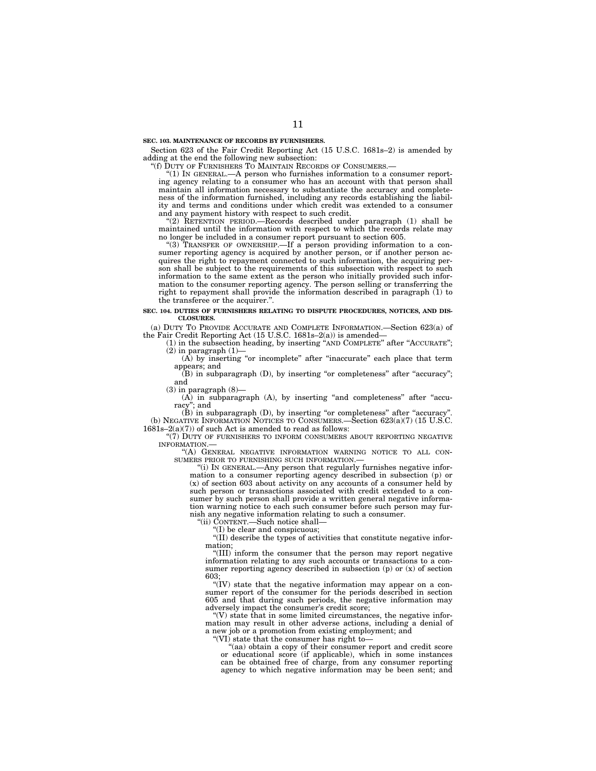**SEC. 103. MAINTENANCE OF RECORDS BY FURNISHERS.** 

Section 623 of the Fair Credit Reporting Act (15 U.S.C. 1681s–2) is amended by adding at the end the following new subsection:

''(f) DUTY OF FURNISHERS TO MAINTAIN RECORDS OF CONSUMERS.—

" $(1)$  In GENERAL.—A person who furnishes information to a consumer reporting agency relating to a consumer who has an account with that person shall maintain all information necessary to substantiate the accuracy and completeness of the information furnished, including any records establishing the liability and terms and conditions under which credit was extended to a consumer and any payment history with respect to such credit.

''(2) RETENTION PERIOD.—Records described under paragraph (1) shall be maintained until the information with respect to which the records relate may no longer be included in a consumer report pursuant to section 605.

''(3) TRANSFER OF OWNERSHIP.—If a person providing information to a consumer reporting agency is acquired by another person, or if another person acquires the right to repayment connected to such information, the acquiring person shall be subject to the requirements of this subsection with respect to such information to the same extent as the person who initially provided such information to the consumer reporting agency. The person selling or transferring the right to repayment shall provide the information described in paragraph (1) to the transferee or the acquirer.''.

#### **SEC. 104. DUTIES OF FURNISHERS RELATING TO DISPUTE PROCEDURES, NOTICES, AND DIS-CLOSURES.**

(a) DUTY TO PROVIDE ACCURATE AND COMPLETE INFORMATION.—Section 623(a) of the Fair Credit Reporting Act (15 U.S.C. 1681s–2(a)) is amended—

(1) in the subsection heading, by inserting ''AND COMPLETE'' after ''ACCURATE'';  $(2)$  in paragraph  $(1)$ -

(A) by inserting "or incomplete" after "inaccurate" each place that term appears; and

(B) in subparagraph (D), by inserting "or completeness" after "accuracy"; and

 $(3)$  in paragraph  $(8)$ -

 $(A)$  in subparagraph  $(A)$ , by inserting "and completeness" after "accuracy''; and

(B) in subparagraph (D), by inserting "or completeness" after "accuracy". (b) NEGATIVE INFORMATION NOTICES TO CONSUMERS.—Section 623(a)(7) (15 U.S.C.  $1681s-2(a)(7)$  of such Act is amended to read as follows:

''(7) DUTY OF FURNISHERS TO INFORM CONSUMERS ABOUT REPORTING NEGATIVE INFORMATION.—

''(A) GENERAL NEGATIVE INFORMATION WARNING NOTICE TO ALL CON-SUMERS PRIOR TO FURNISHING SUCH INFORMATION.—

''(i) IN GENERAL.—Any person that regularly furnishes negative information to a consumer reporting agency described in subsection (p) or (x) of section 603 about activity on any accounts of a consumer held by such person or transactions associated with credit extended to a consumer by such person shall provide a written general negative information warning notice to each such consumer before such person may furnish any negative information relating to such a consumer.

''(ii) CONTENT.—Such notice shall— ''(I) be clear and conspicuous;

 $\sqrt{\text{II}}$ ) describe the types of activities that constitute negative information;

''(III) inform the consumer that the person may report negative information relating to any such accounts or transactions to a consumer reporting agency described in subsection  $(p)$  or  $(x)$  of section 603;

''(IV) state that the negative information may appear on a consumer report of the consumer for the periods described in section 605 and that during such periods, the negative information may adversely impact the consumer's credit score;

 $\mathcal{H}(V)$  state that in some limited circumstances, the negative information may result in other adverse actions, including a denial of a new job or a promotion from existing employment; and

''(VI) state that the consumer has right to—

"(aa) obtain a copy of their consumer report and credit score or educational score (if applicable), which in some instances can be obtained free of charge, from any consumer reporting agency to which negative information may be been sent; and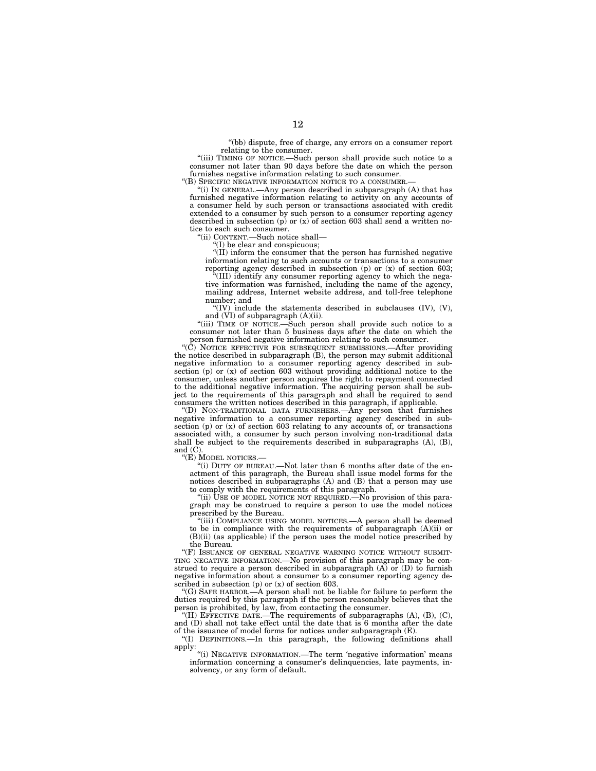''(bb) dispute, free of charge, any errors on a consumer report relating to the consumer.

"(iii) TIMING OF NOTICE.—Such person shall provide such notice to a consumer not later than 90 days before the date on which the person furnishes negative information relating to such consumer.

"(B) SPECIFIC NEGATIVE INFORMATION NOTICE TO A CONSUMER.

''(i) IN GENERAL.—Any person described in subparagraph (A) that has furnished negative information relating to activity on any accounts of a consumer held by such person or transactions associated with credit extended to a consumer by such person to a consumer reporting agency described in subsection  $(p)$  or  $(x)$  of section 603 shall send a written notice to each such consumer.

''(ii) CONTENT.—Such notice shall—

''(I) be clear and conspicuous;

''(II) inform the consumer that the person has furnished negative information relating to such accounts or transactions to a consumer reporting agency described in subsection (p) or (x) of section 603;

''(III) identify any consumer reporting agency to which the negative information was furnished, including the name of the agency, mailing address, Internet website address, and toll-free telephone number; and

 $f'(IV)$  include the statements described in subclauses  $(IV)$ ,  $(V)$ , and (VI) of subparagraph (A)(ii).

''(iii) TIME OF NOTICE.—Such person shall provide such notice to a consumer not later than 5 business days after the date on which the person furnished negative information relating to such consumer.

''(C) NOTICE EFFECTIVE FOR SUBSEQUENT SUBMISSIONS.—After providing the notice described in subparagraph (B), the person may submit additional negative information to a consumer reporting agency described in subsection (p) or (x) of section 603 without providing additional notice to the consumer, unless another person acquires the right to repayment connected to the additional negative information. The acquiring person shall be subject to the requirements of this paragraph and shall be required to send consumers the written notices described in this paragraph, if applicable.

''(D) NON-TRADITIONAL DATA FURNISHERS.—Any person that furnishes negative information to a consumer reporting agency described in subsection  $(p)$  or  $(x)$  of section 603 relating to any accounts of, or transactions associated with, a consumer by such person involving non-traditional data shall be subject to the requirements described in subparagraphs (A), (B), and (C).

''(E) MODEL NOTICES.—

''(i) DUTY OF BUREAU.—Not later than 6 months after date of the enactment of this paragraph, the Bureau shall issue model forms for the notices described in subparagraphs (A) and (B) that a person may use to comply with the requirements of this paragraph.

"(ii) USE OF MODEL NOTICE NOT REQUIRED.—No provision of this paragraph may be construed to require a person to use the model notices prescribed by the Bureau.

''(iii) COMPLIANCE USING MODEL NOTICES.—A person shall be deemed to be in compliance with the requirements of subparagraph (A)(ii) or (B)(ii) (as applicable) if the person uses the model notice prescribed by the Bureau.

"(F) ISSUANCE OF GENERAL NEGATIVE WARNING NOTICE WITHOUT SUBMIT-TING NEGATIVE INFORMATION.—No provision of this paragraph may be construed to require a person described in subparagraph  $(\breve{A})$  or  $(D)$  to furnish negative information about a consumer to a consumer reporting agency described in subsection (p) or (x) of section 603.

''(G) SAFE HARBOR.—A person shall not be liable for failure to perform the duties required by this paragraph if the person reasonably believes that the person is prohibited, by law, from contacting the consumer.

''(H) EFFECTIVE DATE.—The requirements of subparagraphs (A), (B), (C), and  $(D)$  shall not take effect until the date that is 6 months after the date of the issuance of model forms for notices under subparagraph (E).

''(I) DEFINITIONS.—In this paragraph, the following definitions shall apply:<br>"(i) NEGATIVE INFORMATION.—The term 'negative information' means

information concerning a consumer's delinquencies, late payments, insolvency, or any form of default.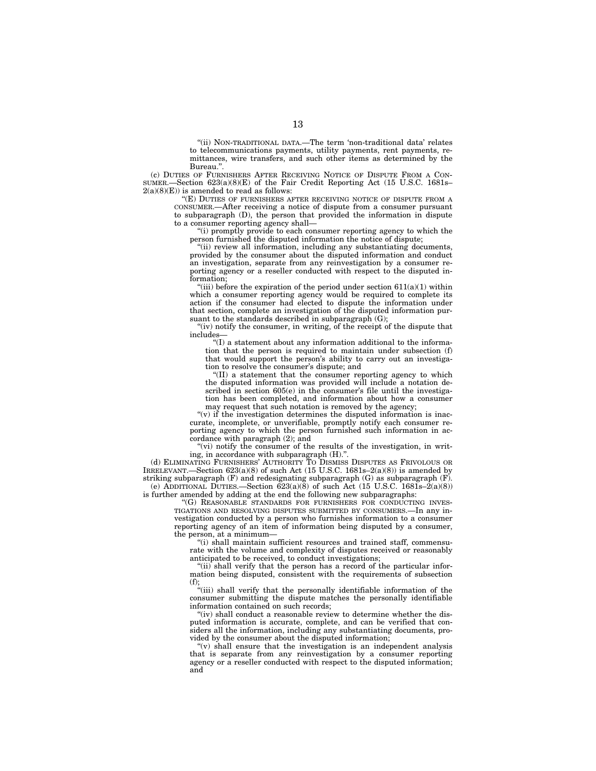''(ii) NON-TRADITIONAL DATA.—The term 'non-traditional data' relates to telecommunications payments, utility payments, rent payments, remittances, wire transfers, and such other items as determined by the Bureau.''.

(c) DUTIES OF FURNISHERS AFTER RECEIVING NOTICE OF DISPUTE FROM A CON-SUMER.—Section 623(a)(8)(E) of the Fair Credit Reporting Act (15 U.S.C. 1681s–  $2(a)(8)(E)$ ) is amended to read as follows:

''(E) DUTIES OF FURNISHERS AFTER RECEIVING NOTICE OF DISPUTE FROM A CONSUMER.—After receiving a notice of dispute from a consumer pursuant to subparagraph (D), the person that provided the information in dispute to a consumer reporting agency shall—

''(i) promptly provide to each consumer reporting agency to which the person furnished the disputed information the notice of dispute;

''(ii) review all information, including any substantiating documents, provided by the consumer about the disputed information and conduct an investigation, separate from any reinvestigation by a consumer reporting agency or a reseller conducted with respect to the disputed information;

"(iii) before the expiration of the period under section  $611(a)(1)$  within which a consumer reporting agency would be required to complete its action if the consumer had elected to dispute the information under that section, complete an investigation of the disputed information pursuant to the standards described in subparagraph  $(G)$ ;

"(iv) notify the consumer, in writing, of the receipt of the dispute that includes—

''(I) a statement about any information additional to the information that the person is required to maintain under subsection (f) that would support the person's ability to carry out an investigation to resolve the consumer's dispute; and

"(II) a statement that the consumer reporting agency to which the disputed information was provided will include a notation described in section 605(e) in the consumer's file until the investigation has been completed, and information about how a consumer may request that such notation is removed by the agency;

" $(v)$  if the investigation determines the disputed information is inaccurate, incomplete, or unverifiable, promptly notify each consumer reporting agency to which the person furnished such information in accordance with paragraph (2); and

 $(vi)$  notify the consumer of the results of the investigation, in writing, in accordance with subparagraph (H).''.

(d) ELIMINATING FURNISHERS' AUTHORITY TO DISMISS DISPUTES AS FRIVOLOUS OR IRRELEVANT.—Section  $623(a)(8)$  of such Act (15 U.S.C. 1681s–2(a)(8)) is amended by striking subparagraph  $(F)$  and redesignating subparagraph  $(G)$  as subparagraph  $(F)$ . (e) ADDITIONAL DUTIES.—Section  $623(a)(8)$  of such Act (15 U.S.C. 1681s–2(a)(8)) is further amended by adding at the end the following new subparagraphs:

''(G) REASONABLE STANDARDS FOR FURNISHERS FOR CONDUCTING INVES-TIGATIONS AND RESOLVING DISPUTES SUBMITTED BY CONSUMERS.—In any investigation conducted by a person who furnishes information to a consumer reporting agency of an item of information being disputed by a consumer, the person, at a minimum—

''(i) shall maintain sufficient resources and trained staff, commensurate with the volume and complexity of disputes received or reasonably anticipated to be received, to conduct investigations;

"(ii) shall verify that the person has a record of the particular information being disputed, consistent with the requirements of subsection (f);

''(iii) shall verify that the personally identifiable information of the consumer submitting the dispute matches the personally identifiable information contained on such records;

"(iv) shall conduct a reasonable review to determine whether the disputed information is accurate, complete, and can be verified that considers all the information, including any substantiating documents, provided by the consumer about the disputed information;

''(v) shall ensure that the investigation is an independent analysis that is separate from any reinvestigation by a consumer reporting agency or a reseller conducted with respect to the disputed information; and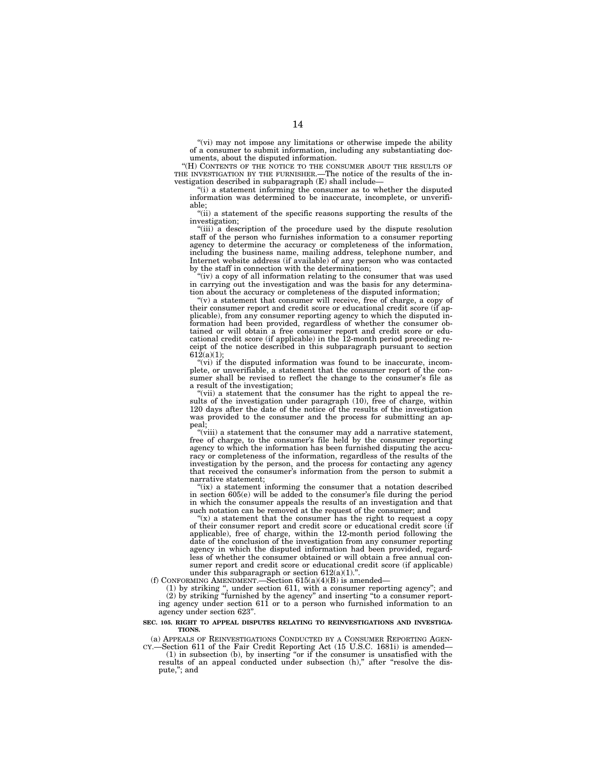"(vi) may not impose any limitations or otherwise impede the ability of a consumer to submit information, including any substantiating documents, about the disputed information.

''(H) CONTENTS OF THE NOTICE TO THE CONSUMER ABOUT THE RESULTS OF THE INVESTIGATION BY THE FURNISHER.—The notice of the results of the investigation described in subparagraph (E) shall include—

 $f(i)$  a statement informing the consumer as to whether the disputed information was determined to be inaccurate, incomplete, or unverifiable;

''(ii) a statement of the specific reasons supporting the results of the investigation;

"(iii) a description of the procedure used by the dispute resolution staff of the person who furnishes information to a consumer reporting agency to determine the accuracy or completeness of the information, including the business name, mailing address, telephone number, and Internet website address (if available) of any person who was contacted by the staff in connection with the determination;

"(iv) a copy of all information relating to the consumer that was used in carrying out the investigation and was the basis for any determination about the accuracy or completeness of the disputed information;

"(v) a statement that consumer will receive, free of charge, a copy of their consumer report and credit score or educational credit score (if applicable), from any consumer reporting agency to which the disputed information had been provided, regardless of whether the consumer obtained or will obtain a free consumer report and credit score or educational credit score (if applicable) in the 12-month period preceding receipt of the notice described in this subparagraph pursuant to section  $61\bar{2}(a)(1);$ 

 $''(vi)$  if the disputed information was found to be inaccurate, incomplete, or unverifiable, a statement that the consumer report of the consumer shall be revised to reflect the change to the consumer's file as a result of the investigation;

''(vii) a statement that the consumer has the right to appeal the results of the investigation under paragraph (10), free of charge, within 120 days after the date of the notice of the results of the investigation was provided to the consumer and the process for submitting an appeal;

"(viii) a statement that the consumer may add a narrative statement, free of charge, to the consumer's file held by the consumer reporting agency to which the information has been furnished disputing the accuracy or completeness of the information, regardless of the results of the investigation by the person, and the process for contacting any agency that received the consumer's information from the person to submit a narrative statement;

" $(ix)$  a statement informing the consumer that a notation described in section 605(e) will be added to the consumer's file during the period in which the consumer appeals the results of an investigation and that such notation can be removed at the request of the consumer; and

 $f(x)$  a statement that the consumer has the right to request a copy of their consumer report and credit score or educational credit score (if applicable), free of charge, within the 12-month period following the date of the conclusion of the investigation from any consumer reporting agency in which the disputed information had been provided, regardless of whether the consumer obtained or will obtain a free annual consumer report and credit score or educational credit score (if applicable) under this subparagraph or section  $612(a)(1)$ .".

(f) CONFORMING AMENDMENT. Section  $615(a)(4)(B)$  is amended-

(1) by striking '', under section 611, with a consumer reporting agency''; and (2) by striking ''furnished by the agency'' and inserting ''to a consumer reporting agency under section 611 or to a person who furnished information to an agency under section 623''.

#### **SEC. 105. RIGHT TO APPEAL DISPUTES RELATING TO REINVESTIGATIONS AND INVESTIGA-TIONS.**

(a) APPEALS OF REINVESTIGATIONS CONDUCTED BY A CONSUMER REPORTING AGEN-CY.—Section 611 of the Fair Credit Reporting Act (15 U.S.C. 1681i) is amended—

(1) in subsection (b), by inserting ''or if the consumer is unsatisfied with the results of an appeal conducted under subsection (h)," after "resolve the dispute,''; and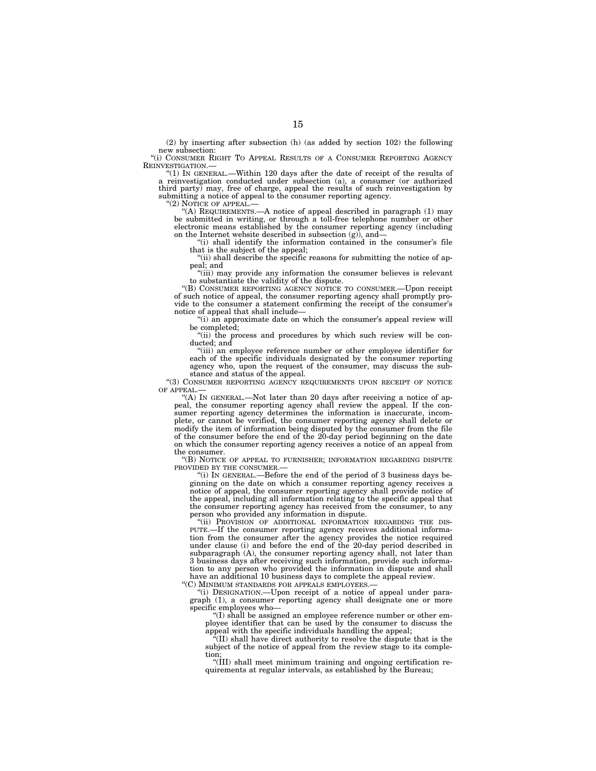(2) by inserting after subsection (h) (as added by section 102) the following new subsection:

 $\!$  (i) CONSUMER RIGHT TO APPEAL RESULTS OF A CONSUMER REPORTING AGENCY REINVESTIGATION.—

"(1) IN GENERAL.—Within 120 days after the date of receipt of the results of a reinvestigation conducted under subsection (a), a consumer (or authorized third party) may, free of charge, appeal the results of such reinvestigation by submitting a notice of appeal to the consumer reporting agency.

''(2) NOTICE OF APPEAL.— ''(A) REQUIREMENTS.—A notice of appeal described in paragraph (1) may be submitted in writing, or through a toll-free telephone number or other electronic means established by the consumer reporting agency (including on the Internet website described in subsection (g)), and—

''(i) shall identify the information contained in the consumer's file that is the subject of the appeal;

"(ii) shall describe the specific reasons for submitting the notice of appeal; and

''(iii) may provide any information the consumer believes is relevant to substantiate the validity of the dispute.

''(B) CONSUMER REPORTING AGENCY NOTICE TO CONSUMER.—Upon receipt of such notice of appeal, the consumer reporting agency shall promptly provide to the consumer a statement confirming the receipt of the consumer's notice of appeal that shall include—

 $(i)$  an approximate date on which the consumer's appeal review will be completed;

"(ii) the process and procedures by which such review will be conducted; and

"(iii) an employee reference number or other employee identifier for each of the specific individuals designated by the consumer reporting agency who, upon the request of the consumer, may discuss the substance and status of the appeal.

''(3) CONSUMER REPORTING AGENCY REQUIREMENTS UPON RECEIPT OF NOTICE OF APPEAL.

"(A) IN GENERAL.—Not later than 20 days after receiving a notice of appeal, the consumer reporting agency shall review the appeal. If the consumer reporting agency determines the information is inaccurate, incomplete, or cannot be verified, the consumer reporting agency shall delete or modify the item of information being disputed by the consumer from the file of the consumer before the end of the 20-day period beginning on the date on which the consumer reporting agency receives a notice of an appeal from the consumer.

''(B) NOTICE OF APPEAL TO FURNISHER; INFORMATION REGARDING DISPUTE PROVIDED BY THE CONSUMER.—

''(i) IN GENERAL.—Before the end of the period of 3 business days beginning on the date on which a consumer reporting agency receives a notice of appeal, the consumer reporting agency shall provide notice of the appeal, including all information relating to the specific appeal that the consumer reporting agency has received from the consumer, to any person who provided any information in dispute.

"(ii) PROVISION OF ADDITIONAL INFORMATION REGARDING THE DIS-PUTE.—If the consumer reporting agency receives additional information from the consumer after the agency provides the notice required under clause (i) and before the end of the 20-day period described in subparagraph (A), the consumer reporting agency shall, not later than 3 business days after receiving such information, provide such information to any person who provided the information in dispute and shall have an additional 10 business days to complete the appeal review.

''(C) MINIMUM STANDARDS FOR APPEALS EMPLOYEES.—

''(i) DESIGNATION.—Upon receipt of a notice of appeal under paragraph (1), a consumer reporting agency shall designate one or more specific employees who—

''(I) shall be assigned an employee reference number or other employee identifier that can be used by the consumer to discuss the appeal with the specific individuals handling the appeal;

''(II) shall have direct authority to resolve the dispute that is the subject of the notice of appeal from the review stage to its completion;

''(III) shall meet minimum training and ongoing certification requirements at regular intervals, as established by the Bureau;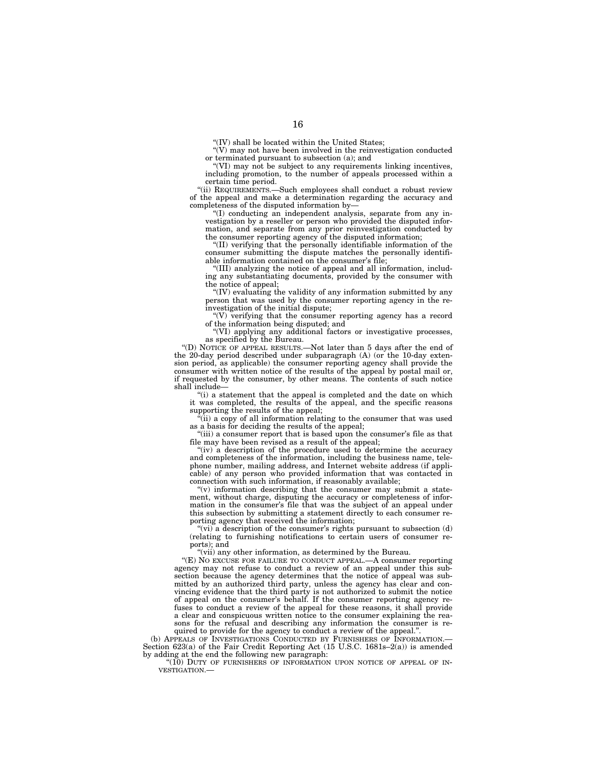'(IV) shall be located within the United States;

''(V) may not have been involved in the reinvestigation conducted or terminated pursuant to subsection (a); and

''(VI) may not be subject to any requirements linking incentives, including promotion, to the number of appeals processed within a certain time period.

''(ii) REQUIREMENTS.—Such employees shall conduct a robust review of the appeal and make a determination regarding the accuracy and completeness of the disputed information by—

''(I) conducting an independent analysis, separate from any investigation by a reseller or person who provided the disputed information, and separate from any prior reinvestigation conducted by the consumer reporting agency of the disputed information;

''(II) verifying that the personally identifiable information of the consumer submitting the dispute matches the personally identifiable information contained on the consumer's file;

''(III) analyzing the notice of appeal and all information, including any substantiating documents, provided by the consumer with the notice of appeal;

''(IV) evaluating the validity of any information submitted by any person that was used by the consumer reporting agency in the reinvestigation of the initial dispute;

"(V) verifying that the consumer reporting agency has a record of the information being disputed; and

''(VI) applying any additional factors or investigative processes, as specified by the Bureau.

''(D) NOTICE OF APPEAL RESULTS.—Not later than 5 days after the end of the 20-day period described under subparagraph (A) (or the 10-day extension period, as applicable) the consumer reporting agency shall provide the consumer with written notice of the results of the appeal by postal mail or, if requested by the consumer, by other means. The contents of such notice shall include—

'(i) a statement that the appeal is completed and the date on which it was completed, the results of the appeal, and the specific reasons supporting the results of the appeal;

 $\hat{f}$ (ii) a copy of all information relating to the consumer that was used as a basis for deciding the results of the appeal;

"(iii) a consumer report that is based upon the consumer's file as that file may have been revised as a result of the appeal;

"(iv) a description of the procedure used to determine the accuracy and completeness of the information, including the business name, telephone number, mailing address, and Internet website address (if applicable) of any person who provided information that was contacted in connection with such information, if reasonably available;

 $(v)$  information describing that the consumer may submit a statement, without charge, disputing the accuracy or completeness of information in the consumer's file that was the subject of an appeal under this subsection by submitting a statement directly to each consumer reporting agency that received the information;

"(vi) a description of the consumer's rights pursuant to subsection  $(d)$ (relating to furnishing notifications to certain users of consumer reports); and

"(vii) any other information, as determined by the Bureau.

"(E) NO EXCUSE FOR FAILURE TO CONDUCT APPEAL.—A consumer reporting agency may not refuse to conduct a review of an appeal under this subsection because the agency determines that the notice of appeal was submitted by an authorized third party, unless the agency has clear and convincing evidence that the third party is not authorized to submit the notice of appeal on the consumer's behalf. If the consumer reporting agency refuses to conduct a review of the appeal for these reasons, it shall provide a clear and conspicuous written notice to the consumer explaining the reasons for the refusal and describing any information the consumer is required to provide for the agency to conduct a review of the appeal.''.

(b) APPEALS OF INVESTIGATIONS CONDUCTED BY FURNISHERS OF INFORMATION. Section 623(a) of the Fair Credit Reporting Act (15 U.S.C. 1681s–2(a)) is amended by adding at the end the following new paragraph:

"(10) DUTY OF FURNISHERS OF INFORMATION UPON NOTICE OF APPEAL OF IN-VESTIGATION.—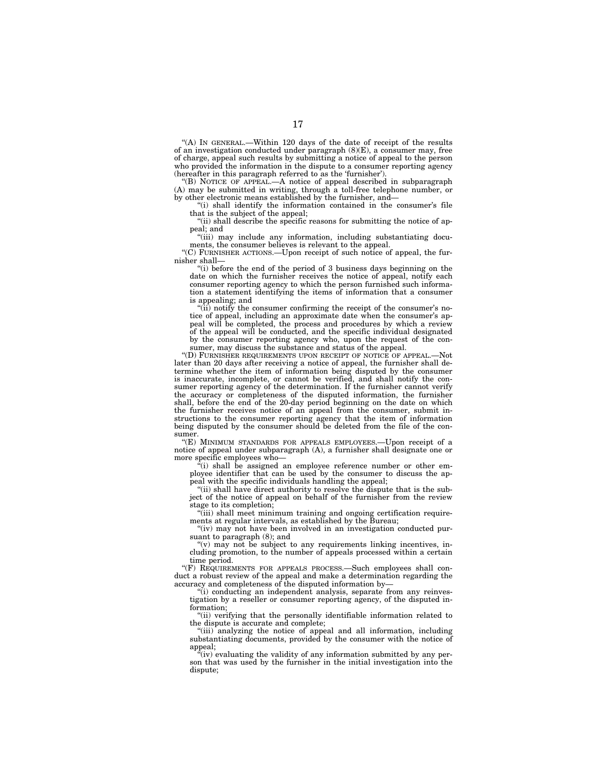''(A) IN GENERAL.—Within 120 days of the date of receipt of the results of an investigation conducted under paragraph (8)(E), a consumer may, free of charge, appeal such results by submitting a notice of appeal to the person who provided the information in the dispute to a consumer reporting agency (hereafter in this paragraph referred to as the 'furnisher').

''(B) NOTICE OF APPEAL.—A notice of appeal described in subparagraph (A) may be submitted in writing, through a toll-free telephone number, or by other electronic means established by the furnisher, and-

''(i) shall identify the information contained in the consumer's file that is the subject of the appeal;

''(ii) shall describe the specific reasons for submitting the notice of ap-

peal; and ''(iii) may include any information, including substantiating documents, the consumer believes is relevant to the appeal.

''(C) FURNISHER ACTIONS.—Upon receipt of such notice of appeal, the furnisher shall—

''(i) before the end of the period of 3 business days beginning on the date on which the furnisher receives the notice of appeal, notify each consumer reporting agency to which the person furnished such information a statement identifying the items of information that a consumer is appealing; and

 $\lim_{x \to 0}$  if  $\lim_{x \to 0}$  the consumer confirming the receipt of the consumer's notice of appeal, including an approximate date when the consumer's appeal will be completed, the process and procedures by which a review of the appeal will be conducted, and the specific individual designated by the consumer reporting agency who, upon the request of the consumer, may discuss the substance and status of the appeal.

''(D) FURNISHER REQUIREMENTS UPON RECEIPT OF NOTICE OF APPEAL.—Not later than 20 days after receiving a notice of appeal, the furnisher shall determine whether the item of information being disputed by the consumer is inaccurate, incomplete, or cannot be verified, and shall notify the consumer reporting agency of the determination. If the furnisher cannot verify the accuracy or completeness of the disputed information, the furnisher shall, before the end of the 20-day period beginning on the date on which the furnisher receives notice of an appeal from the consumer, submit instructions to the consumer reporting agency that the item of information being disputed by the consumer should be deleted from the file of the consumer.

''(E) MINIMUM STANDARDS FOR APPEALS EMPLOYEES.—Upon receipt of a notice of appeal under subparagraph (A), a furnisher shall designate one or more specific employees who—

"(i) shall be assigned an employee reference number or other employee identifier that can be used by the consumer to discuss the appeal with the specific individuals handling the appeal;

"(ii) shall have direct authority to resolve the dispute that is the subject of the notice of appeal on behalf of the furnisher from the review stage to its completion;

''(iii) shall meet minimum training and ongoing certification requirements at regular intervals, as established by the Bureau;

"(iv) may not have been involved in an investigation conducted pursuant to paragraph (8); and

 $(v)$  may not be subject to any requirements linking incentives, including promotion, to the number of appeals processed within a certain time period.

''(F) REQUIREMENTS FOR APPEALS PROCESS.—Such employees shall conduct a robust review of the appeal and make a determination regarding the accuracy and completeness of the disputed information by—

''(i) conducting an independent analysis, separate from any reinvestigation by a reseller or consumer reporting agency, of the disputed information;

"(ii) verifying that the personally identifiable information related to the dispute is accurate and complete;

''(iii) analyzing the notice of appeal and all information, including substantiating documents, provided by the consumer with the notice of appeal;

 $f(w)$  evaluating the validity of any information submitted by any person that was used by the furnisher in the initial investigation into the dispute;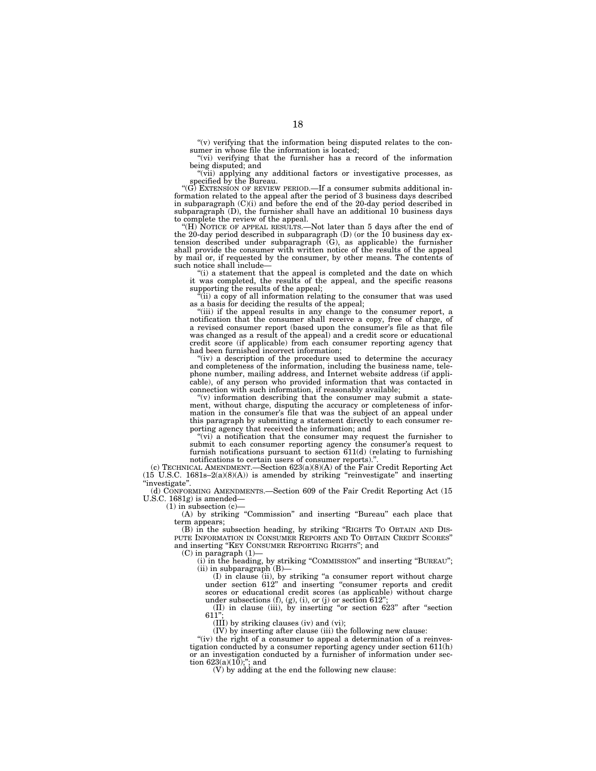''(v) verifying that the information being disputed relates to the consumer in whose file the information is located;

"(vi) verifying that the furnisher has a record of the information being disputed; and

''(vii) applying any additional factors or investigative processes, as specified by the Bureau.

 $(G)$  EXTENSION OF REVIEW PERIOD.—If a consumer submits additional information related to the appeal after the period of 3 business days described in subparagraph (C)(i) and before the end of the 20-day period described in subparagraph (D), the furnisher shall have an additional 10 business days to complete the review of the appeal.

''(H) NOTICE OF APPEAL RESULTS.—Not later than 5 days after the end of the 20-day period described in subparagraph (D) (or the 10 business day extension described under subparagraph (G), as applicable) the furnisher shall provide the consumer with written notice of the results of the appeal by mail or, if requested by the consumer, by other means. The contents of such notice shall include-

''(i) a statement that the appeal is completed and the date on which it was completed, the results of the appeal, and the specific reasons

supporting the results of the appeal;<br>"(ii) a copy of all information relating to the consumer that was used as a basis for deciding the results of the appeal;

"(iii) if the appeal results in any change to the consumer report, a notification that the consumer shall receive a copy, free of charge, of a revised consumer report (based upon the consumer's file as that file was changed as a result of the appeal) and a credit score or educational credit score (if applicable) from each consumer reporting agency that had been furnished incorrect information;

"(iv) a description of the procedure used to determine the accuracy and completeness of the information, including the business name, telephone number, mailing address, and Internet website address (if applicable), of any person who provided information that was contacted in connection with such information, if reasonably available;

" $(v)$  information describing that the consumer may submit a statement, without charge, disputing the accuracy or completeness of information in the consumer's file that was the subject of an appeal under this paragraph by submitting a statement directly to each consumer reporting agency that received the information; and

" $(vi)$  a notification that the consumer may request the furnisher to submit to each consumer reporting agency the consumer's request to furnish notifications pursuant to section  $611(d)$  (relating to furnishing notifications to certain users of consumer reports).

(c) TECHNICAL AMENDMENT.—Section 623(a)(8)(A) of the Fair Credit Reporting Act  $(15 \text{ U.S.C. } 1681\text{s} - 2(a)(8)(A))$  is amended by striking "reinvestigate" and inserting 'investigate".

(d) CONFORMING AMENDMENTS.—Section 609 of the Fair Credit Reporting Act (15 U.S.C. 1681g) is amended—

 $(1)$  in subsection  $(c)$ -

(A) by striking ''Commission'' and inserting ''Bureau'' each place that term appears;

(B) in the subsection heading, by striking ''RIGHTS TO OBTAIN AND DIS-PUTE INFORMATION IN CONSUMER REPORTS AND TO OBTAIN CREDIT SCORES'' and inserting ''KEY CONSUMER REPORTING RIGHTS''; and

 $(C)$  in paragraph  $(1)$ –

(i) in the heading, by striking "COMMISSION" and inserting "BUREAU";  $(ii)$  in subparagraph  $(B)$ 

(I) in clause (ii), by striking ''a consumer report without charge under section 612'' and inserting ''consumer reports and credit scores or educational credit scores (as applicable) without charge under subsections  $(f)$ ,  $(g)$ ,  $(i)$ , or  $(j)$  or section 612"

(II) in clause (iii), by inserting ''or section 623'' after ''section  $611'$ 

(III) by striking clauses (iv) and (vi);

(IV) by inserting after clause (iii) the following new clause:

"(iv) the right of a consumer to appeal a determination of a reinvestigation conducted by a consumer reporting agency under section 611(h) or an investigation conducted by a furnisher of information under section  $623(a)(10);$ "; and

(V) by adding at the end the following new clause: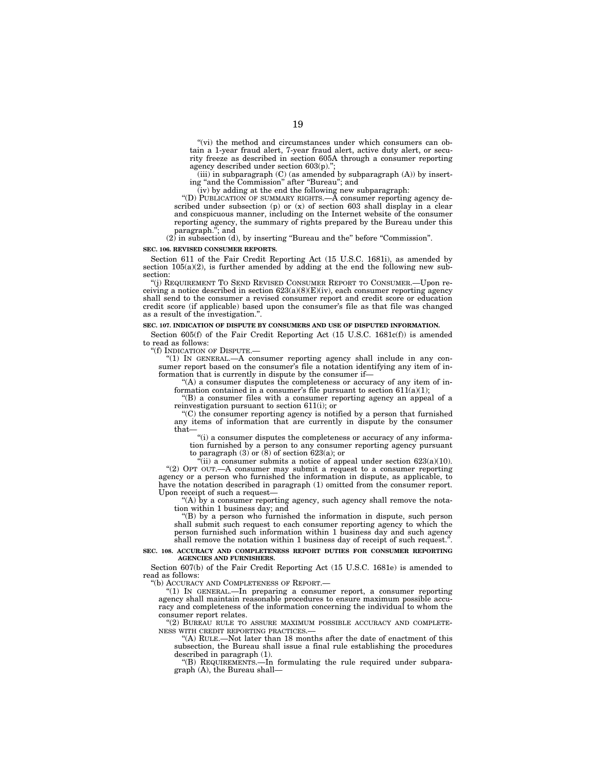"(vi) the method and circumstances under which consumers can obtain a 1-year fraud alert, 7-year fraud alert, active duty alert, or security freeze as described in section 605A through a consumer reporting agency described under section  $603(p)$ .

 $(iii)$  in subparagraph  $(C)$  (as amended by subparagraph  $(A)$ ) by inserting ''and the Commission'' after ''Bureau''; and

 $\chi$ (iv) by adding at the end the following new subparagraph:

''(D) PUBLICATION OF SUMMARY RIGHTS.—A consumer reporting agency described under subsection  $(p)$  or  $(x)$  of section 603 shall display in a clear and conspicuous manner, including on the Internet website of the consumer reporting agency, the summary of rights prepared by the Bureau under this paragraph.''; and

(2) in subsection (d), by inserting ''Bureau and the'' before ''Commission''.

#### **SEC. 106. REVISED CONSUMER REPORTS.**

Section 611 of the Fair Credit Reporting Act (15 U.S.C. 1681i), as amended by section 105(a)(2), is further amended by adding at the end the following new subsection:

''(j) REQUIREMENT TO SEND REVISED CONSUMER REPORT TO CONSUMER.—Upon receiving a notice described in section  $623(a)(8)(E)(iv)$ , each consumer reporting agency shall send to the consumer a revised consumer report and credit score or education credit score (if applicable) based upon the consumer's file as that file was changed as a result of the investigation.''.

#### **SEC. 107. INDICATION OF DISPUTE BY CONSUMERS AND USE OF DISPUTED INFORMATION.**

Section 605(f) of the Fair Credit Reporting Act (15 U.S.C. 1681c(f)) is amended to read as follows:

''(f) INDICATION OF DISPUTE.—

''(1) IN GENERAL.—A consumer reporting agency shall include in any consumer report based on the consumer's file a notation identifying any item of information that is currently in dispute by the consumer if—

 $(A)$  a consumer disputes the completeness or accuracy of any item of information contained in a consumer's file pursuant to section  $611(a)(1)$ ;

''(B) a consumer files with a consumer reporting agency an appeal of a reinvestigation pursuant to section 611(i); or

 $C$ ) the consumer reporting agency is notified by a person that furnished any items of information that are currently in dispute by the consumer that—

''(i) a consumer disputes the completeness or accuracy of any information furnished by a person to any consumer reporting agency pursuant to paragraph (3) or (8) of section 623(a); or

"(ii) a consumer submits a notice of appeal under section  $623(a)(10)$ . "(2) OPT OUT.—A consumer may submit a request to a consumer reporting agency or a person who furnished the information in dispute, as applicable, to have the notation described in paragraph (1) omitted from the consumer report. Upon receipt of such a request—

" $(A)$  by a consumer reporting agency, such agency shall remove the notation within 1 business day; and

''(B) by a person who furnished the information in dispute, such person shall submit such request to each consumer reporting agency to which the person furnished such information within 1 business day and such agency shall remove the notation within 1 business day of receipt of such request.<sup>5</sup>.

#### **SEC. 108. ACCURACY AND COMPLETENESS REPORT DUTIES FOR CONSUMER REPORTING AGENCIES AND FURNISHERS.**

Section 607(b) of the Fair Credit Reporting Act (15 U.S.C. 1681e) is amended to read as follows:

''(b) ACCURACY AND COMPLETENESS OF REPORT.—

 $(1)$  IN GENERAL.—In preparing a consumer report, a consumer reporting agency shall maintain reasonable procedures to ensure maximum possible accuracy and completeness of the information concerning the individual to whom the consumer report relates.

''(2) BUREAU RULE TO ASSURE MAXIMUM POSSIBLE ACCURACY AND COMPLETE-NESS WITH CREDIT REPORTING PRACTICES.

''(A) RULE.—Not later than 18 months after the date of enactment of this subsection, the Bureau shall issue a final rule establishing the procedures described in paragraph (1).

''(B) REQUIREMENTS.—In formulating the rule required under subparagraph (A), the Bureau shall—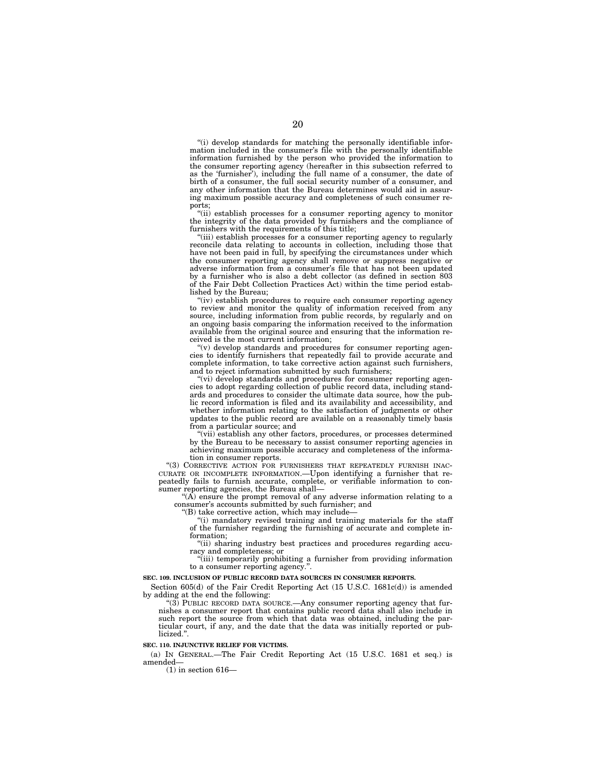''(i) develop standards for matching the personally identifiable information included in the consumer's file with the personally identifiable information furnished by the person who provided the information to the consumer reporting agency (hereafter in this subsection referred to as the 'furnisher'), including the full name of a consumer, the date of birth of a consumer, the full social security number of a consumer, and any other information that the Bureau determines would aid in assuring maximum possible accuracy and completeness of such consumer reports;

''(ii) establish processes for a consumer reporting agency to monitor the integrity of the data provided by furnishers and the compliance of furnishers with the requirements of this title;

"(iii) establish processes for a consumer reporting agency to regularly reconcile data relating to accounts in collection, including those that have not been paid in full, by specifying the circumstances under which the consumer reporting agency shall remove or suppress negative or adverse information from a consumer's file that has not been updated by a furnisher who is also a debt collector (as defined in section 803 of the Fair Debt Collection Practices Act) within the time period established by the Bureau;

''(iv) establish procedures to require each consumer reporting agency to review and monitor the quality of information received from any source, including information from public records, by regularly and on an ongoing basis comparing the information received to the information available from the original source and ensuring that the information received is the most current information;

 $(v)$  develop standards and procedures for consumer reporting agencies to identify furnishers that repeatedly fail to provide accurate and complete information, to take corrective action against such furnishers, and to reject information submitted by such furnishers;

"(vi) develop standards and procedures for consumer reporting agencies to adopt regarding collection of public record data, including standards and procedures to consider the ultimate data source, how the public record information is filed and its availability and accessibility, and whether information relating to the satisfaction of judgments or other updates to the public record are available on a reasonably timely basis from a particular source; and

"(vii) establish any other factors, procedures, or processes determined by the Bureau to be necessary to assist consumer reporting agencies in achieving maximum possible accuracy and completeness of the information in consumer reports.

"(3) CORRECTIVE ACTION FOR FURNISHERS THAT REPEATEDLY FURNISH INAC-CURATE OR INCOMPLETE INFORMATION.—Upon identifying a furnisher that repeatedly fails to furnish accurate, complete, or verifiable information to consumer reporting agencies, the Bureau shall—

 $f(A)$  ensure the prompt removal of any adverse information relating to a consumer's accounts submitted by such furnisher; and

 $'(B)$  take corrective action, which may include—

''(i) mandatory revised training and training materials for the staff of the furnisher regarding the furnishing of accurate and complete information;

''(ii) sharing industry best practices and procedures regarding accuracy and completeness; or racy and completeness; or<br>
"(iii) temporarily prohibiting a furnisher from providing information

to a consumer reporting agency."

#### **SEC. 109. INCLUSION OF PUBLIC RECORD DATA SOURCES IN CONSUMER REPORTS.**

Section 605(d) of the Fair Credit Reporting Act (15 U.S.C. 1681c(d)) is amended by adding at the end the following:

" $(3)$  PUBLIC RECORD DATA SOURCE.—Any consumer reporting agency that furnishes a consumer report that contains public record data shall also include in such report the source from which that data was obtained, including the particular court, if any, and the date that the data was initially reported or publicized.''.

#### **SEC. 110. INJUNCTIVE RELIEF FOR VICTIMS.**

(a) IN GENERAL.—The Fair Credit Reporting Act (15 U.S.C. 1681 et seq.) is amended—

 $(1)$  in section 616—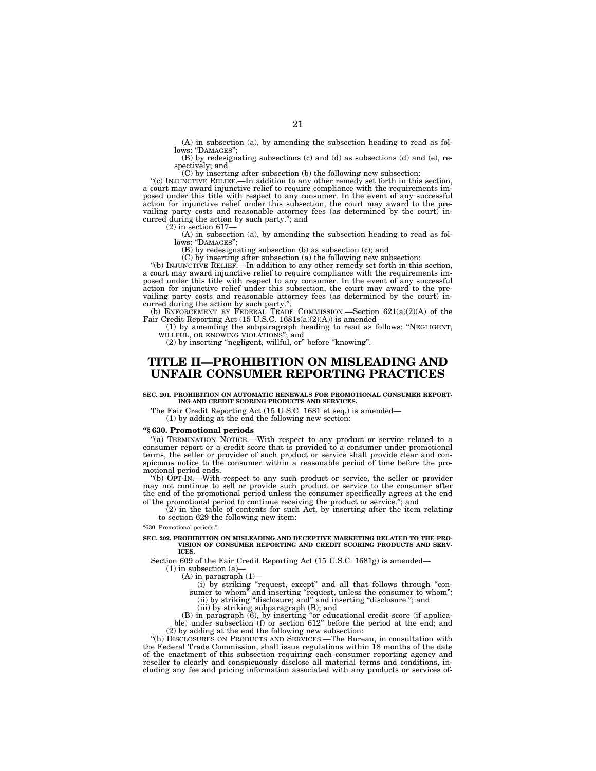(A) in subsection (a), by amending the subsection heading to read as follows: "DAMAGES";<br>(B) by redesignating subsections (c) and (d) as subsections (d) and (e), re-

spectively; and

(C) by inserting after subsection (b) the following new subsection:

''(c) INJUNCTIVE RELIEF.—In addition to any other remedy set forth in this section, a court may award injunctive relief to require compliance with the requirements imposed under this title with respect to any consumer. In the event of any successful action for injunctive relief under this subsection, the court may award to the pre-vailing party costs and reasonable attorney fees (as determined by the court) in-curred during the action by such party.''; and

(2) in section 617—

(A) in subsection (a), by amending the subsection heading to read as follows: "DAMAGES";<br>(B) by redesignating subsection (b) as subsection (c); and

(C) by inserting after subsection (a) the following new subsection: ''(b) INJUNCTIVE RELIEF.—In addition to any other remedy set forth in this section, a court may award injunctive relief to require compliance with the requirements imposed under this title with respect to any consumer. In the event of any successful action for injunctive relief under this subsection, the court may award to the pre-vailing party costs and reasonable attorney fees (as determined by the court) incurred during the action by such party.''. (b) ENFORCEMENT BY FEDERAL TRADE COMMISSION.—Section 621(a)(2)(A) of the

Fair Credit Reporting Act (15 U.S.C. 1681s(a)(2)(A)) is amended—

(1) by amending the subparagraph heading to read as follows: "NEGLIGENT,  $(2)$  by antenting the subpartagner included in teading to read as<br>(2) by inserting "negligent, willful, or" before "knowing".

## **TITLE II—PROHIBITION ON MISLEADING AND UNFAIR CONSUMER REPORTING PRACTICES**

# **SEC. 201. PROHIBITION ON AUTOMATIC RENEWALS FOR PROMOTIONAL CONSUMER REPORT-ING AND CREDIT SCORING PRODUCTS AND SERVICES.**

The Fair Credit Reporting Act (15 U.S.C. 1681 et seq.) is amended—

(1) by adding at the end the following new section:

#### **''§ 630. Promotional periods**

"(a) TERMINATION NOTICE.—With respect to any product or service related to a consumer report or a credit score that is provided to a consumer under promotional terms, the seller or provider of such product or service shall provide clear and conspicuous notice to the consumer within a reasonable period of time before the promotional period ends.

''(b) OPT-IN.—With respect to any such product or service, the seller or provider may not continue to sell or provide such product or service to the consumer after the end of the promotional period unless the consumer specifically agrees at the end of the promotional period to continue receiving the product or service.''; and

(2) in the table of contents for such Act, by inserting after the item relating to section 629 the following new item:

#### ''630. Promotional periods.''.

**SEC. 202. PROHIBITION ON MISLEADING AND DECEPTIVE MARKETING RELATED TO THE PRO-VISION OF CONSUMER REPORTING AND CREDIT SCORING PRODUCTS AND SERV-ICES.** 

Section 609 of the Fair Credit Reporting Act (15 U.S.C. 1681g) is amended—

 $(1)$  in subsection  $(a)$ 

(A) in paragraph (1)—

(i) by striking ''request, except'' and all that follows through ''consumer to whom" and inserting "request, unless the consumer to whom"; (ii) by striking "disclosure; and" and inserting "disclosure."; and

(iii) by striking subparagraph (B); and

(B) in paragraph (6), by inserting ''or educational credit score (if applicable) under subsection (f) or section 612'' before the period at the end; and (2) by adding at the end the following new subsection:

''(h) DISCLOSURES ON PRODUCTS AND SERVICES.—The Bureau, in consultation with the Federal Trade Commission, shall issue regulations within 18 months of the date of the enactment of this subsection requiring each consumer reporting agency and reseller to clearly and conspicuously disclose all material terms and conditions, including any fee and pricing information associated with any products or services of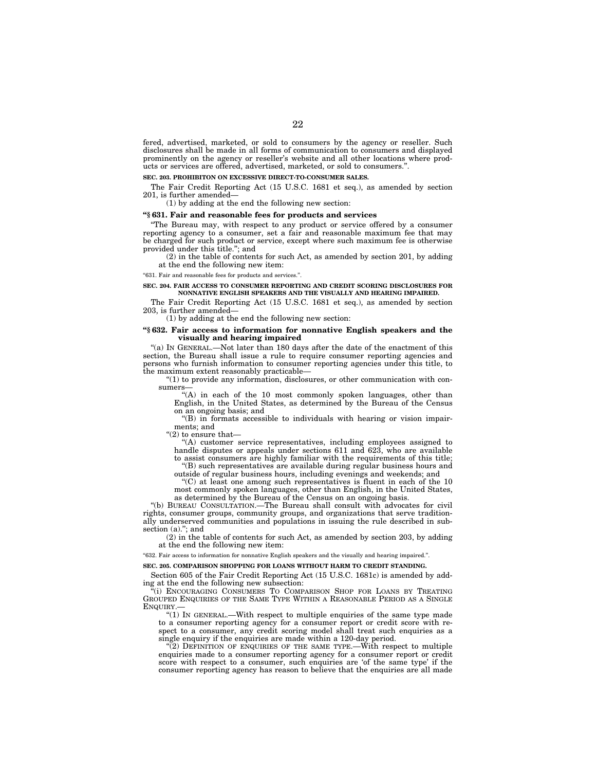fered, advertised, marketed, or sold to consumers by the agency or reseller. Such disclosures shall be made in all forms of communication to consumers and displayed prominently on the agency or reseller's website and all other locations where products or services are offered, advertised, marketed, or sold to consumers.'

#### **SEC. 203. PROHIBITON ON EXCESSIVE DIRECT-TO-CONSUMER SALES.**

The Fair Credit Reporting Act (15 U.S.C. 1681 et seq.), as amended by section 201, is further amended—

(1) by adding at the end the following new section:

#### **''§ 631. Fair and reasonable fees for products and services**

''The Bureau may, with respect to any product or service offered by a consumer reporting agency to a consumer, set a fair and reasonable maximum fee that may be charged for such product or service, except where such maximum fee is otherwise provided under this title.''; and

(2) in the table of contents for such Act, as amended by section 201, by adding at the end the following new item:

''631. Fair and reasonable fees for products and services.''.

#### **SEC. 204. FAIR ACCESS TO CONSUMER REPORTING AND CREDIT SCORING DISCLOSURES FOR NONNATIVE ENGLISH SPEAKERS AND THE VISUALLY AND HEARING IMPAIRED.**

The Fair Credit Reporting Act (15 U.S.C. 1681 et seq.), as amended by section 203, is further amended—

(1) by adding at the end the following new section:

#### **''§ 632. Fair access to information for nonnative English speakers and the visually and hearing impaired**

"(a) IN GENERAL.—Not later than 180 days after the date of the enactment of this section, the Bureau shall issue a rule to require consumer reporting agencies and persons who furnish information to consumer reporting agencies under this title, to the maximum extent reasonably practicable—

 $"(1)$  to provide any information, disclosures, or other communication with consumers—

"(A) in each of the 10 most commonly spoken languages, other than English, in the United States, as determined by the Bureau of the Census on an ongoing basis; and

''(B) in formats accessible to individuals with hearing or vision impairments; and

" $(2)$  to ensure that-

''(A) customer service representatives, including employees assigned to handle disputes or appeals under sections 611 and 623, who are available to assist consumers are highly familiar with the requirements of this title; ''(B) such representatives are available during regular business hours and

outside of regular business hours, including evenings and weekends; and ''(C) at least one among such representatives is fluent in each of the 10 most commonly spoken languages, other than English, in the United States, as determined by the Bureau of the Census on an ongoing basis.

''(b) BUREAU CONSULTATION.—The Bureau shall consult with advocates for civil rights, consumer groups, community groups, and organizations that serve traditionally underserved communities and populations in issuing the rule described in subsection (a).": and

(2) in the table of contents for such Act, as amended by section 203, by adding at the end the following new item:

''632. Fair access to information for nonnative English speakers and the visually and hearing impaired.''.

**SEC. 205. COMPARISON SHOPPING FOR LOANS WITHOUT HARM TO CREDIT STANDING.** 

Section 605 of the Fair Credit Reporting Act (15 U.S.C. 1681c) is amended by adding at the end the following new subsection:

''(i) ENCOURAGING CONSUMERS TO COMPARISON SHOP FOR LOANS BY TREATING GROUPED ENQUIRIES OF THE SAME TYPE WITHIN A REASONABLE PERIOD AS A SINGLE ENQUIRY.-

''(1) IN GENERAL.—With respect to multiple enquiries of the same type made to a consumer reporting agency for a consumer report or credit score with respect to a consumer, any credit scoring model shall treat such enquiries as a single enquiry if the enquiries are made within a 120-day period.

"(2) DEFINITION OF ENQUIRIES OF THE SAME TYPE.—With respect to multiple enquiries made to a consumer reporting agency for a consumer report or credit score with respect to a consumer, such enquiries are 'of the same type' if the consumer reporting agency has reason to believe that the enquiries are all made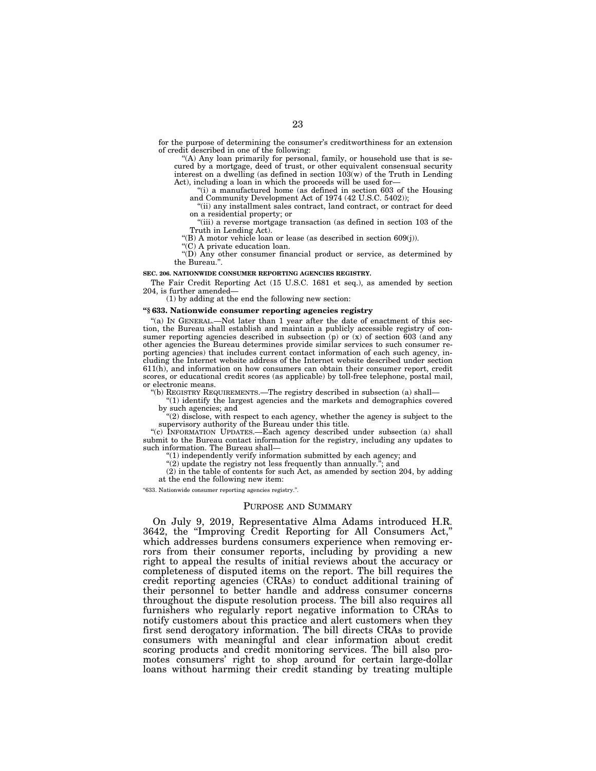for the purpose of determining the consumer's creditworthiness for an extension of credit described in one of the following:

"(A) Any loan primarily for personal, family, or household use that is secured by a mortgage, deed of trust, or other equivalent consensual security interest on a dwelling (as defined in section  $103(w)$  of the Truth in Lending Act), including a loan in which the proceeds will be used for—

 $'(i)$  a manufactured home (as defined in section 603 of the Housing and Community Development Act of 1974 (42 U.S.C. 5402));

''(ii) any installment sales contract, land contract, or contract for deed on a residential property; or

"(iii) a reverse mortgage transaction (as defined in section 103 of the Truth in Lending Act).

''(B) A motor vehicle loan or lease (as described in section 609(j)).

''(C) A private education loan.

''(D) Any other consumer financial product or service, as determined by the Bureau.''.

#### **SEC. 206. NATIONWIDE CONSUMER REPORTING AGENCIES REGISTRY.**

The Fair Credit Reporting Act (15 U.S.C. 1681 et seq.), as amended by section 204, is further amended—

(1) by adding at the end the following new section:

#### **''§ 633. Nationwide consumer reporting agencies registry**

"(a) IN GENERAL.—Not later than 1 year after the date of enactment of this section, the Bureau shall establish and maintain a publicly accessible registry of consumer reporting agencies described in subsection (p) or  $(x)$  of section 603 (and any other agencies the Bureau determines provide similar services to such consumer reporting agencies) that includes current contact information of each such agency, including the Internet website address of the Internet website described under section 611(h), and information on how consumers can obtain their consumer report, credit scores, or educational credit scores (as applicable) by toll-free telephone, postal mail, or electronic means.

''(b) REGISTRY REQUIREMENTS.—The registry described in subsection (a) shall—

''(1) identify the largest agencies and the markets and demographics covered by such agencies; and

''(2) disclose, with respect to each agency, whether the agency is subject to the supervisory authority of the Bureau under this title.

''(c) INFORMATION UPDATES.—Each agency described under subsection (a) shall submit to the Bureau contact information for the registry, including any updates to such information. The Bureau shall—

''(1) independently verify information submitted by each agency; and

''(2) update the registry not less frequently than annually.''; and

(2) in the table of contents for such Act, as amended by section 204, by adding at the end the following new item:

''633. Nationwide consumer reporting agencies registry.''.

#### PURPOSE AND SUMMARY

On July 9, 2019, Representative Alma Adams introduced H.R. 3642, the ''Improving Credit Reporting for All Consumers Act,'' which addresses burdens consumers experience when removing errors from their consumer reports, including by providing a new right to appeal the results of initial reviews about the accuracy or completeness of disputed items on the report. The bill requires the credit reporting agencies (CRAs) to conduct additional training of their personnel to better handle and address consumer concerns throughout the dispute resolution process. The bill also requires all furnishers who regularly report negative information to CRAs to notify customers about this practice and alert customers when they first send derogatory information. The bill directs CRAs to provide consumers with meaningful and clear information about credit scoring products and credit monitoring services. The bill also promotes consumers' right to shop around for certain large-dollar loans without harming their credit standing by treating multiple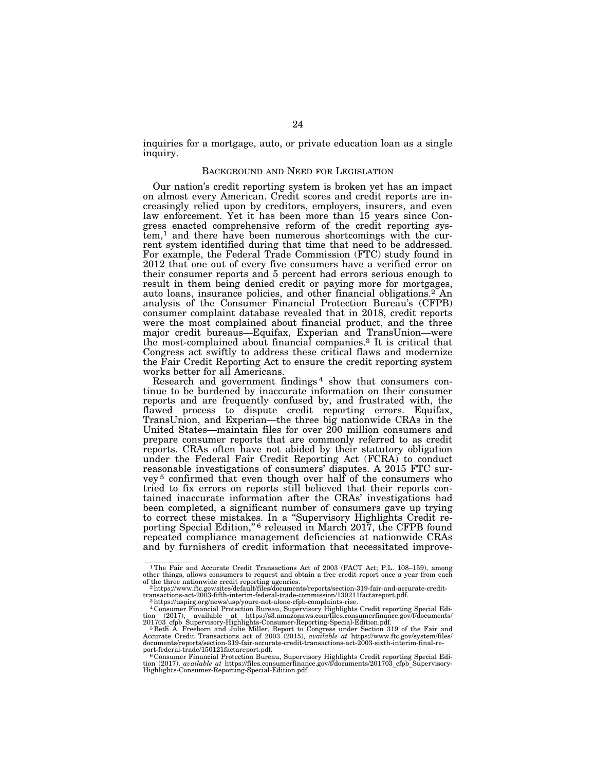inquiries for a mortgage, auto, or private education loan as a single inquiry.

## BACKGROUND AND NEED FOR LEGISLATION

Our nation's credit reporting system is broken yet has an impact on almost every American. Credit scores and credit reports are increasingly relied upon by creditors, employers, insurers, and even law enforcement. Yet it has been more than 15 years since Congress enacted comprehensive reform of the credit reporting system,1 and there have been numerous shortcomings with the current system identified during that time that need to be addressed. For example, the Federal Trade Commission (FTC) study found in 2012 that one out of every five consumers have a verified error on their consumer reports and 5 percent had errors serious enough to result in them being denied credit or paying more for mortgages, auto loans, insurance policies, and other financial obligations.2 An analysis of the Consumer Financial Protection Bureau's (CFPB) consumer complaint database revealed that in 2018, credit reports were the most complained about financial product, and the three major credit bureaus—Equifax, Experian and TransUnion—were the most-complained about financial companies.3 It is critical that Congress act swiftly to address these critical flaws and modernize the Fair Credit Reporting Act to ensure the credit reporting system works better for all Americans.

Research and government findings<sup>4</sup> show that consumers continue to be burdened by inaccurate information on their consumer reports and are frequently confused by, and frustrated with, the flawed process to dispute credit reporting errors. Equifax, TransUnion, and Experian—the three big nationwide CRAs in the United States—maintain files for over 200 million consumers and prepare consumer reports that are commonly referred to as credit reports. CRAs often have not abided by their statutory obligation under the Federal Fair Credit Reporting Act (FCRA) to conduct reasonable investigations of consumers' disputes. A 2015 FTC survey 5 confirmed that even though over half of the consumers who tried to fix errors on reports still believed that their reports contained inaccurate information after the CRAs' investigations had been completed, a significant number of consumers gave up trying to correct these mistakes. In a ''Supervisory Highlights Credit reporting Special Edition,"<sup>6</sup> released in March 2017, the CFPB found repeated compliance management deficiencies at nationwide CRAs and by furnishers of credit information that necessitated improve-

<sup>&</sup>lt;sup>1</sup>The Fair and Accurate Credit Transactions Act of 2003 (FACT Act; P.L. 108-159), among other things, allows consumers to request and obtain a free credit report once a year from each

<sup>%</sup> of the three nationwide credit reporting agencies.  $^{2}$  https://www.ftc.gov/sites/default/files/documents/reports/section-319-fair-and-accurate-credit-transactions-act-2003-fifth-interim-federal-trade-commission/130211 transactions-act-2003-fifth-interim-federal-trade-commission/130211factareport.pdf.<br>3 https://uspirg.org/news/usp/youre-not-alone-cfpb-complaints-rise.<br>4 Consumer Financial Protection Bureau, Supervisory Highlights Credit

tion (2017), available at https://s3.amazonaws.com/files.consumerfinance.gov/f/documents/<br>201703.cfpb Supervisory-Highlights-Consumer-Reporting-Special-Edition.pdf.<br>- 5-Beth A. Freeborn and Julie Miller, Report to Congress

Accurate Credit Transactions act of 2003 (2015), *available at* https://www.ftc.gov/system/files/ documents/reports/section-319-fair-accurate-credit-transactions-act-2003-sixth-interim-final-re-

port-federal-trade/150121factareport.pdf.<br>" Consumer Financial Protection Bureau, Supervisory Highlights Credit reporting Special Edi-<br>tion (2017), available at https://files.consumerfinance.gov/f/documents/201703\_cfpb\_Sup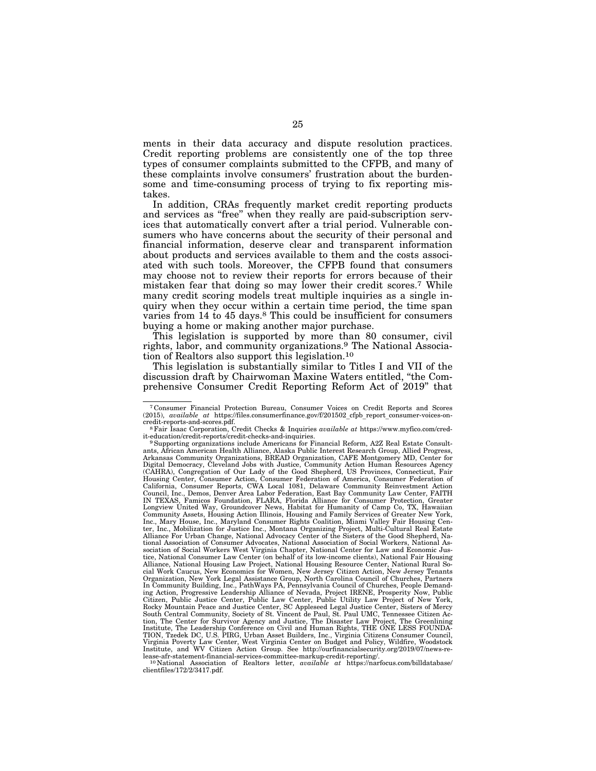ments in their data accuracy and dispute resolution practices. Credit reporting problems are consistently one of the top three types of consumer complaints submitted to the CFPB, and many of these complaints involve consumers' frustration about the burdensome and time-consuming process of trying to fix reporting mistakes.

In addition, CRAs frequently market credit reporting products and services as ''free'' when they really are paid-subscription services that automatically convert after a trial period. Vulnerable consumers who have concerns about the security of their personal and financial information, deserve clear and transparent information about products and services available to them and the costs associated with such tools. Moreover, the CFPB found that consumers may choose not to review their reports for errors because of their mistaken fear that doing so may lower their credit scores.7 While many credit scoring models treat multiple inquiries as a single inquiry when they occur within a certain time period, the time span varies from 14 to 45 days.<sup>8</sup> This could be insufficient for consumers buying a home or making another major purchase.

This legislation is supported by more than 80 consumer, civil rights, labor, and community organizations.9 The National Association of Realtors also support this legislation.10

This legislation is substantially similar to Titles I and VII of the discussion draft by Chairwoman Maxine Waters entitled, ''the Comprehensive Consumer Credit Reporting Reform Act of 2019'' that

lease-afr-statement-financial-services-committee-markup-credit-reporting/. 10 National Association of Realtors letter, *available at* https://narfocus.com/billdatabase/ clientfiles/172/2/3417.pdf.

<sup>7</sup> Consumer Financial Protection Bureau, Consumer Voices on Credit Reports and Scores (2015), *available at* https://files.consumerfinance.gov/f/201502\_cfpb\_report\_consumer-voices-on-

<sup>&</sup>lt;sup>8</sup>Fair Isaac Corporation, Credit Checks & Inquiries *available at* https://www.myfico.com/credit-education/credit-reports/credit-checks-and-inquiries.

it-education/credit-reports/credit-checks-and-inquiries.<br>Bupporting organizations include Americans for Financial Reform, A2Z Real Estate Consult- (3) Supporting organizations include Americans for Financial Reform, Allied Arkansas Community Organizations, BREAD Organization, CAFE Montgomery MD, Center for Digital Democracy, Cleveland Jobs with Justice, Community Action Human Resources Agency (CAHRA), Congregation of Our Lady of the Good Shepherd, US Provinces, Connecticut, Fair<br>Housing Center, Consumer Action, Consumer Federation of America, Consumer Federation of<br>California, Consumer Reports, CWA Local 1081, Council, Inc., Demos, Denver Area Labor Federation, East Bay Community Law Center, FAITH IN TEXAS, Famicos Foundation, FLARA, Florida Alliance for Consumer Protection, Greater<br>Longview United Way, Groundcover News, Habitat for Humanity of Camp Co, TX, Hawaiian<br>Community Assets, Housing Action Illinois, Housing Inc., Mary House, Inc., Maryland Consumer Rights Coalition, Miami Valley Fair Housing Center, Inc., Mobilization for Justice Inc., Montana Organizing Project, Multi-Cultural Real Estate<br>Alliance For Urban Change, National sociation of Social Workers West Virginia Chapter, National Center for Law and Economic Jus-tice, National Consumer Law Center (on behalf of its low-income clients), National Fair Housing Alliance, National Housing Law Project, National Housing Resource Center, National Rural Social Work Caucus, New Economics for Women, New Jersey Citizen Action, New Jersey Tenants Organization, New York Legal Assistance Group, North Carolina Council of Churches, Partners In Community Building, Inc., PathWays PA, Pennsylvania Council of Churches, People Demanding Action, Progressive Leadership Alliance of Nevada, Project IRENE, Prosperity Now, Public Citizen, Public Justice Center, Public Law Center, Public Utility Law Project of New York, Rocky Mountain Peace and Justice Center, SC Appleseed Legal Justice Center, Sisters of Mercy South Central Community, Society of St. Vincent de Paul, St. Paul UMC, Tennessee Citizen Action, The Center for Survivor Agency and Justice, The Disaster Law Project, The Greenlining<br>Institute, The Leadership Conference on Civil and Human Rights, THE ONE LESS FOUNDA-<br>TION, Tzedek DC, U.S. PIRG, Urban Asset Build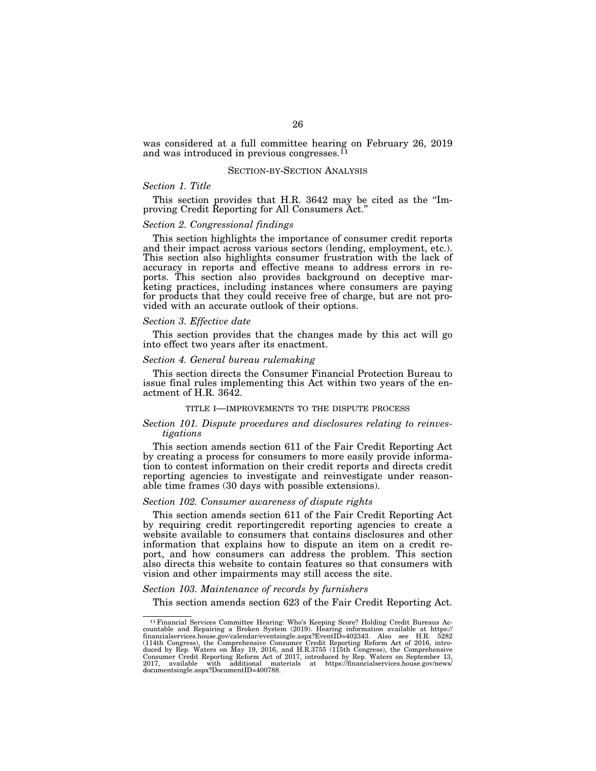was considered at a full committee hearing on February 26, 2019 and was introduced in previous congresses.<sup>11</sup>

#### SECTION-BY-SECTION ANALYSIS

#### *Section 1. Title*

This section provides that H.R. 3642 may be cited as the "Improving Credit Reporting for All Consumers Act.''

## *Section 2. Congressional findings*

This section highlights the importance of consumer credit reports and their impact across various sectors (lending, employment, etc.). This section also highlights consumer frustration with the lack of accuracy in reports and effective means to address errors in reports. This section also provides background on deceptive marketing practices, including instances where consumers are paying for products that they could receive free of charge, but are not provided with an accurate outlook of their options.

## *Section 3. Effective date*

This section provides that the changes made by this act will go into effect two years after its enactment.

#### *Section 4. General bureau rulemaking*

This section directs the Consumer Financial Protection Bureau to issue final rules implementing this Act within two years of the enactment of H.R. 3642.

### TITLE I—IMPROVEMENTS TO THE DISPUTE PROCESS

## *Section 101. Dispute procedures and disclosures relating to reinvestigations*

This section amends section 611 of the Fair Credit Reporting Act by creating a process for consumers to more easily provide information to contest information on their credit reports and directs credit reporting agencies to investigate and reinvestigate under reasonable time frames (30 days with possible extensions).

#### *Section 102. Consumer awareness of dispute rights*

This section amends section 611 of the Fair Credit Reporting Act by requiring credit reportingcredit reporting agencies to create a website available to consumers that contains disclosures and other information that explains how to dispute an item on a credit report, and how consumers can address the problem. This section also directs this website to contain features so that consumers with vision and other impairments may still access the site.

## *Section 103. Maintenance of records by furnishers*

This section amends section 623 of the Fair Credit Reporting Act.

<sup>&</sup>lt;sup>11</sup> Financial Services Committee Hearing: Who's Keeping Score? Holding Credit Bureaus Accountable and Repairing a Broken System (2019). Hearing information available at https://<br>financialservices.house.gov/calendar/event Consumer Credit Reporting Reform Act of 2017, introduced by Rep. Waters on September 13, 2017, available with additional materials at https://financialservices.house.gov/news/ documentsingle.aspx?DocumentID=400788.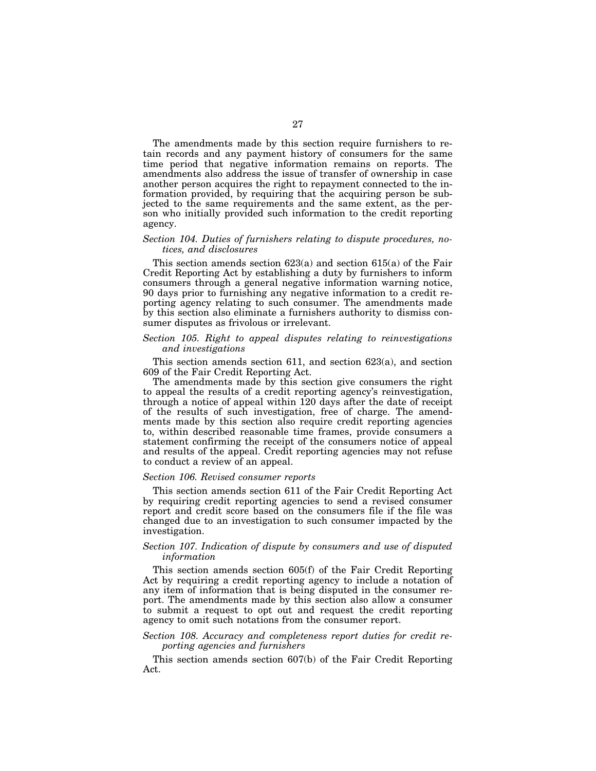The amendments made by this section require furnishers to retain records and any payment history of consumers for the same time period that negative information remains on reports. The amendments also address the issue of transfer of ownership in case another person acquires the right to repayment connected to the information provided, by requiring that the acquiring person be subjected to the same requirements and the same extent, as the person who initially provided such information to the credit reporting agency.

## *Section 104. Duties of furnishers relating to dispute procedures, notices, and disclosures*

This section amends section 623(a) and section 615(a) of the Fair Credit Reporting Act by establishing a duty by furnishers to inform consumers through a general negative information warning notice, 90 days prior to furnishing any negative information to a credit reporting agency relating to such consumer. The amendments made by this section also eliminate a furnishers authority to dismiss consumer disputes as frivolous or irrelevant.

## *Section 105. Right to appeal disputes relating to reinvestigations and investigations*

This section amends section 611, and section 623(a), and section 609 of the Fair Credit Reporting Act.

The amendments made by this section give consumers the right to appeal the results of a credit reporting agency's reinvestigation, through a notice of appeal within 120 days after the date of receipt of the results of such investigation, free of charge. The amendments made by this section also require credit reporting agencies to, within described reasonable time frames, provide consumers a statement confirming the receipt of the consumers notice of appeal and results of the appeal. Credit reporting agencies may not refuse to conduct a review of an appeal.

#### *Section 106. Revised consumer reports*

This section amends section 611 of the Fair Credit Reporting Act by requiring credit reporting agencies to send a revised consumer report and credit score based on the consumers file if the file was changed due to an investigation to such consumer impacted by the investigation.

## *Section 107. Indication of dispute by consumers and use of disputed information*

This section amends section 605(f) of the Fair Credit Reporting Act by requiring a credit reporting agency to include a notation of any item of information that is being disputed in the consumer report. The amendments made by this section also allow a consumer to submit a request to opt out and request the credit reporting agency to omit such notations from the consumer report.

## *Section 108. Accuracy and completeness report duties for credit reporting agencies and furnishers*

This section amends section 607(b) of the Fair Credit Reporting Act.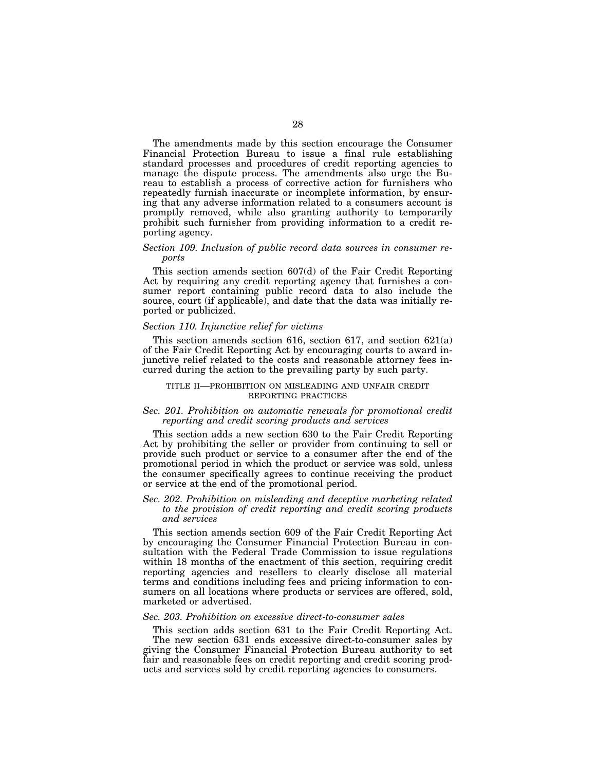The amendments made by this section encourage the Consumer Financial Protection Bureau to issue a final rule establishing standard processes and procedures of credit reporting agencies to manage the dispute process. The amendments also urge the Bureau to establish a process of corrective action for furnishers who repeatedly furnish inaccurate or incomplete information, by ensuring that any adverse information related to a consumers account is promptly removed, while also granting authority to temporarily prohibit such furnisher from providing information to a credit reporting agency.

#### *Section 109. Inclusion of public record data sources in consumer reports*

This section amends section 607(d) of the Fair Credit Reporting Act by requiring any credit reporting agency that furnishes a consumer report containing public record data to also include the source, court (if applicable), and date that the data was initially reported or publicized.

## *Section 110. Injunctive relief for victims*

This section amends section 616, section 617, and section 621(a) of the Fair Credit Reporting Act by encouraging courts to award injunctive relief related to the costs and reasonable attorney fees incurred during the action to the prevailing party by such party.

## TITLE II—PROHIBITION ON MISLEADING AND UNFAIR CREDIT REPORTING PRACTICES

## *Sec. 201. Prohibition on automatic renewals for promotional credit reporting and credit scoring products and services*

This section adds a new section 630 to the Fair Credit Reporting Act by prohibiting the seller or provider from continuing to sell or provide such product or service to a consumer after the end of the promotional period in which the product or service was sold, unless the consumer specifically agrees to continue receiving the product or service at the end of the promotional period.

## *Sec. 202. Prohibition on misleading and deceptive marketing related to the provision of credit reporting and credit scoring products and services*

This section amends section 609 of the Fair Credit Reporting Act by encouraging the Consumer Financial Protection Bureau in consultation with the Federal Trade Commission to issue regulations within 18 months of the enactment of this section, requiring credit reporting agencies and resellers to clearly disclose all material terms and conditions including fees and pricing information to consumers on all locations where products or services are offered, sold, marketed or advertised.

## *Sec. 203. Prohibition on excessive direct-to-consumer sales*

This section adds section 631 to the Fair Credit Reporting Act. The new section 631 ends excessive direct-to-consumer sales by giving the Consumer Financial Protection Bureau authority to set fair and reasonable fees on credit reporting and credit scoring products and services sold by credit reporting agencies to consumers.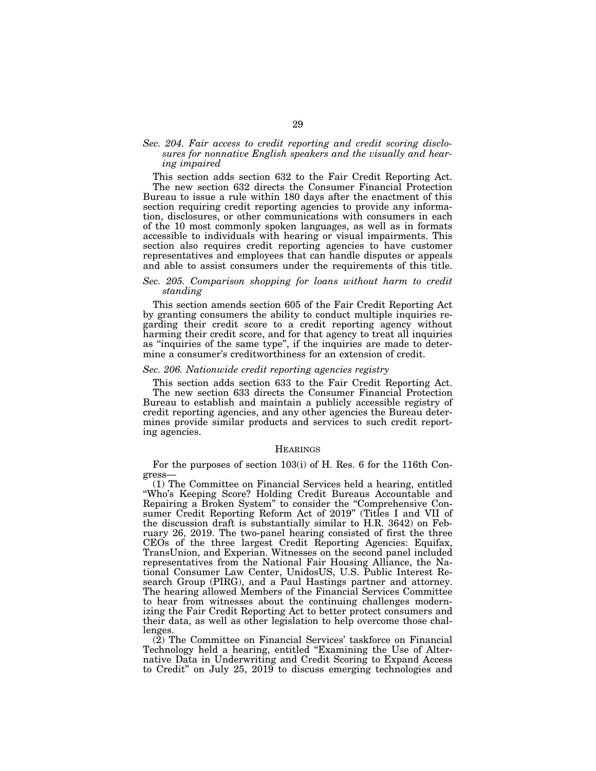## *Sec. 204. Fair access to credit reporting and credit scoring disclosures for nonnative English speakers and the visually and hearing impaired*

This section adds section 632 to the Fair Credit Reporting Act. The new section 632 directs the Consumer Financial Protection Bureau to issue a rule within 180 days after the enactment of this section requiring credit reporting agencies to provide any information, disclosures, or other communications with consumers in each of the 10 most commonly spoken languages, as well as in formats accessible to individuals with hearing or visual impairments. This section also requires credit reporting agencies to have customer representatives and employees that can handle disputes or appeals and able to assist consumers under the requirements of this title.

### *Sec. 205. Comparison shopping for loans without harm to credit standing*

This section amends section 605 of the Fair Credit Reporting Act by granting consumers the ability to conduct multiple inquiries regarding their credit score to a credit reporting agency without harming their credit score, and for that agency to treat all inquiries as ''inquiries of the same type'', if the inquiries are made to determine a consumer's creditworthiness for an extension of credit.

## *Sec. 206. Nationwide credit reporting agencies registry*

This section adds section 633 to the Fair Credit Reporting Act. The new section 633 directs the Consumer Financial Protection Bureau to establish and maintain a publicly accessible registry of credit reporting agencies, and any other agencies the Bureau determines provide similar products and services to such credit reporting agencies.

## **HEARINGS**

For the purposes of section 103(i) of H. Res. 6 for the 116th Congress—

(1) The Committee on Financial Services held a hearing, entitled ''Who's Keeping Score? Holding Credit Bureaus Accountable and Repairing a Broken System'' to consider the ''Comprehensive Consumer Credit Reporting Reform Act of 2019'' (Titles I and VII of the discussion draft is substantially similar to H.R. 3642) on February 26, 2019. The two-panel hearing consisted of first the three CEOs of the three largest Credit Reporting Agencies: Equifax, TransUnion, and Experian. Witnesses on the second panel included representatives from the National Fair Housing Alliance, the National Consumer Law Center, UnidosUS, U.S. Public Interest Research Group (PIRG), and a Paul Hastings partner and attorney. The hearing allowed Members of the Financial Services Committee to hear from witnesses about the continuing challenges modernizing the Fair Credit Reporting Act to better protect consumers and their data, as well as other legislation to help overcome those challenges.

 $(2)$  The Committee on Financial Services' taskforce on Financial Technology held a hearing, entitled ''Examining the Use of Alternative Data in Underwriting and Credit Scoring to Expand Access to Credit'' on July 25, 2019 to discuss emerging technologies and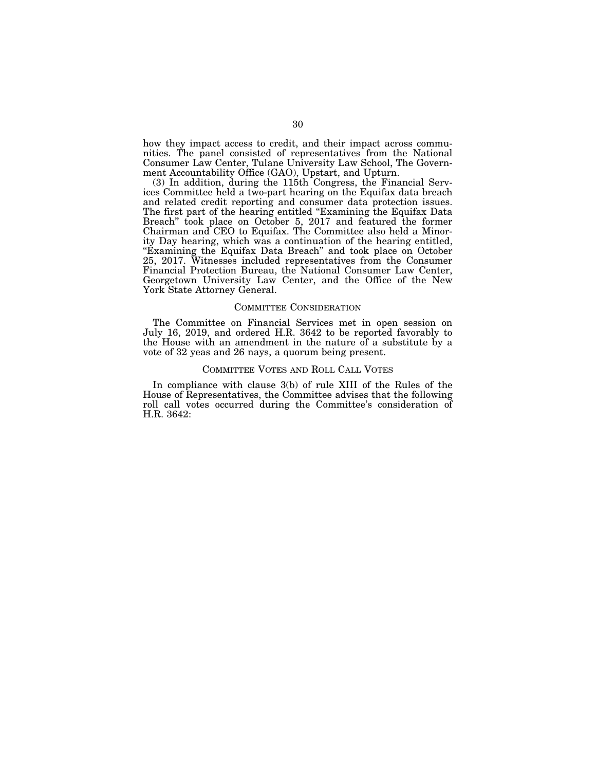how they impact access to credit, and their impact across communities. The panel consisted of representatives from the National Consumer Law Center, Tulane University Law School, The Government Accountability Office (GAO), Upstart, and Upturn.

(3) In addition, during the 115th Congress, the Financial Services Committee held a two-part hearing on the Equifax data breach and related credit reporting and consumer data protection issues. The first part of the hearing entitled "Examining the Equifax Data Breach'' took place on October 5, 2017 and featured the former Chairman and CEO to Equifax. The Committee also held a Minority Day hearing, which was a continuation of the hearing entitled, "Examining the Equifax Data Breach" and took place on October 25, 2017. Witnesses included representatives from the Consumer Financial Protection Bureau, the National Consumer Law Center, Georgetown University Law Center, and the Office of the New York State Attorney General.

## COMMITTEE CONSIDERATION

The Committee on Financial Services met in open session on July 16, 2019, and ordered H.R. 3642 to be reported favorably to the House with an amendment in the nature of a substitute by a vote of 32 yeas and 26 nays, a quorum being present.

## COMMITTEE VOTES AND ROLL CALL VOTES

In compliance with clause 3(b) of rule XIII of the Rules of the House of Representatives, the Committee advises that the following roll call votes occurred during the Committee's consideration of H.R. 3642: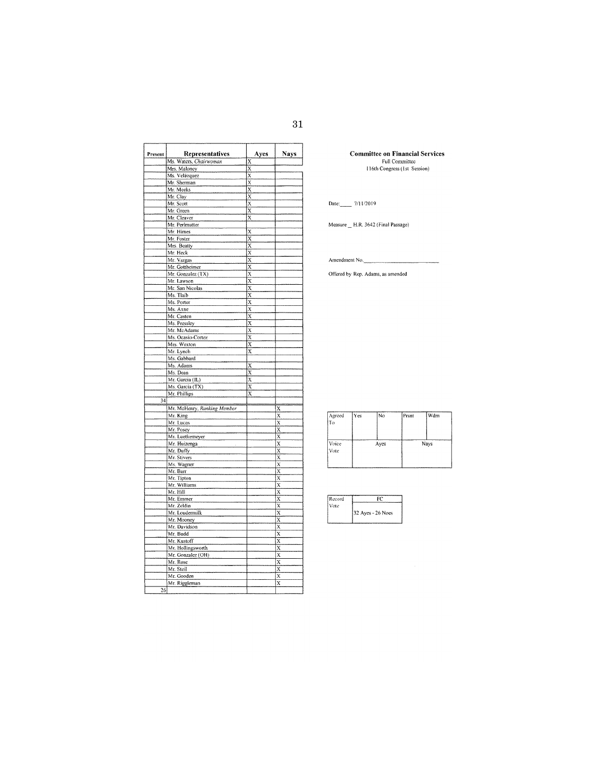| Present | Representatives             | Ayes                    | Nays                    |
|---------|-----------------------------|-------------------------|-------------------------|
|         | Ms. Waters, Chairwoman      | $\overline{\mathbf{x}}$ |                         |
|         | Mrs. Maloney                | $\overline{\mathbf{x}}$ |                         |
|         | Ms. Velázquez               | X                       |                         |
|         | Mr. Sherman                 | $\overline{\mathbf{x}}$ |                         |
|         | Mr. Meeks                   | X                       |                         |
|         | Mr. Clay                    | X                       |                         |
|         | Mr. Scott                   | X                       |                         |
|         | Mr. Green                   | X                       |                         |
|         | Mr. Cleaver                 | X                       |                         |
|         | Mr. Perlmutter              |                         |                         |
|         | Mr. Himes                   | X                       |                         |
|         | Mr. Foster                  | X                       |                         |
|         | Mrs. Beatty                 | X                       |                         |
|         | Mr. Heck                    | X                       |                         |
|         |                             |                         |                         |
|         | Mr. Vargas                  | X                       |                         |
|         | Mr. Gottheimer              | $\overline{\mathsf{x}}$ |                         |
|         | Mr. Gonzalez (TX)           | X                       |                         |
|         | Mr. Lawson                  | $\overline{\mathbf{x}}$ |                         |
|         | Mr. San Nicolas             | X                       |                         |
|         | Ms. Tlaib                   | X                       |                         |
|         | Ms. Porter                  | X                       |                         |
|         | Ms. Axne                    | $\overline{x}$          |                         |
|         | Mr. Casten                  | X                       |                         |
|         | Ms. Pressley                | X                       |                         |
|         | Mr. McAdams                 | X                       |                         |
|         | Ms. Ocasio-Cortez           | X                       |                         |
|         | Mrs. Wexton                 | X                       |                         |
|         | Mr. Lynch                   | X                       |                         |
|         | Ms. Gabbard                 |                         |                         |
|         | Ms. Adams                   | X                       |                         |
|         | Ms. Dean                    | X                       |                         |
|         |                             | $\overline{\mathbf{x}}$ |                         |
|         | Mr. Garcia (IL)             | X                       |                         |
|         | Ms. Garcia (TX)             | $\overline{\mathbf{x}}$ |                         |
| 34      | Mr. Phillips                |                         |                         |
|         |                             |                         |                         |
|         | Mr. McHenry, Ranking Member |                         | x                       |
|         | Mr. King                    |                         | X                       |
|         | Mr. Lucas                   |                         | $\overline{\mathbf{x}}$ |
|         | Mr. Posey                   |                         | $\overline{\mathbf{x}}$ |
|         | Mr. Luetkemeyer             |                         | $\overline{\mathbf{x}}$ |
|         | Mr. Huizenga                |                         | X                       |
|         | Mr. Duffy                   |                         | $\overline{\mathbf{x}}$ |
|         | Mr. Stivers                 |                         | X                       |
|         | Ms. Wagner                  |                         | $\overline{X}$          |
|         | Mr. Barr                    |                         | $\overline{x}$          |
|         | Mr. Tipton                  |                         | $\overline{x}$          |
|         | Mr. Williams                |                         | $\overline{x}$          |
|         | Mr. Hill                    |                         | $\overline{\mathsf{x}}$ |
|         | Mr. Emmer                   |                         | $\bar{\text{x}}$        |
|         | Mr. Zeldin                  |                         | $\overline{\mathbf{x}}$ |
|         | Mr. Loudermilk              |                         | X                       |
|         | Mr. Mooney                  |                         | X                       |
|         |                             |                         |                         |
|         | Mr. Davidson                |                         | X                       |
|         | Mr. Budd                    |                         | $\overline{\mathbf{x}}$ |
|         | Mr. Kustoff                 |                         | X                       |
|         | Mr. Hollingsworth           |                         | X                       |
|         | Mr. Gonzalez (OH)           |                         | X                       |
|         | Mr. Rose                    |                         | X                       |
|         | Mr. Steil                   |                         | X                       |
|         | Mr. Gooden                  |                         | $\overline{\mathbf{x}}$ |
|         | Mr. Riggleman               |                         | X                       |
| 26      |                             |                         |                         |
|         |                             |                         |                         |

**Committee on Financial Services**<br>Full Committee<br>116th Congress (1st Session)

Date:\_\_\_\_\_ 7/11/2019

Measure \_ H.R. 3642 (Final Passage)

Amendment No.

Offered by Rep. Adams, as amended

| Agreed<br>İΤo | l Yes | l No | Prsnt | Wdrn |
|---------------|-------|------|-------|------|
| Voice<br>Vote |       | Ayes |       | Nays |
|               |       |      |       |      |

| Record |                   |
|--------|-------------------|
| Vote   |                   |
|        | 32 Ayes - 26 Noes |
|        |                   |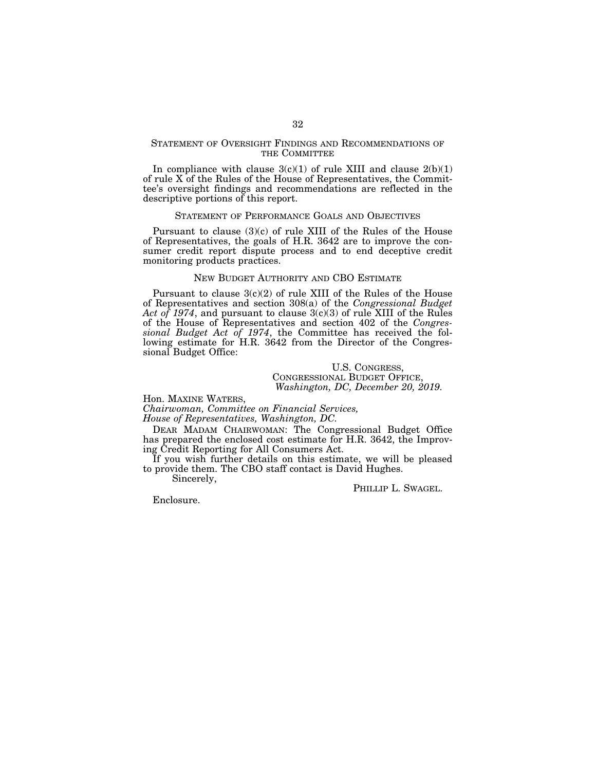## STATEMENT OF OVERSIGHT FINDINGS AND RECOMMENDATIONS OF THE COMMITTEE

In compliance with clause  $3(c)(1)$  of rule XIII and clause  $2(b)(1)$ of rule X of the Rules of the House of Representatives, the Committee's oversight findings and recommendations are reflected in the descriptive portions of this report.

## STATEMENT OF PERFORMANCE GOALS AND OBJECTIVES

Pursuant to clause  $(3)(c)$  of rule XIII of the Rules of the House of Representatives, the goals of H.R. 3642 are to improve the consumer credit report dispute process and to end deceptive credit monitoring products practices.

## NEW BUDGET AUTHORITY AND CBO ESTIMATE

Pursuant to clause 3(c)(2) of rule XIII of the Rules of the House of Representatives and section 308(a) of the *Congressional Budget Act of 1974*, and pursuant to clause 3(c)(3) of rule XIII of the Rules of the House of Representatives and section 402 of the *Congressional Budget Act of 1974*, the Committee has received the following estimate for H.R. 3642 from the Director of the Congressional Budget Office:

# U.S. CONGRESS, CONGRESSIONAL BUDGET OFFICE, *Washington, DC, December 20, 2019.*

Hon. MAXINE WATERS,

*Chairwoman, Committee on Financial Services, House of Representatives, Washington, DC.* 

DEAR MADAM CHAIRWOMAN: The Congressional Budget Office has prepared the enclosed cost estimate for H.R. 3642, the Improving Credit Reporting for All Consumers Act.

If you wish further details on this estimate, we will be pleased to provide them. The CBO staff contact is David Hughes.

Sincerely,

PHILLIP L. SWAGEL.

Enclosure.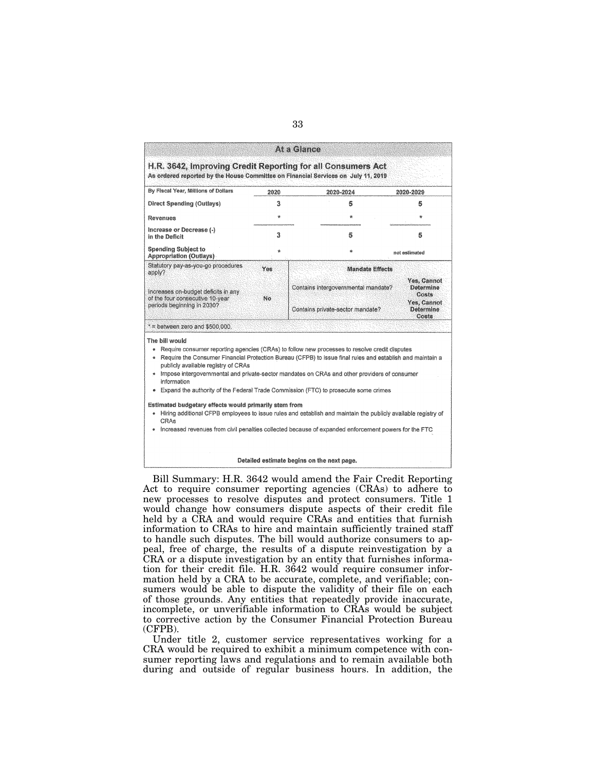|                                                                                                                                                  |      | At a Glance                                                                                                                                                                                                                                                                                                                                                                                         |                                          |
|--------------------------------------------------------------------------------------------------------------------------------------------------|------|-----------------------------------------------------------------------------------------------------------------------------------------------------------------------------------------------------------------------------------------------------------------------------------------------------------------------------------------------------------------------------------------------------|------------------------------------------|
| H.R. 3642, Improving Credit Reporting for all Consumers Act<br>As ordered reported by the House Committee on Financial Services on July 11, 2019 |      |                                                                                                                                                                                                                                                                                                                                                                                                     |                                          |
| By Fiscal Year, Millions of Dollars                                                                                                              | 2020 | 2020-2024                                                                                                                                                                                                                                                                                                                                                                                           | 2020-2029                                |
| <b>Direct Spending (Outlays)</b>                                                                                                                 | 3    | 5                                                                                                                                                                                                                                                                                                                                                                                                   | 5                                        |
| Revenues                                                                                                                                         | ₩    | ₩                                                                                                                                                                                                                                                                                                                                                                                                   | ×                                        |
| Increase or Decrease (-)<br>in the Deficit                                                                                                       | 3    | 5                                                                                                                                                                                                                                                                                                                                                                                                   | 5                                        |
| <b>Spending Subject to</b><br>Appropriation (Outlays)                                                                                            | ŵ    | ₩                                                                                                                                                                                                                                                                                                                                                                                                   | not estimated                            |
| Statutory pay-as-you-go procedures<br>apply?                                                                                                     | Yes  | <b>Mandate Effects</b>                                                                                                                                                                                                                                                                                                                                                                              |                                          |
| Increases on-budget deficits in any                                                                                                              |      | Contains intergovernmental mandate?                                                                                                                                                                                                                                                                                                                                                                 | Yes, Cannot<br><b>Determine</b><br>Costs |
| of the four consecutive 10-year<br>periods beginning in 2030?                                                                                    | No.  | Contains private-sector mandate?                                                                                                                                                                                                                                                                                                                                                                    | Yes, Cannot<br>Determine<br>Costs        |
| $*$ = between zero and \$500,000.                                                                                                                |      |                                                                                                                                                                                                                                                                                                                                                                                                     |                                          |
| The bill would<br>۰<br>publicly available registry of CRAs<br>ŵ.<br>information                                                                  |      | Require consumer reporting agencies (CRAs) to follow new processes to resolve credit disputes<br>Require the Consumer Financial Protection Bureau (CFPB) to issue final rules and establish and maintain a<br>Impose intergovernmental and private-sector mandates on CRAs and other providers of consumer<br>. Expand the authority of the Federal Trade Commission (FTC) to prosecute some crimes |                                          |
| Estimated budgetary effects would primarily stem from<br>CRAs                                                                                    |      | • Hiring additional CFPB employees to issue rules and establish and maintain the publicly available registry of                                                                                                                                                                                                                                                                                     |                                          |
|                                                                                                                                                  |      | Increased revenues from civil penalties collected because of expanded enforcement powers for the FTC                                                                                                                                                                                                                                                                                                |                                          |
|                                                                                                                                                  |      | Detailed estimate begins on the next page.                                                                                                                                                                                                                                                                                                                                                          |                                          |

Bill Summary: H.R. 3642 would amend the Fair Credit Reporting Act to require consumer reporting agencies (CRAs) to adhere to new processes to resolve disputes and protect consumers. Title 1 would change how consumers dispute aspects of their credit file held by a CRA and would require CRAs and entities that furnish information to CRAs to hire and maintain sufficiently trained staff to handle such disputes. The bill would authorize consumers to appeal, free of charge, the results of a dispute reinvestigation by a CRA or a dispute investigation by an entity that furnishes information for their credit file. H.R. 3642 would require consumer information held by a CRA to be accurate, complete, and verifiable; consumers would be able to dispute the validity of their file on each of those grounds. Any entities that repeatedly provide inaccurate, incomplete, or unverifiable information to CRAs would be subject to corrective action by the Consumer Financial Protection Bureau (CFPB).

Under title 2, customer service representatives working for a CRA would be required to exhibit a minimum competence with consumer reporting laws and regulations and to remain available both during and outside of regular business hours. In addition, the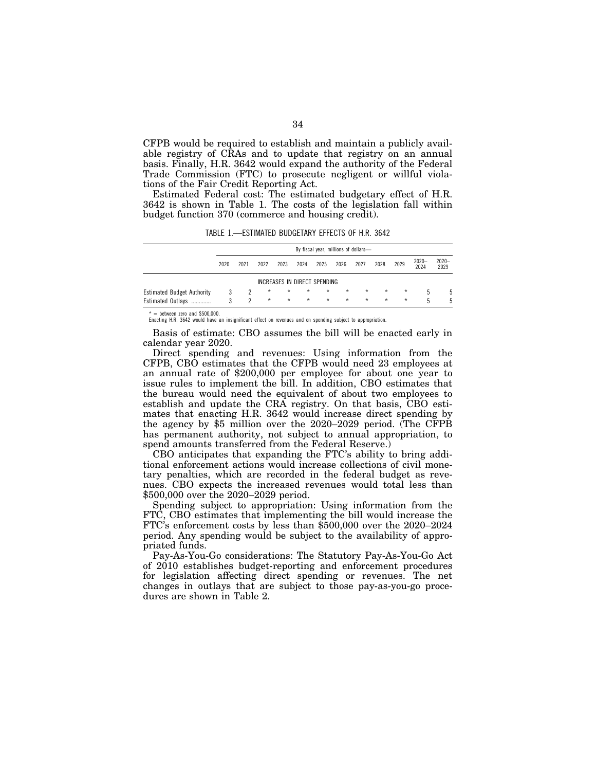CFPB would be required to establish and maintain a publicly available registry of CRAs and to update that registry on an annual basis. Finally, H.R. 3642 would expand the authority of the Federal Trade Commission (FTC) to prosecute negligent or willful violations of the Fair Credit Reporting Act.

Estimated Federal cost: The estimated budgetary effect of H.R. 3642 is shown in Table 1. The costs of the legislation fall within budget function 370 (commerce and housing credit).

TABLE 1.—ESTIMATED BUDGETARY EFFECTS OF H.R. 3642

|                                   |      | By fiscal year, millions of dollars- |          |         |         |                              |              |         |         |         |                  |                  |
|-----------------------------------|------|--------------------------------------|----------|---------|---------|------------------------------|--------------|---------|---------|---------|------------------|------------------|
|                                   | 2020 | 2021                                 | 2022     | 2023    | 2024    | 2025                         | 2026<br>2027 |         | 2028    | 2029    | $2020 -$<br>2024 | $2020 -$<br>2029 |
|                                   |      |                                      |          |         |         | INCREASES IN DIRECT SPENDING |              |         |         |         |                  |                  |
| <b>Estimated Budget Authority</b> | 3    | 2                                    | $^\star$ | $\star$ | $\star$ | $\star$                      | $\star$      | $\star$ | $\star$ | $\star$ | 5                | 5                |
| Estimated Outlays                 |      | 2                                    | $\star$  | $\star$ | $\star$ | $\star$                      | $\star$      | $\star$ | $\star$ | $\star$ | h                | 5                |

 $=$  between zero and \$500,000.

Enacting H.R. 3642 would have an insignificant effect on revenues and on spending subject to appropriation.

Basis of estimate: CBO assumes the bill will be enacted early in calendar year 2020.

Direct spending and revenues: Using information from the CFPB, CBO estimates that the CFPB would need 23 employees at an annual rate of \$200,000 per employee for about one year to issue rules to implement the bill. In addition, CBO estimates that the bureau would need the equivalent of about two employees to establish and update the CRA registry. On that basis, CBO estimates that enacting H.R. 3642 would increase direct spending by the agency by \$5 million over the 2020–2029 period. (The CFPB has permanent authority, not subject to annual appropriation, to spend amounts transferred from the Federal Reserve.)

CBO anticipates that expanding the FTC's ability to bring additional enforcement actions would increase collections of civil monetary penalties, which are recorded in the federal budget as revenues. CBO expects the increased revenues would total less than \$500,000 over the 2020–2029 period.

Spending subject to appropriation: Using information from the FTC, CBO estimates that implementing the bill would increase the FTC's enforcement costs by less than \$500,000 over the 2020–2024 period. Any spending would be subject to the availability of appropriated funds.

Pay-As-You-Go considerations: The Statutory Pay-As-You-Go Act of 2010 establishes budget-reporting and enforcement procedures for legislation affecting direct spending or revenues. The net changes in outlays that are subject to those pay-as-you-go procedures are shown in Table 2.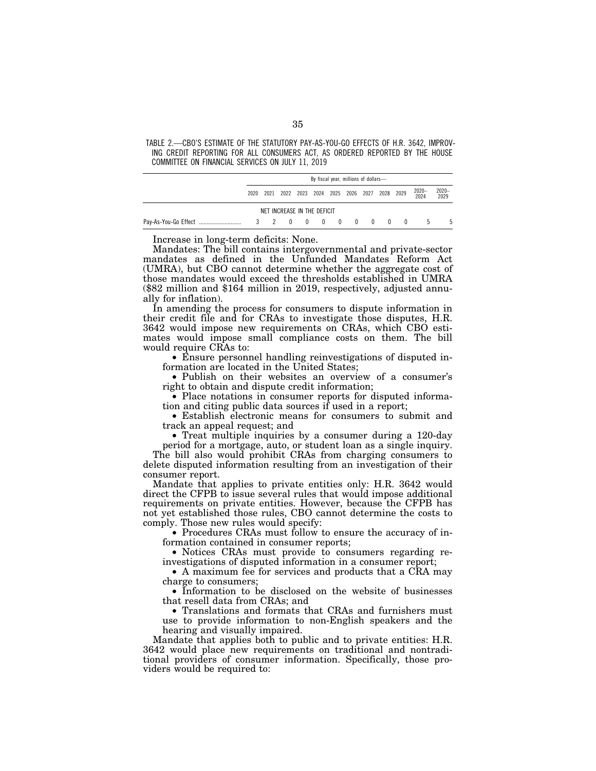TABLE 2.—CBO'S ESTIMATE OF THE STATUTORY PAY-AS-YOU-GO EFFECTS OF H.R. 3642, IMPROV-ING CREDIT REPORTING FOR ALL CONSUMERS ACT, AS ORDERED REPORTED BY THE HOUSE COMMITTEE ON FINANCIAL SERVICES ON JULY 11, 2019

|                             | By fiscal year, millions of dollars- |                |  |  |  |  |                                                                            |  |                |              |               |               |
|-----------------------------|--------------------------------------|----------------|--|--|--|--|----------------------------------------------------------------------------|--|----------------|--------------|---------------|---------------|
|                             | 2020                                 |                |  |  |  |  | 2021 2022 2023 2024 2025 2026 2027 2028 2029                               |  |                |              | 2020-<br>2024 | 2020-<br>2029 |
| NET INCREASE IN THE DEFICIT |                                      |                |  |  |  |  |                                                                            |  |                |              |               |               |
|                             | 3                                    | $\overline{2}$ |  |  |  |  | $\begin{array}{ccccccccccccccccc} & 0 & 0 & 0 & 0 & 0 & 0 & 0 \end{array}$ |  | $\overline{0}$ | $\mathbf{0}$ | h             | 5             |

Increase in long-term deficits: None.

Mandates: The bill contains intergovernmental and private-sector mandates as defined in the Unfunded Mandates Reform Act (UMRA), but CBO cannot determine whether the aggregate cost of those mandates would exceed the thresholds established in UMRA (\$82 million and \$164 million in 2019, respectively, adjusted annually for inflation).

In amending the process for consumers to dispute information in their credit file and for CRAs to investigate those disputes, H.R. 3642 would impose new requirements on CRAs, which CBO estimates would impose small compliance costs on them. The bill would require CRAs to:

• Ensure personnel handling reinvestigations of disputed information are located in the United States;

• Publish on their websites an overview of a consumer's right to obtain and dispute credit information;

• Place notations in consumer reports for disputed information and citing public data sources if used in a report;

• Establish electronic means for consumers to submit and track an appeal request; and

• Treat multiple inquiries by a consumer during a 120-day period for a mortgage, auto, or student loan as a single inquiry.

The bill also would prohibit CRAs from charging consumers to delete disputed information resulting from an investigation of their consumer report.

Mandate that applies to private entities only: H.R. 3642 would direct the CFPB to issue several rules that would impose additional requirements on private entities. However, because the CFPB has not yet established those rules, CBO cannot determine the costs to comply. Those new rules would specify:

• Procedures CRAs must follow to ensure the accuracy of information contained in consumer reports;

• Notices CRAs must provide to consumers regarding reinvestigations of disputed information in a consumer report;

• A maximum fee for services and products that a CRA may charge to consumers;

• Information to be disclosed on the website of businesses that resell data from CRAs; and

• Translations and formats that CRAs and furnishers must use to provide information to non-English speakers and the hearing and visually impaired.

Mandate that applies both to public and to private entities: H.R. 3642 would place new requirements on traditional and nontraditional providers of consumer information. Specifically, those providers would be required to: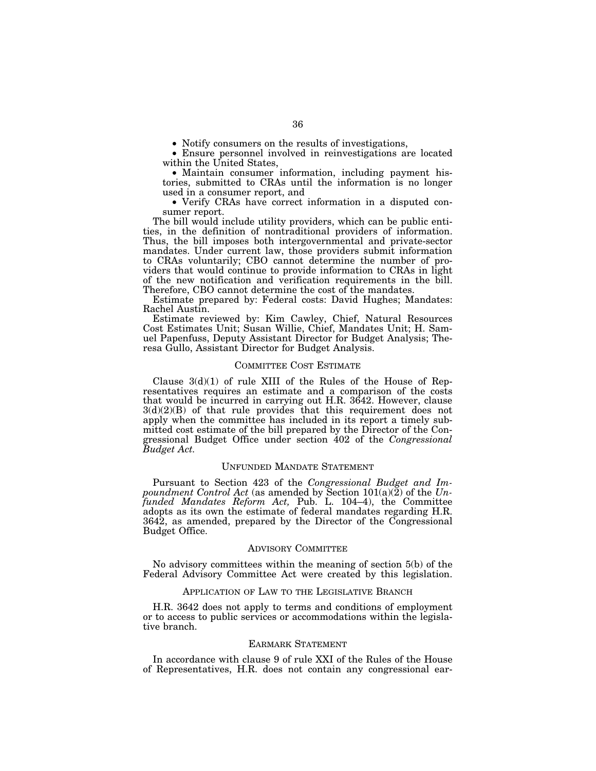• Notify consumers on the results of investigations, • Ensure personnel involved in reinvestigations are located

within the United States,

• Maintain consumer information, including payment histories, submitted to CRAs until the information is no longer used in a consumer report, and

• Verify CRAs have correct information in a disputed consumer report.

The bill would include utility providers, which can be public entities, in the definition of nontraditional providers of information. Thus, the bill imposes both intergovernmental and private-sector mandates. Under current law, those providers submit information to CRAs voluntarily; CBO cannot determine the number of providers that would continue to provide information to CRAs in light of the new notification and verification requirements in the bill. Therefore, CBO cannot determine the cost of the mandates.

Estimate prepared by: Federal costs: David Hughes; Mandates: Rachel Austin.

Estimate reviewed by: Kim Cawley, Chief, Natural Resources Cost Estimates Unit; Susan Willie, Chief, Mandates Unit; H. Samuel Papenfuss, Deputy Assistant Director for Budget Analysis; Theresa Gullo, Assistant Director for Budget Analysis.

# COMMITTEE COST ESTIMATE

Clause  $3(d)(1)$  of rule XIII of the Rules of the House of Representatives requires an estimate and a comparison of the costs that would be incurred in carrying out H.R. 3642. However, clause 3(d)(2)(B) of that rule provides that this requirement does not apply when the committee has included in its report a timely submitted cost estimate of the bill prepared by the Director of the Congressional Budget Office under section 402 of the *Congressional Budget Act.* 

## UNFUNDED MANDATE STATEMENT

Pursuant to Section 423 of the *Congressional Budget and Impoundment Control Act* (as amended by Section 101(a)(2) of the *Unfunded Mandates Reform Act,* Pub. L. 104–4), the Committee adopts as its own the estimate of federal mandates regarding H.R. 3642, as amended, prepared by the Director of the Congressional Budget Office.

#### ADVISORY COMMITTEE

No advisory committees within the meaning of section 5(b) of the Federal Advisory Committee Act were created by this legislation.

## APPLICATION OF LAW TO THE LEGISLATIVE BRANCH

H.R. 3642 does not apply to terms and conditions of employment or to access to public services or accommodations within the legislative branch.

#### EARMARK STATEMENT

In accordance with clause 9 of rule XXI of the Rules of the House of Representatives, H.R. does not contain any congressional ear-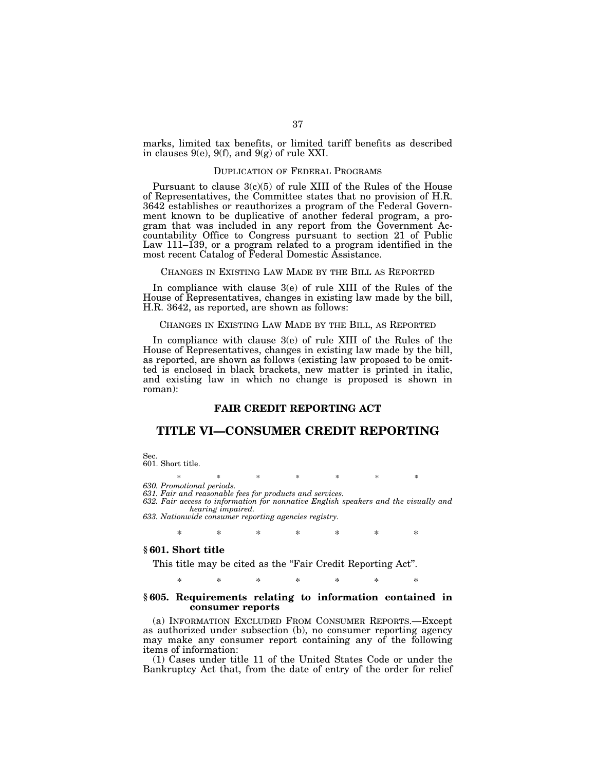marks, limited tax benefits, or limited tariff benefits as described in clauses  $9(e)$ ,  $9(f)$ , and  $9(g)$  of rule XXI.

### DUPLICATION OF FEDERAL PROGRAMS

Pursuant to clause 3(c)(5) of rule XIII of the Rules of the House of Representatives, the Committee states that no provision of H.R. 3642 establishes or reauthorizes a program of the Federal Government known to be duplicative of another federal program, a program that was included in any report from the Government Accountability Office to Congress pursuant to section 21 of Public Law 111–139, or a program related to a program identified in the most recent Catalog of Federal Domestic Assistance.

CHANGES IN EXISTING LAW MADE BY THE BILL AS REPORTED

In compliance with clause 3(e) of rule XIII of the Rules of the House of Representatives, changes in existing law made by the bill, H.R. 3642, as reported, are shown as follows:

CHANGES IN EXISTING LAW MADE BY THE BILL, AS REPORTED

In compliance with clause 3(e) of rule XIII of the Rules of the House of Representatives, changes in existing law made by the bill, as reported, are shown as follows (existing law proposed to be omitted is enclosed in black brackets, new matter is printed in italic, and existing law in which no change is proposed is shown in roman):

## **FAIR CREDIT REPORTING ACT**

# **TITLE VI—CONSUMER CREDIT REPORTING**

Sec. 601. Short title.

\* \* \* \* \* \* \* \*

- *630. Promotional periods.*
- *631. Fair and reasonable fees for products and services.*
- *632. Fair access to information for nonnative English speakers and the visually and hearing impaired.*
- *633. Nationwide consumer reporting agencies registry.*

\* \* \* \* \* \* \*

### **§ 601. Short title**

This title may be cited as the "Fair Credit Reporting Act".

\* \* \* \* \* \* \*

#### **§ 605. Requirements relating to information contained in consumer reports**

(a) INFORMATION EXCLUDED FROM CONSUMER REPORTS.—Except as authorized under subsection (b), no consumer reporting agency may make any consumer report containing any of the following items of information:

(1) Cases under title 11 of the United States Code or under the Bankruptcy Act that, from the date of entry of the order for relief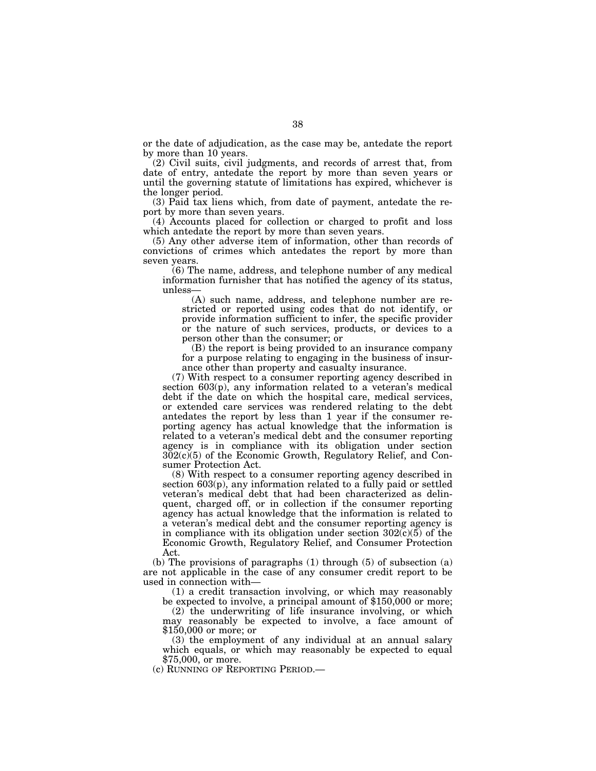or the date of adjudication, as the case may be, antedate the report by more than 10 years.

(2) Civil suits, civil judgments, and records of arrest that, from date of entry, antedate the report by more than seven years or until the governing statute of limitations has expired, whichever is the longer period.

(3) Paid tax liens which, from date of payment, antedate the report by more than seven years.

(4) Accounts placed for collection or charged to profit and loss which antedate the report by more than seven years.

(5) Any other adverse item of information, other than records of convictions of crimes which antedates the report by more than seven years.

(6) The name, address, and telephone number of any medical information furnisher that has notified the agency of its status, unless—

(A) such name, address, and telephone number are restricted or reported using codes that do not identify, or provide information sufficient to infer, the specific provider or the nature of such services, products, or devices to a person other than the consumer; or

(B) the report is being provided to an insurance company for a purpose relating to engaging in the business of insurance other than property and casualty insurance.

(7) With respect to a consumer reporting agency described in section 603(p), any information related to a veteran's medical debt if the date on which the hospital care, medical services, or extended care services was rendered relating to the debt antedates the report by less than 1 year if the consumer reporting agency has actual knowledge that the information is related to a veteran's medical debt and the consumer reporting agency is in compliance with its obligation under section 302(c)(5) of the Economic Growth, Regulatory Relief, and Consumer Protection Act.

(8) With respect to a consumer reporting agency described in section 603(p), any information related to a fully paid or settled veteran's medical debt that had been characterized as delinquent, charged off, or in collection if the consumer reporting agency has actual knowledge that the information is related to a veteran's medical debt and the consumer reporting agency is in compliance with its obligation under section  $302(c)(5)$  of the Economic Growth, Regulatory Relief, and Consumer Protection Act.

(b) The provisions of paragraphs (1) through (5) of subsection (a) are not applicable in the case of any consumer credit report to be used in connection with—

(1) a credit transaction involving, or which may reasonably be expected to involve, a principal amount of \$150,000 or more;

(2) the underwriting of life insurance involving, or which may reasonably be expected to involve, a face amount of \$150,000 or more; or

(3) the employment of any individual at an annual salary which equals, or which may reasonably be expected to equal \$75,000, or more.

(c) RUNNING OF REPORTING PERIOD.—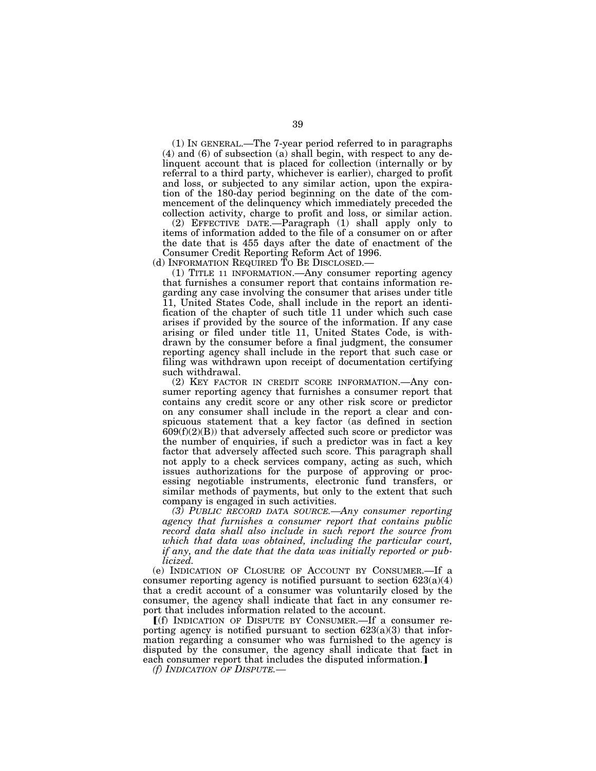(1) IN GENERAL.—The 7-year period referred to in paragraphs (4) and (6) of subsection (a) shall begin, with respect to any delinquent account that is placed for collection (internally or by referral to a third party, whichever is earlier), charged to profit and loss, or subjected to any similar action, upon the expiration of the 180-day period beginning on the date of the commencement of the delinquency which immediately preceded the collection activity, charge to profit and loss, or similar action.

(2) EFFECTIVE DATE.—Paragraph (1) shall apply only to items of information added to the file of a consumer on or after the date that is 455 days after the date of enactment of the Consumer Credit Reporting Reform Act of 1996.

(d) INFORMATION REQUIRED TO BE DISCLOSED.—

(1) TITLE 11 INFORMATION.—Any consumer reporting agency that furnishes a consumer report that contains information regarding any case involving the consumer that arises under title 11, United States Code, shall include in the report an identification of the chapter of such title 11 under which such case arises if provided by the source of the information. If any case arising or filed under title 11, United States Code, is withdrawn by the consumer before a final judgment, the consumer reporting agency shall include in the report that such case or filing was withdrawn upon receipt of documentation certifying such withdrawal.

(2) KEY FACTOR IN CREDIT SCORE INFORMATION.—Any consumer reporting agency that furnishes a consumer report that contains any credit score or any other risk score or predictor on any consumer shall include in the report a clear and conspicuous statement that a key factor (as defined in section  $609(f)(2)(B)$  that adversely affected such score or predictor was the number of enquiries, if such a predictor was in fact a key factor that adversely affected such score. This paragraph shall not apply to a check services company, acting as such, which issues authorizations for the purpose of approving or processing negotiable instruments, electronic fund transfers, or similar methods of payments, but only to the extent that such company is engaged in such activities.

*(3) PUBLIC RECORD DATA SOURCE.—Any consumer reporting agency that furnishes a consumer report that contains public record data shall also include in such report the source from which that data was obtained, including the particular court, if any, and the date that the data was initially reported or publicized.* 

(e) INDICATION OF CLOSURE OF ACCOUNT BY CONSUMER.—If a consumer reporting agency is notified pursuant to section  $623(a)(4)$ that a credit account of a consumer was voluntarily closed by the consumer, the agency shall indicate that fact in any consumer report that includes information related to the account.

ø(f) INDICATION OF DISPUTE BY CONSUMER.—If a consumer reporting agency is notified pursuant to section  $623(a)(3)$  that information regarding a consumer who was furnished to the agency is disputed by the consumer, the agency shall indicate that fact in each consumer report that includes the disputed information.

*(f) INDICATION OF DISPUTE.—*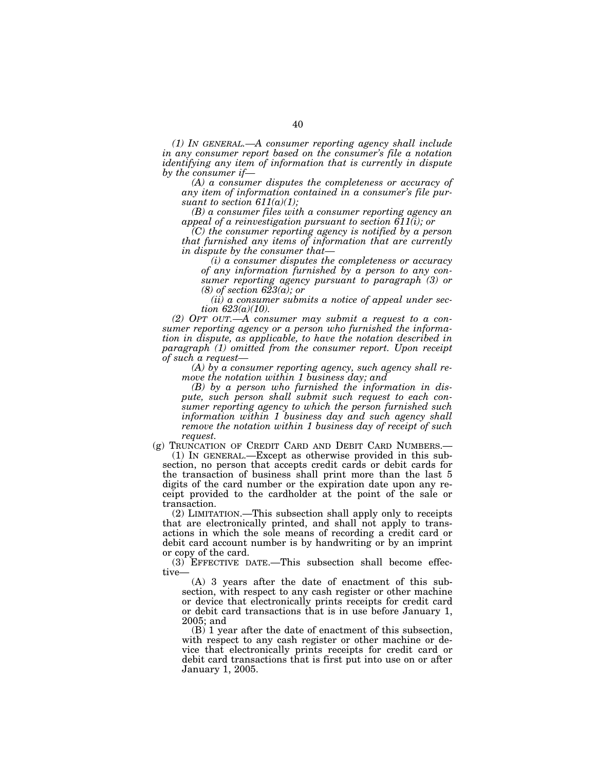*(1) IN GENERAL.—A consumer reporting agency shall include in any consumer report based on the consumer's file a notation identifying any item of information that is currently in dispute by the consumer if—* 

*(A) a consumer disputes the completeness or accuracy of any item of information contained in a consumer's file pursuant to section 611(a)(1);* 

*(B) a consumer files with a consumer reporting agency an appeal of a reinvestigation pursuant to section 611(i); or* 

*(C) the consumer reporting agency is notified by a person that furnished any items of information that are currently in dispute by the consumer that—* 

*(i) a consumer disputes the completeness or accuracy of any information furnished by a person to any consumer reporting agency pursuant to paragraph (3) or (8) of section 623(a); or* 

*(ii) a consumer submits a notice of appeal under section 623(a)(10).* 

*(2) OPT OUT.—A consumer may submit a request to a consumer reporting agency or a person who furnished the information in dispute, as applicable, to have the notation described in paragraph (1) omitted from the consumer report. Upon receipt of such a request—* 

*(A) by a consumer reporting agency, such agency shall remove the notation within 1 business day; and* 

*(B) by a person who furnished the information in dispute, such person shall submit such request to each consumer reporting agency to which the person furnished such information within 1 business day and such agency shall remove the notation within 1 business day of receipt of such request.* 

(g) TRUNCATION OF CREDIT CARD AND DEBIT CARD NUMBERS.—

(1) IN GENERAL.—Except as otherwise provided in this subsection, no person that accepts credit cards or debit cards for the transaction of business shall print more than the last 5 digits of the card number or the expiration date upon any receipt provided to the cardholder at the point of the sale or transaction.

(2) LIMITATION.—This subsection shall apply only to receipts that are electronically printed, and shall not apply to transactions in which the sole means of recording a credit card or debit card account number is by handwriting or by an imprint or copy of the card.

(3) EFFECTIVE DATE.—This subsection shall become effective—

(A) 3 years after the date of enactment of this subsection, with respect to any cash register or other machine or device that electronically prints receipts for credit card or debit card transactions that is in use before January 1, 2005; and

(B) 1 year after the date of enactment of this subsection, with respect to any cash register or other machine or device that electronically prints receipts for credit card or debit card transactions that is first put into use on or after January 1, 2005.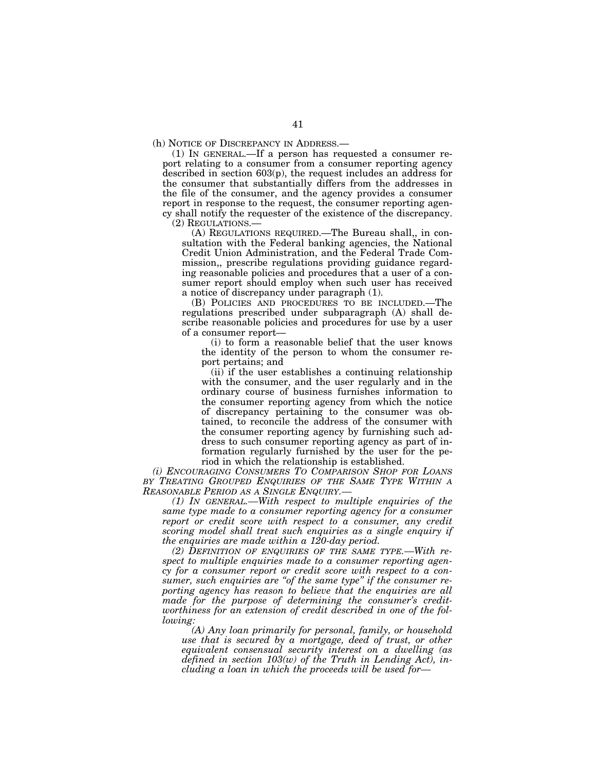(h) NOTICE OF DISCREPANCY IN ADDRESS.—

(1) IN GENERAL.—If a person has requested a consumer report relating to a consumer from a consumer reporting agency described in section 603(p), the request includes an address for the consumer that substantially differs from the addresses in the file of the consumer, and the agency provides a consumer report in response to the request, the consumer reporting agency shall notify the requester of the existence of the discrepancy.

(2) REGULATIONS.—

(A) REGULATIONS REQUIRED.—The Bureau shall,, in consultation with the Federal banking agencies, the National Credit Union Administration, and the Federal Trade Commission,, prescribe regulations providing guidance regarding reasonable policies and procedures that a user of a consumer report should employ when such user has received a notice of discrepancy under paragraph (1).

(B) POLICIES AND PROCEDURES TO BE INCLUDED.—The regulations prescribed under subparagraph (A) shall describe reasonable policies and procedures for use by a user of a consumer report—

(i) to form a reasonable belief that the user knows the identity of the person to whom the consumer report pertains; and

(ii) if the user establishes a continuing relationship with the consumer, and the user regularly and in the ordinary course of business furnishes information to the consumer reporting agency from which the notice of discrepancy pertaining to the consumer was obtained, to reconcile the address of the consumer with the consumer reporting agency by furnishing such address to such consumer reporting agency as part of information regularly furnished by the user for the period in which the relationship is established.

*(i) ENCOURAGING CONSUMERS TO COMPARISON SHOP FOR LOANS BY TREATING GROUPED ENQUIRIES OF THE SAME TYPE WITHIN A REASONABLE PERIOD AS A SINGLE ENQUIRY.—* 

*(1) IN GENERAL.—With respect to multiple enquiries of the same type made to a consumer reporting agency for a consumer report or credit score with respect to a consumer, any credit scoring model shall treat such enquiries as a single enquiry if the enquiries are made within a 120-day period.* 

*(2) DEFINITION OF ENQUIRIES OF THE SAME TYPE.—With respect to multiple enquiries made to a consumer reporting agency for a consumer report or credit score with respect to a consumer, such enquiries are ''of the same type'' if the consumer reporting agency has reason to believe that the enquiries are all made for the purpose of determining the consumer's creditworthiness for an extension of credit described in one of the following:* 

*(A) Any loan primarily for personal, family, or household use that is secured by a mortgage, deed of trust, or other equivalent consensual security interest on a dwelling (as defined in section 103(w) of the Truth in Lending Act), including a loan in which the proceeds will be used for—*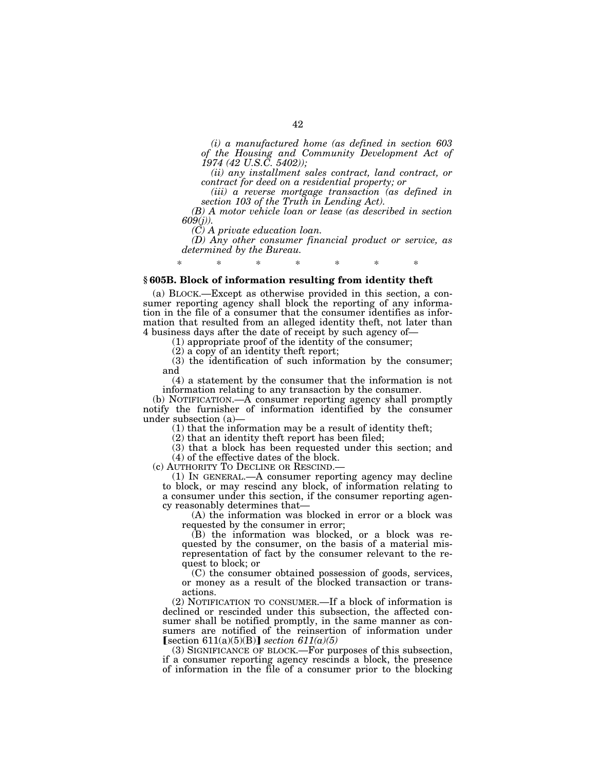*(i) a manufactured home (as defined in section 603 of the Housing and Community Development Act of 1974 (42 U.S.C. 5402));* 

*(ii) any installment sales contract, land contract, or contract for deed on a residential property; or* 

*(iii) a reverse mortgage transaction (as defined in section 103 of the Truth in Lending Act).* 

*(B) A motor vehicle loan or lease (as described in section 609(j)).* 

*(C) A private education loan.* 

*(D) Any other consumer financial product or service, as determined by the Bureau.* 

### **§ 605B. Block of information resulting from identity theft**

(a) BLOCK.—Except as otherwise provided in this section, a consumer reporting agency shall block the reporting of any information in the file of a consumer that the consumer identifies as information that resulted from an alleged identity theft, not later than 4 business days after the date of receipt by such agency of—

\* \* \* \* \* \* \*

(1) appropriate proof of the identity of the consumer;

(2) a copy of an identity theft report;

(3) the identification of such information by the consumer; and

(4) a statement by the consumer that the information is not information relating to any transaction by the consumer.

(b) NOTIFICATION.—A consumer reporting agency shall promptly notify the furnisher of information identified by the consumer under subsection (a)—

(1) that the information may be a result of identity theft;

(2) that an identity theft report has been filed;

(3) that a block has been requested under this section; and (4) of the effective dates of the block.

(c) AUTHORITY TO DECLINE OR RESCIND.— (1) IN GENERAL.—A consumer reporting agency may decline to block, or may rescind any block, of information relating to a consumer under this section, if the consumer reporting agency reasonably determines that—

(A) the information was blocked in error or a block was requested by the consumer in error;

(B) the information was blocked, or a block was requested by the consumer, on the basis of a material misrepresentation of fact by the consumer relevant to the request to block; or

(C) the consumer obtained possession of goods, services, or money as a result of the blocked transaction or transactions.

(2) NOTIFICATION TO CONSUMER.—If a block of information is declined or rescinded under this subsection, the affected consumer shall be notified promptly, in the same manner as consumers are notified of the reinsertion of information under  $[section 611(a)(5)(B)]$  *section 611(a)(5)* 

(3) SIGNIFICANCE OF BLOCK.—For purposes of this subsection, if a consumer reporting agency rescinds a block, the presence of information in the file of a consumer prior to the blocking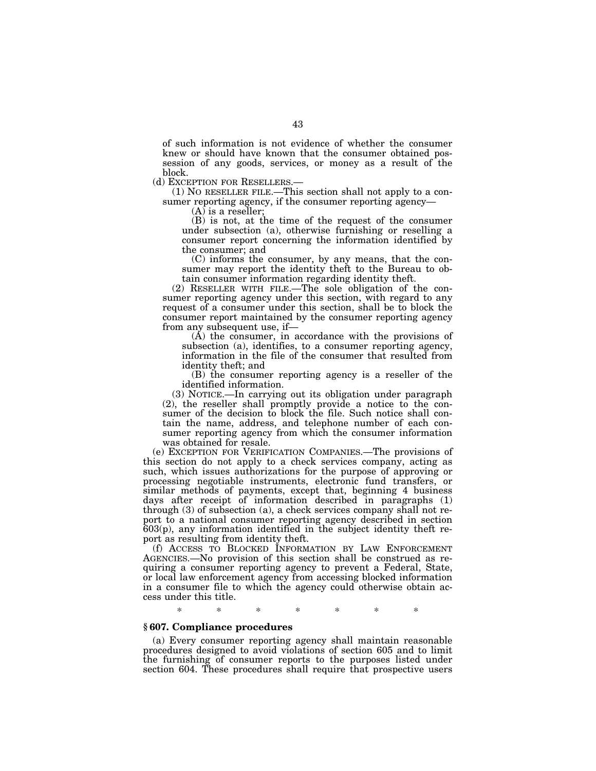of such information is not evidence of whether the consumer knew or should have known that the consumer obtained possession of any goods, services, or money as a result of the block.<br>(d) Exception for Resellers.—

 $(1)$  NO RESELLER FILE.—This section shall not apply to a consumer reporting agency, if the consumer reporting agency—

 $(A)$  is a reseller;

(B) is not, at the time of the request of the consumer under subsection (a), otherwise furnishing or reselling a consumer report concerning the information identified by the consumer; and

(C) informs the consumer, by any means, that the consumer may report the identity theft to the Bureau to obtain consumer information regarding identity theft.

(2) RESELLER WITH FILE.—The sole obligation of the consumer reporting agency under this section, with regard to any request of a consumer under this section, shall be to block the consumer report maintained by the consumer reporting agency from any subsequent use, if—

(A) the consumer, in accordance with the provisions of subsection (a), identifies, to a consumer reporting agency, information in the file of the consumer that resulted from identity theft; and

(B) the consumer reporting agency is a reseller of the identified information.

(3) NOTICE.—In carrying out its obligation under paragraph (2), the reseller shall promptly provide a notice to the consumer of the decision to block the file. Such notice shall contain the name, address, and telephone number of each consumer reporting agency from which the consumer information was obtained for resale.

(e) EXCEPTION FOR VERIFICATION COMPANIES.—The provisions of this section do not apply to a check services company, acting as such, which issues authorizations for the purpose of approving or processing negotiable instruments, electronic fund transfers, or similar methods of payments, except that, beginning 4 business days after receipt of information described in paragraphs (1) through (3) of subsection (a), a check services company shall not report to a national consumer reporting agency described in section 603(p), any information identified in the subject identity theft report as resulting from identity theft.

(f) ACCESS TO BLOCKED INFORMATION BY LAW ENFORCEMENT AGENCIES.—No provision of this section shall be construed as requiring a consumer reporting agency to prevent a Federal, State, or local law enforcement agency from accessing blocked information in a consumer file to which the agency could otherwise obtain access under this title.

\* \* \* \* \* \* \*

### **§ 607. Compliance procedures**

(a) Every consumer reporting agency shall maintain reasonable procedures designed to avoid violations of section 605 and to limit the furnishing of consumer reports to the purposes listed under section 604. These procedures shall require that prospective users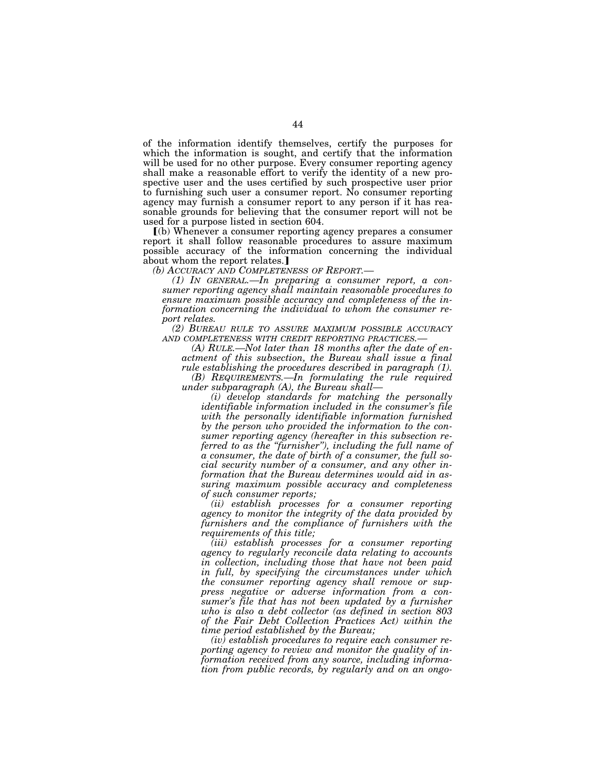of the information identify themselves, certify the purposes for which the information is sought, and certify that the information will be used for no other purpose. Every consumer reporting agency shall make a reasonable effort to verify the identity of a new prospective user and the uses certified by such prospective user prior to furnishing such user a consumer report. No consumer reporting agency may furnish a consumer report to any person if it has reasonable grounds for believing that the consumer report will not be used for a purpose listed in section 604.

 $(a)$  Whenever a consumer reporting agency prepares a consumer report it shall follow reasonable procedures to assure maximum possible accuracy of the information concerning the individual about whom the report relates.]

*(b) ACCURACY AND COMPLETENESS OF REPORT.—* 

*(1) IN GENERAL.—In preparing a consumer report, a consumer reporting agency shall maintain reasonable procedures to ensure maximum possible accuracy and completeness of the information concerning the individual to whom the consumer report relates.* 

*(2) BUREAU RULE TO ASSURE MAXIMUM POSSIBLE ACCURACY*

*AND COMPLETENESS WITH CREDIT REPORTING PRACTICES.— (A) RULE.—Not later than 18 months after the date of enactment of this subsection, the Bureau shall issue a final rule establishing the procedures described in paragraph (1).* 

*(B) REQUIREMENTS.—In formulating the rule required under subparagraph (A), the Bureau shall—* 

*(i) develop standards for matching the personally identifiable information included in the consumer's file with the personally identifiable information furnished by the person who provided the information to the consumer reporting agency (hereafter in this subsection referred to as the ''furnisher''), including the full name of a consumer, the date of birth of a consumer, the full social security number of a consumer, and any other information that the Bureau determines would aid in assuring maximum possible accuracy and completeness of such consumer reports;* 

*(ii) establish processes for a consumer reporting agency to monitor the integrity of the data provided by furnishers and the compliance of furnishers with the requirements of this title;* 

*(iii) establish processes for a consumer reporting agency to regularly reconcile data relating to accounts in collection, including those that have not been paid in full, by specifying the circumstances under which the consumer reporting agency shall remove or suppress negative or adverse information from a consumer's file that has not been updated by a furnisher who is also a debt collector (as defined in section 803 of the Fair Debt Collection Practices Act) within the time period established by the Bureau;* 

*(iv) establish procedures to require each consumer reporting agency to review and monitor the quality of information received from any source, including information from public records, by regularly and on an ongo-*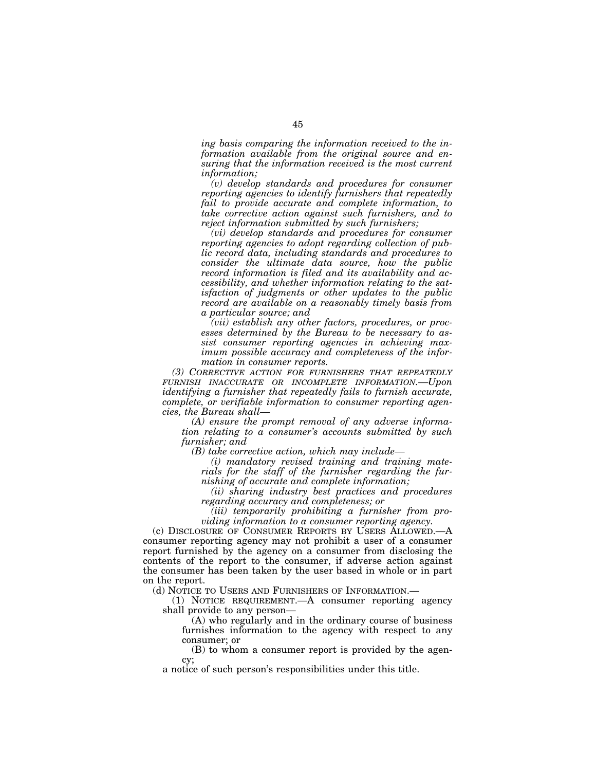*ing basis comparing the information received to the information available from the original source and ensuring that the information received is the most current information;* 

*(v) develop standards and procedures for consumer reporting agencies to identify furnishers that repeatedly fail to provide accurate and complete information, to take corrective action against such furnishers, and to reject information submitted by such furnishers;* 

*(vi) develop standards and procedures for consumer reporting agencies to adopt regarding collection of public record data, including standards and procedures to consider the ultimate data source, how the public record information is filed and its availability and accessibility, and whether information relating to the satisfaction of judgments or other updates to the public record are available on a reasonably timely basis from a particular source; and* 

*(vii) establish any other factors, procedures, or processes determined by the Bureau to be necessary to assist consumer reporting agencies in achieving maximum possible accuracy and completeness of the information in consumer reports.* 

*(3) CORRECTIVE ACTION FOR FURNISHERS THAT REPEATEDLY FURNISH INACCURATE OR INCOMPLETE INFORMATION.—Upon identifying a furnisher that repeatedly fails to furnish accurate, complete, or verifiable information to consumer reporting agencies, the Bureau shall—* 

*(A) ensure the prompt removal of any adverse information relating to a consumer's accounts submitted by such furnisher; and* 

*(B) take corrective action, which may include—* 

*(i) mandatory revised training and training materials for the staff of the furnisher regarding the furnishing of accurate and complete information;* 

*(ii) sharing industry best practices and procedures regarding accuracy and completeness; or* 

*(iii) temporarily prohibiting a furnisher from providing information to a consumer reporting agency.* 

(c) DISCLOSURE OF CONSUMER REPORTS BY USERS ALLOWED.—A consumer reporting agency may not prohibit a user of a consumer report furnished by the agency on a consumer from disclosing the contents of the report to the consumer, if adverse action against the consumer has been taken by the user based in whole or in part on the report.

(d) NOTICE TO USERS AND FURNISHERS OF INFORMATION.—

(1) NOTICE REQUIREMENT.—A consumer reporting agency shall provide to any person—

(A) who regularly and in the ordinary course of business furnishes information to the agency with respect to any consumer; or

(B) to whom a consumer report is provided by the agency;

a notice of such person's responsibilities under this title.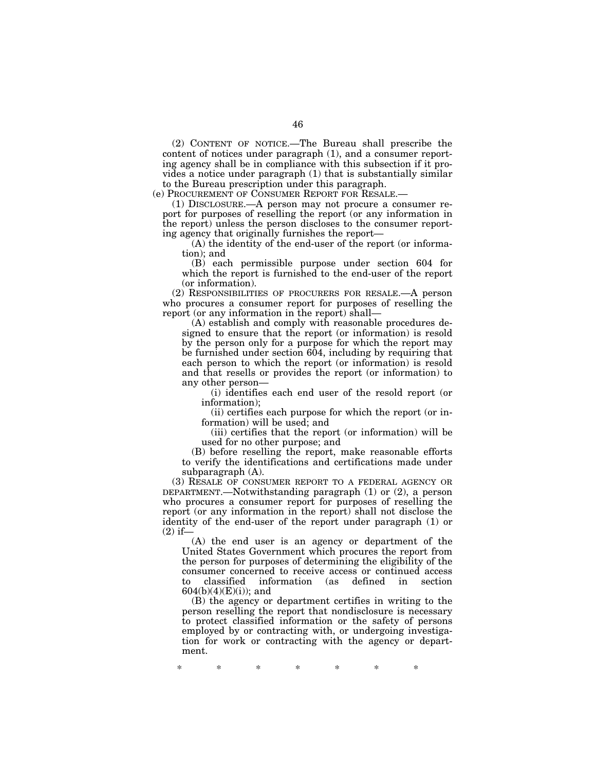(2) CONTENT OF NOTICE.—The Bureau shall prescribe the content of notices under paragraph (1), and a consumer reporting agency shall be in compliance with this subsection if it provides a notice under paragraph (1) that is substantially similar to the Bureau prescription under this paragraph.

(e) PROCUREMENT OF CONSUMER REPORT FOR RESALE.—

(1) DISCLOSURE.—A person may not procure a consumer report for purposes of reselling the report (or any information in the report) unless the person discloses to the consumer reporting agency that originally furnishes the report—

(A) the identity of the end-user of the report (or information); and

(B) each permissible purpose under section 604 for which the report is furnished to the end-user of the report (or information).

(2) RESPONSIBILITIES OF PROCURERS FOR RESALE.—A person who procures a consumer report for purposes of reselling the report (or any information in the report) shall—

(A) establish and comply with reasonable procedures designed to ensure that the report (or information) is resold by the person only for a purpose for which the report may be furnished under section 604, including by requiring that each person to which the report (or information) is resold and that resells or provides the report (or information) to any other person—

(i) identifies each end user of the resold report (or information);

(ii) certifies each purpose for which the report (or information) will be used; and

(iii) certifies that the report (or information) will be used for no other purpose; and

(B) before reselling the report, make reasonable efforts to verify the identifications and certifications made under subparagraph (A).

(3) RESALE OF CONSUMER REPORT TO A FEDERAL AGENCY OR DEPARTMENT.—Notwithstanding paragraph (1) or (2), a person who procures a consumer report for purposes of reselling the report (or any information in the report) shall not disclose the identity of the end-user of the report under paragraph (1) or  $(2)$  if-

(A) the end user is an agency or department of the United States Government which procures the report from the person for purposes of determining the eligibility of the consumer concerned to receive access or continued access to classified information (as defined in  $604(b)(4)(E)(i)$ ; and

(B) the agency or department certifies in writing to the person reselling the report that nondisclosure is necessary to protect classified information or the safety of persons employed by or contracting with, or undergoing investigation for work or contracting with the agency or department.

\* \* \* \* \* \* \*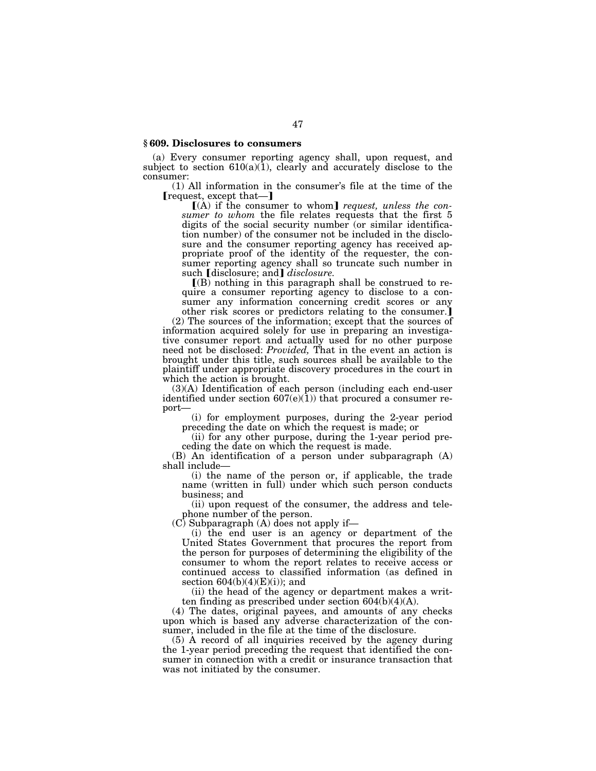### **§ 609. Disclosures to consumers**

(a) Every consumer reporting agency shall, upon request, and subject to section  $610(a)(1)$ , clearly and accurately disclose to the consumer:

(1) All information in the consumer's file at the time of the request, except that—

[(A) if the consumer to whom] *request, unless the consumer to whom* the file relates requests that the first 5 digits of the social security number (or similar identification number) of the consumer not be included in the disclosure and the consumer reporting agency has received appropriate proof of the identity of the requester, the consumer reporting agency shall so truncate such number in such [disclosure; and] *disclosure*.

 $($ B) nothing in this paragraph shall be construed to require a consumer reporting agency to disclose to a consumer any information concerning credit scores or any other risk scores or predictors relating to the consumer.

(2) The sources of the information; except that the sources of information acquired solely for use in preparing an investigative consumer report and actually used for no other purpose need not be disclosed: *Provided,* That in the event an action is brought under this title, such sources shall be available to the plaintiff under appropriate discovery procedures in the court in which the action is brought.

(3)(A) Identification of each person (including each end-user identified under section  $607(e)(1)$  that procured a consumer report—

(i) for employment purposes, during the 2-year period preceding the date on which the request is made; or

(ii) for any other purpose, during the 1-year period preceding the date on which the request is made.

(B) An identification of a person under subparagraph (A) shall include—

(i) the name of the person or, if applicable, the trade name (written in full) under which such person conducts business; and

(ii) upon request of the consumer, the address and telephone number of the person.

 $(C)$  Subparagraph  $(A)$  does not apply if-

(i) the end user is an agency or department of the United States Government that procures the report from the person for purposes of determining the eligibility of the consumer to whom the report relates to receive access or continued access to classified information (as defined in section  $604(b)(4)(E)(i)$ ; and

(ii) the head of the agency or department makes a written finding as prescribed under section 604(b)(4)(A).

(4) The dates, original payees, and amounts of any checks upon which is based any adverse characterization of the consumer, included in the file at the time of the disclosure.

(5) A record of all inquiries received by the agency during the 1-year period preceding the request that identified the consumer in connection with a credit or insurance transaction that was not initiated by the consumer.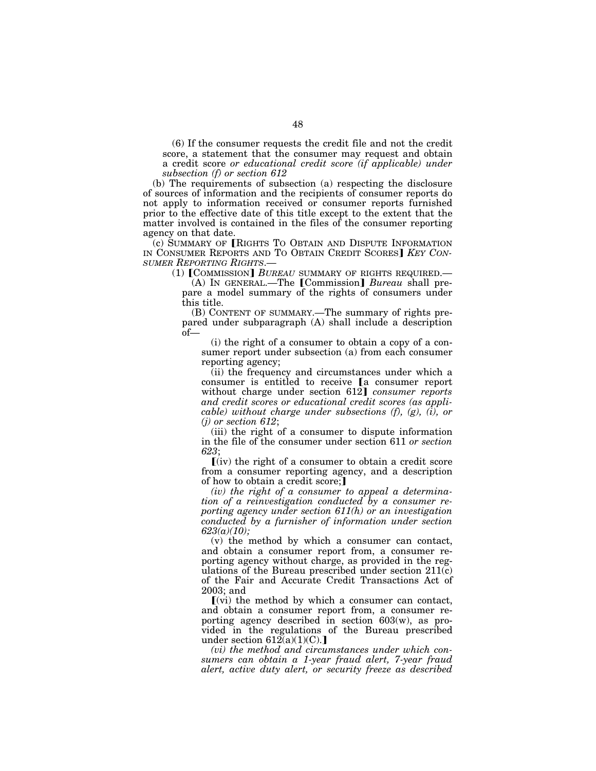(6) If the consumer requests the credit file and not the credit score, a statement that the consumer may request and obtain a credit score *or educational credit score (if applicable) under subsection (f) or section 612* 

(b) The requirements of subsection (a) respecting the disclosure of sources of information and the recipients of consumer reports do not apply to information received or consumer reports furnished prior to the effective date of this title except to the extent that the matter involved is contained in the files of the consumer reporting agency on that date.

(c) SUMMARY OF FRIGHTS TO OBTAIN AND DISPUTE INFORMATION IN CONSUMER REPORTS AND TO OBTAIN CREDIT SCORES *KEY CON-SUMER REPORTING RIGHTS*.—

(1) [COMMISSION] *BUREAU* SUMMARY OF RIGHTS REQUIRED.—

(A) IN GENERAL.—The [Commission] *Bureau* shall prepare a model summary of the rights of consumers under this title.

(B) CONTENT OF SUMMARY.—The summary of rights prepared under subparagraph (A) shall include a description of—

(i) the right of a consumer to obtain a copy of a consumer report under subsection (a) from each consumer reporting agency;

(ii) the frequency and circumstances under which a consumer is entitled to receive a consumer report without charge under section 612<sup>]</sup> *consumer reports and credit scores or educational credit scores (as applicable) without charge under subsections (f), (g), (i), or (j) or section 612*;

(iii) the right of a consumer to dispute information in the file of the consumer under section 611 *or section 623*;

 $(iv)$  the right of a consumer to obtain a credit score from a consumer reporting agency, and a description of how to obtain a credit score;¿

*(iv) the right of a consumer to appeal a determination of a reinvestigation conducted by a consumer reporting agency under section 611(h) or an investigation conducted by a furnisher of information under section 623(a)(10);* 

(v) the method by which a consumer can contact, and obtain a consumer report from, a consumer reporting agency without charge, as provided in the regulations of the Bureau prescribed under section  $211(c)$ of the Fair and Accurate Credit Transactions Act of 2003; and

 $\lceil$ (vi) the method by which a consumer can contact, and obtain a consumer report from, a consumer reporting agency described in section 603(w), as provided in the regulations of the Bureau prescribed under section  $612(a)(1)(C)$ .]

*(vi) the method and circumstances under which consumers can obtain a 1-year fraud alert, 7-year fraud alert, active duty alert, or security freeze as described*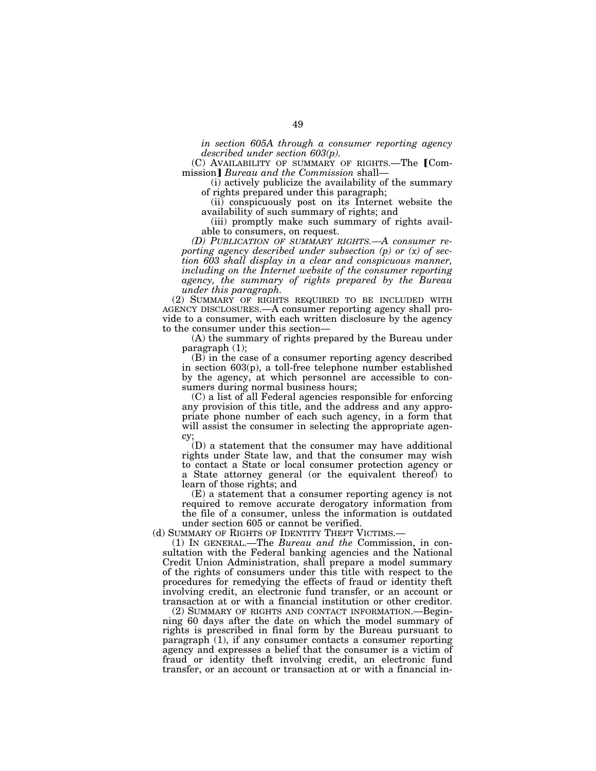*in section 605A through a consumer reporting agency described under section 603(p).* 

 $(C)$  AVAILABILITY OF SUMMARY OF RIGHTS. The  $[Com$ mission] *Bureau and the Commission* shall-

(i) actively publicize the availability of the summary of rights prepared under this paragraph;

(ii) conspicuously post on its Internet website the availability of such summary of rights; and

(iii) promptly make such summary of rights available to consumers, on request.

*(D) PUBLICATION OF SUMMARY RIGHTS.—A consumer reporting agency described under subsection (p) or (x) of section 603 shall display in a clear and conspicuous manner, including on the Internet website of the consumer reporting agency, the summary of rights prepared by the Bureau under this paragraph.* 

(2) SUMMARY OF RIGHTS REQUIRED TO BE INCLUDED WITH AGENCY DISCLOSURES.—A consumer reporting agency shall provide to a consumer, with each written disclosure by the agency to the consumer under this section—

(A) the summary of rights prepared by the Bureau under paragraph (1);

(B) in the case of a consumer reporting agency described in section 603(p), a toll-free telephone number established by the agency, at which personnel are accessible to consumers during normal business hours;

(C) a list of all Federal agencies responsible for enforcing any provision of this title, and the address and any appropriate phone number of each such agency, in a form that will assist the consumer in selecting the appropriate agency;

(D) a statement that the consumer may have additional rights under State law, and that the consumer may wish to contact a State or local consumer protection agency or a State attorney general (or the equivalent thereof) to learn of those rights; and

(E) a statement that a consumer reporting agency is not required to remove accurate derogatory information from the file of a consumer, unless the information is outdated under section 605 or cannot be verified.

(d) SUMMARY OF RIGHTS OF IDENTITY THEFT VICTIMS.—

(1) IN GENERAL.—The *Bureau and the* Commission, in consultation with the Federal banking agencies and the National Credit Union Administration, shall prepare a model summary of the rights of consumers under this title with respect to the procedures for remedying the effects of fraud or identity theft involving credit, an electronic fund transfer, or an account or transaction at or with a financial institution or other creditor.

(2) SUMMARY OF RIGHTS AND CONTACT INFORMATION.—Beginning 60 days after the date on which the model summary of rights is prescribed in final form by the Bureau pursuant to paragraph (1), if any consumer contacts a consumer reporting agency and expresses a belief that the consumer is a victim of fraud or identity theft involving credit, an electronic fund transfer, or an account or transaction at or with a financial in-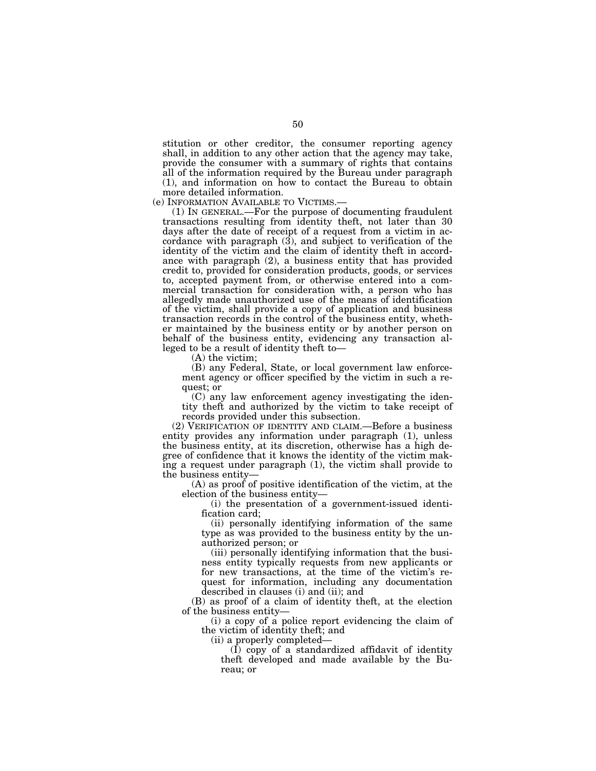stitution or other creditor, the consumer reporting agency shall, in addition to any other action that the agency may take, provide the consumer with a summary of rights that contains all of the information required by the Bureau under paragraph (1), and information on how to contact the Bureau to obtain more detailed information.<br>(e) INFORMATION AVAILABLE TO VICTIMS.—

 $(1)$  In GENERAL.—For the purpose of documenting fraudulent transactions resulting from identity theft, not later than 30 days after the date of receipt of a request from a victim in accordance with paragraph (3), and subject to verification of the identity of the victim and the claim of identity theft in accordance with paragraph (2), a business entity that has provided credit to, provided for consideration products, goods, or services to, accepted payment from, or otherwise entered into a commercial transaction for consideration with, a person who has allegedly made unauthorized use of the means of identification of the victim, shall provide a copy of application and business transaction records in the control of the business entity, whether maintained by the business entity or by another person on behalf of the business entity, evidencing any transaction alleged to be a result of identity theft to—

(A) the victim;

(B) any Federal, State, or local government law enforcement agency or officer specified by the victim in such a request; or

(C) any law enforcement agency investigating the identity theft and authorized by the victim to take receipt of records provided under this subsection.

(2) VERIFICATION OF IDENTITY AND CLAIM.—Before a business entity provides any information under paragraph (1), unless the business entity, at its discretion, otherwise has a high degree of confidence that it knows the identity of the victim making a request under paragraph (1), the victim shall provide to the business entity—

(A) as proof of positive identification of the victim, at the election of the business entity—

(i) the presentation of a government-issued identification card;

(ii) personally identifying information of the same type as was provided to the business entity by the unauthorized person; or

(iii) personally identifying information that the business entity typically requests from new applicants or for new transactions, at the time of the victim's request for information, including any documentation described in clauses (i) and (ii); and

(B) as proof of a claim of identity theft, at the election of the business entity—

(i) a copy of a police report evidencing the claim of the victim of identity theft; and

(ii) a properly completed—

(I) copy of a standardized affidavit of identity theft developed and made available by the Bureau; or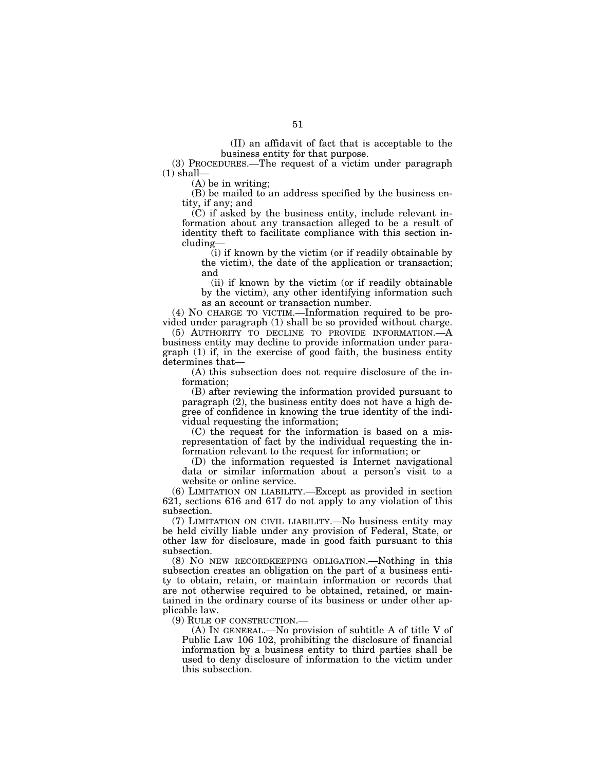(II) an affidavit of fact that is acceptable to the business entity for that purpose.

(3) PROCEDURES.—The request of a victim under paragraph  $(1)$  shall-

(A) be in writing;

(B) be mailed to an address specified by the business entity, if any; and

(C) if asked by the business entity, include relevant information about any transaction alleged to be a result of identity theft to facilitate compliance with this section including—

(i) if known by the victim (or if readily obtainable by the victim), the date of the application or transaction; and

(ii) if known by the victim (or if readily obtainable by the victim), any other identifying information such as an account or transaction number.

(4) NO CHARGE TO VICTIM.—Information required to be provided under paragraph (1) shall be so provided without charge.

(5) AUTHORITY TO DECLINE TO PROVIDE INFORMATION.—A business entity may decline to provide information under paragraph (1) if, in the exercise of good faith, the business entity determines that—

(A) this subsection does not require disclosure of the information;

(B) after reviewing the information provided pursuant to paragraph (2), the business entity does not have a high degree of confidence in knowing the true identity of the individual requesting the information;

(C) the request for the information is based on a misrepresentation of fact by the individual requesting the information relevant to the request for information; or

(D) the information requested is Internet navigational data or similar information about a person's visit to a website or online service.

(6) LIMITATION ON LIABILITY.—Except as provided in section 621, sections 616 and 617 do not apply to any violation of this subsection.

(7) LIMITATION ON CIVIL LIABILITY.—No business entity may be held civilly liable under any provision of Federal, State, or other law for disclosure, made in good faith pursuant to this subsection.

(8) NO NEW RECORDKEEPING OBLIGATION.—Nothing in this subsection creates an obligation on the part of a business entity to obtain, retain, or maintain information or records that are not otherwise required to be obtained, retained, or maintained in the ordinary course of its business or under other applicable law.

(9) RULE OF CONSTRUCTION.—

(A) IN GENERAL.—No provision of subtitle A of title V of Public Law 106 102, prohibiting the disclosure of financial information by a business entity to third parties shall be used to deny disclosure of information to the victim under this subsection.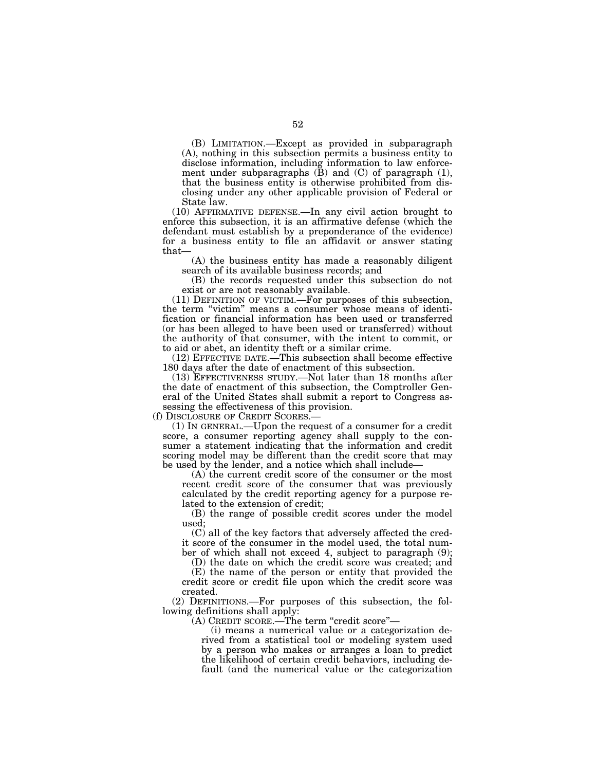(B) LIMITATION.—Except as provided in subparagraph (A), nothing in this subsection permits a business entity to disclose information, including information to law enforcement under subparagraphs (B) and (C) of paragraph (1), that the business entity is otherwise prohibited from disclosing under any other applicable provision of Federal or State law.

(10) AFFIRMATIVE DEFENSE.—In any civil action brought to enforce this subsection, it is an affirmative defense (which the defendant must establish by a preponderance of the evidence) for a business entity to file an affidavit or answer stating that—

(A) the business entity has made a reasonably diligent search of its available business records; and

(B) the records requested under this subsection do not exist or are not reasonably available.

(11) DEFINITION OF VICTIM.—For purposes of this subsection, the term "victim" means a consumer whose means of identification or financial information has been used or transferred (or has been alleged to have been used or transferred) without the authority of that consumer, with the intent to commit, or to aid or abet, an identity theft or a similar crime.

(12) EFFECTIVE DATE.—This subsection shall become effective 180 days after the date of enactment of this subsection.

(13) EFFECTIVENESS STUDY.—Not later than 18 months after the date of enactment of this subsection, the Comptroller General of the United States shall submit a report to Congress assessing the effectiveness of this provision.

(f) DISCLOSURE OF CREDIT SCORES.—

(1) IN GENERAL.—Upon the request of a consumer for a credit score, a consumer reporting agency shall supply to the consumer a statement indicating that the information and credit scoring model may be different than the credit score that may be used by the lender, and a notice which shall include—

(A) the current credit score of the consumer or the most recent credit score of the consumer that was previously calculated by the credit reporting agency for a purpose related to the extension of credit;

(B) the range of possible credit scores under the model used;

(C) all of the key factors that adversely affected the credit score of the consumer in the model used, the total number of which shall not exceed 4, subject to paragraph (9);

(D) the date on which the credit score was created; and

(E) the name of the person or entity that provided the credit score or credit file upon which the credit score was created.

(2) DEFINITIONS.—For purposes of this subsection, the following definitions shall apply:

 $\hat{P}(A)$  CREDIT SCORE.—The term "credit score"—

(i) means a numerical value or a categorization derived from a statistical tool or modeling system used by a person who makes or arranges a loan to predict the likelihood of certain credit behaviors, including default (and the numerical value or the categorization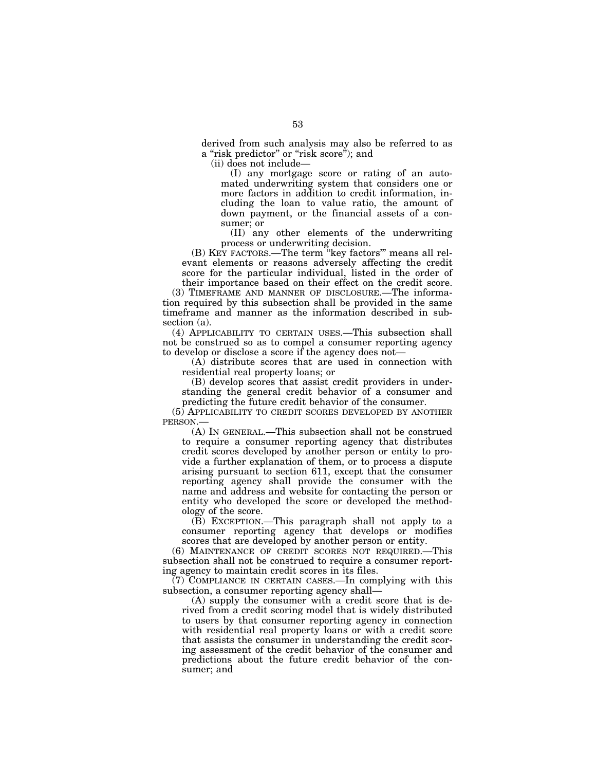derived from such analysis may also be referred to as a "risk predictor" or "risk score"); and

(ii) does not include—

(I) any mortgage score or rating of an automated underwriting system that considers one or more factors in addition to credit information, including the loan to value ratio, the amount of down payment, or the financial assets of a consumer; or

(II) any other elements of the underwriting process or underwriting decision.

(B) KEY FACTORS.—The term ''key factors''' means all relevant elements or reasons adversely affecting the credit score for the particular individual, listed in the order of their importance based on their effect on the credit score.

(3) TIMEFRAME AND MANNER OF DISCLOSURE.—The information required by this subsection shall be provided in the same timeframe and manner as the information described in subsection (a).

(4) APPLICABILITY TO CERTAIN USES.—This subsection shall not be construed so as to compel a consumer reporting agency to develop or disclose a score if the agency does not—

(A) distribute scores that are used in connection with residential real property loans; or

(B) develop scores that assist credit providers in understanding the general credit behavior of a consumer and predicting the future credit behavior of the consumer.

(5) APPLICABILITY TO CREDIT SCORES DEVELOPED BY ANOTHER PERSON.

(A) IN GENERAL.—This subsection shall not be construed to require a consumer reporting agency that distributes credit scores developed by another person or entity to provide a further explanation of them, or to process a dispute arising pursuant to section 611, except that the consumer reporting agency shall provide the consumer with the name and address and website for contacting the person or entity who developed the score or developed the methodology of the score.

(B) EXCEPTION.—This paragraph shall not apply to a consumer reporting agency that develops or modifies scores that are developed by another person or entity.

(6) MAINTENANCE OF CREDIT SCORES NOT REQUIRED.—This subsection shall not be construed to require a consumer reporting agency to maintain credit scores in its files.

(7) COMPLIANCE IN CERTAIN CASES.—In complying with this subsection, a consumer reporting agency shall—

(A) supply the consumer with a credit score that is derived from a credit scoring model that is widely distributed to users by that consumer reporting agency in connection with residential real property loans or with a credit score that assists the consumer in understanding the credit scoring assessment of the credit behavior of the consumer and predictions about the future credit behavior of the consumer; and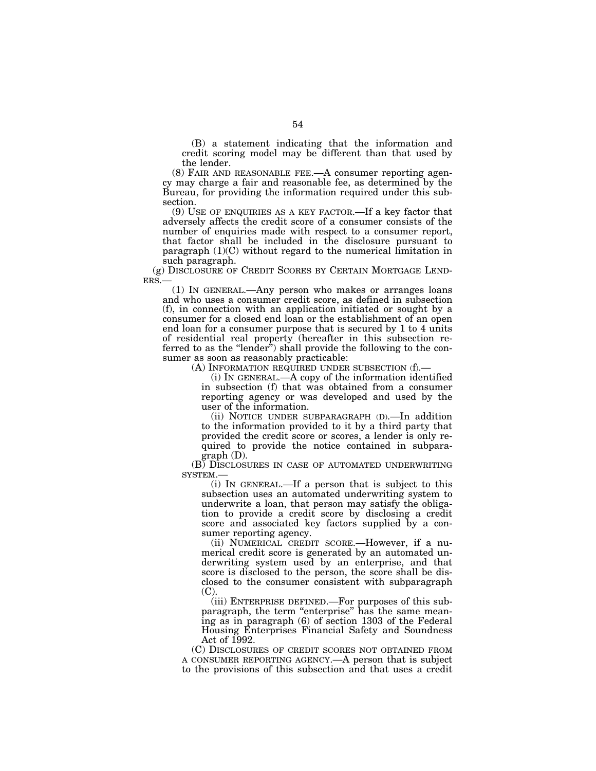(B) a statement indicating that the information and credit scoring model may be different than that used by the lender.

(8) FAIR AND REASONABLE FEE.—A consumer reporting agency may charge a fair and reasonable fee, as determined by the Bureau, for providing the information required under this subsection.

(9) USE OF ENQUIRIES AS A KEY FACTOR.—If a key factor that adversely affects the credit score of a consumer consists of the number of enquiries made with respect to a consumer report, that factor shall be included in the disclosure pursuant to paragraph  $(1)(C)$  without regard to the numerical limitation in such paragraph.

(g) DISCLOSURE OF CREDIT SCORES BY CERTAIN MORTGAGE LEND-ERS.—

(1) IN GENERAL.—Any person who makes or arranges loans and who uses a consumer credit score, as defined in subsection (f), in connection with an application initiated or sought by a consumer for a closed end loan or the establishment of an open end loan for a consumer purpose that is secured by 1 to 4 units of residential real property (hereafter in this subsection referred to as the "lender") shall provide the following to the consumer as soon as reasonably practicable:

(A) INFORMATION REQUIRED UNDER SUBSECTION  $(f)$ .<br>(i) IN GENERAL.—A copy of the information identified

in subsection (f) that was obtained from a consumer reporting agency or was developed and used by the user of the information.

(ii) NOTICE UNDER SUBPARAGRAPH (D).—In addition to the information provided to it by a third party that provided the credit score or scores, a lender is only required to provide the notice contained in subparagraph (D).

(B) DISCLOSURES IN CASE OF AUTOMATED UNDERWRITING SYSTEM.—

(i) IN GENERAL.—If a person that is subject to this subsection uses an automated underwriting system to underwrite a loan, that person may satisfy the obligation to provide a credit score by disclosing a credit score and associated key factors supplied by a consumer reporting agency.

(ii) NUMERICAL CREDIT SCORE.—However, if a numerical credit score is generated by an automated underwriting system used by an enterprise, and that score is disclosed to the person, the score shall be disclosed to the consumer consistent with subparagraph (C).

(iii) ENTERPRISE DEFINED.—For purposes of this subparagraph, the term ''enterprise'' has the same meaning as in paragraph (6) of section 1303 of the Federal Housing Enterprises Financial Safety and Soundness Act of 1992.

(C) DISCLOSURES OF CREDIT SCORES NOT OBTAINED FROM A CONSUMER REPORTING AGENCY.—A person that is subject to the provisions of this subsection and that uses a credit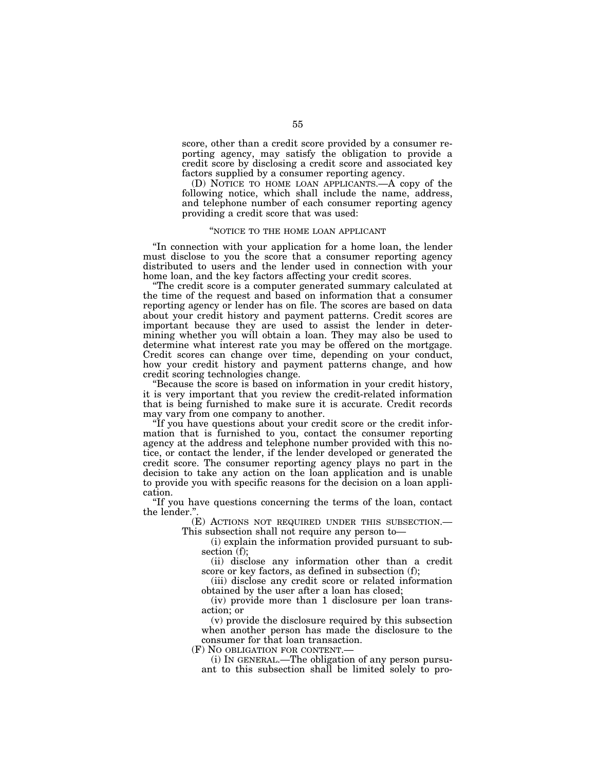score, other than a credit score provided by a consumer reporting agency, may satisfy the obligation to provide a credit score by disclosing a credit score and associated key factors supplied by a consumer reporting agency.

(D) NOTICE TO HOME LOAN APPLICANTS.—A copy of the following notice, which shall include the name, address, and telephone number of each consumer reporting agency providing a credit score that was used:

### ''NOTICE TO THE HOME LOAN APPLICANT

''In connection with your application for a home loan, the lender must disclose to you the score that a consumer reporting agency distributed to users and the lender used in connection with your home loan, and the key factors affecting your credit scores.

''The credit score is a computer generated summary calculated at the time of the request and based on information that a consumer reporting agency or lender has on file. The scores are based on data about your credit history and payment patterns. Credit scores are important because they are used to assist the lender in determining whether you will obtain a loan. They may also be used to determine what interest rate you may be offered on the mortgage. Credit scores can change over time, depending on your conduct, how your credit history and payment patterns change, and how credit scoring technologies change.

''Because the score is based on information in your credit history, it is very important that you review the credit-related information that is being furnished to make sure it is accurate. Credit records may vary from one company to another.

''If you have questions about your credit score or the credit information that is furnished to you, contact the consumer reporting agency at the address and telephone number provided with this notice, or contact the lender, if the lender developed or generated the credit score. The consumer reporting agency plays no part in the decision to take any action on the loan application and is unable to provide you with specific reasons for the decision on a loan application.

''If you have questions concerning the terms of the loan, contact the lender."

(E) ACTIONS NOT REQUIRED UNDER THIS SUBSECTION.— This subsection shall not require any person to—

(i) explain the information provided pursuant to subsection (f);

(ii) disclose any information other than a credit score or key factors, as defined in subsection (f);

(iii) disclose any credit score or related information obtained by the user after a loan has closed;

(iv) provide more than 1 disclosure per loan transaction; or

(v) provide the disclosure required by this subsection when another person has made the disclosure to the consumer for that loan transaction.

(F) NO OBLIGATION FOR CONTENT.—

(i) IN GENERAL.—The obligation of any person pursuant to this subsection shall be limited solely to pro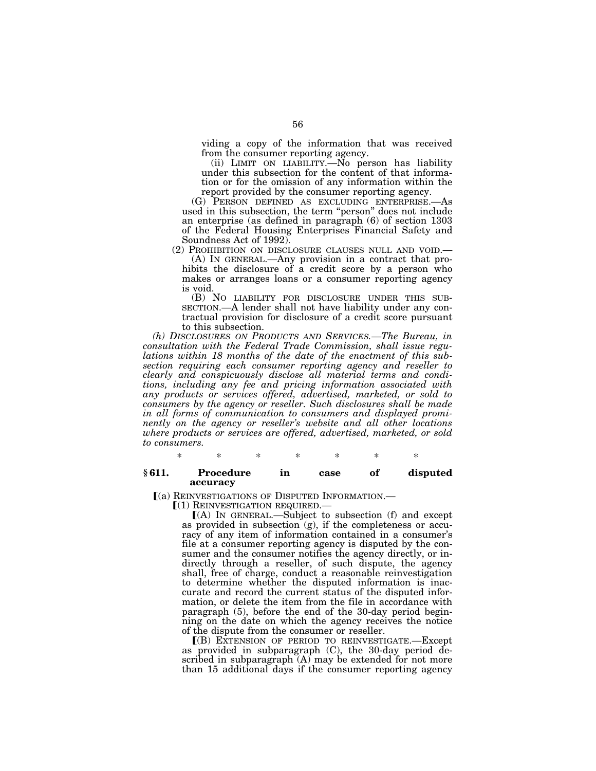viding a copy of the information that was received from the consumer reporting agency.

(ii) LIMIT ON LIABILITY.—No person has liability under this subsection for the content of that information or for the omission of any information within the report provided by the consumer reporting agency.

(G) PERSON DEFINED AS EXCLUDING ENTERPRISE.—As used in this subsection, the term "person" does not include an enterprise (as defined in paragraph (6) of section 1303 of the Federal Housing Enterprises Financial Safety and Soundness Act of 1992).

(2) PROHIBITION ON DISCLOSURE CLAUSES NULL AND VOID.— (A) IN GENERAL.—Any provision in a contract that pro-

hibits the disclosure of a credit score by a person who makes or arranges loans or a consumer reporting agency is void.

(B) NO LIABILITY FOR DISCLOSURE UNDER THIS SUB-<br>SECTION.—A lender shall not have liability under any contractual provision for disclosure of a credit score pursuant to this subsection.

*(h) DISCLOSURES ON PRODUCTS AND SERVICES.—The Bureau, in consultation with the Federal Trade Commission, shall issue regulations within 18 months of the date of the enactment of this subsection requiring each consumer reporting agency and reseller to clearly and conspicuously disclose all material terms and conditions, including any fee and pricing information associated with any products or services offered, advertised, marketed, or sold to consumers by the agency or reseller. Such disclosures shall be made in all forms of communication to consumers and displayed prominently on the agency or reseller's website and all other locations where products or services are offered, advertised, marketed, or sold to consumers.* 

\* \* \* \* \* \* \*

### **§ 611. Procedure in case of disputed accuracy**

 $[(a)$  REINVESTIGATIONS OF DISPUTED INFORMATION.—<br>  $[(1)$  REINVESTIGATION REQUIRED.—<br>  $[(A)$  IN GENERAL.—Subject to subsection (f) and except as provided in subsection (g), if the completeness or accuracy of any item of information contained in a consumer's file at a consumer reporting agency is disputed by the consumer and the consumer notifies the agency directly, or indirectly through a reseller, of such dispute, the agency shall, free of charge, conduct a reasonable reinvestigation to determine whether the disputed information is inaccurate and record the current status of the disputed information, or delete the item from the file in accordance with paragraph (5), before the end of the 30-day period beginning on the date on which the agency receives the notice of the dispute from the consumer or reseller.

ø(B) EXTENSION OF PERIOD TO REINVESTIGATE.—Except as provided in subparagraph (C), the 30-day period described in subparagraph (A) may be extended for not more than 15 additional days if the consumer reporting agency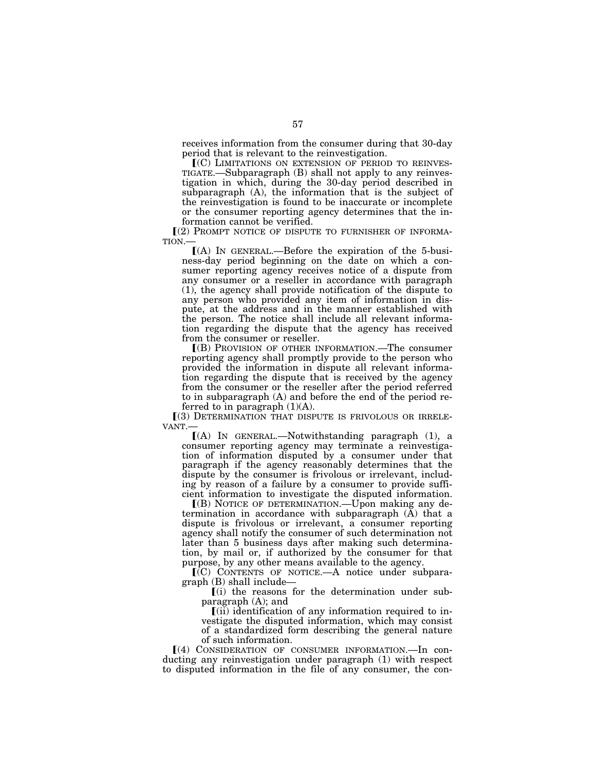receives information from the consumer during that 30-day period that is relevant to the reinvestigation.

 $(C)$  LIMITATIONS ON EXTENSION OF PERIOD TO REINVES-TIGATE.—Subparagraph (B) shall not apply to any reinvestigation in which, during the 30-day period described in subparagraph (A), the information that is the subject of the reinvestigation is found to be inaccurate or incomplete or the consumer reporting agency determines that the information cannot be verified.

 $(2)$  Prompt notice of dispute to furnisher of information.—

 $(A)$  IN GENERAL.—Before the expiration of the 5-business-day period beginning on the date on which a consumer reporting agency receives notice of a dispute from any consumer or a reseller in accordance with paragraph (1), the agency shall provide notification of the dispute to any person who provided any item of information in dispute, at the address and in the manner established with the person. The notice shall include all relevant information regarding the dispute that the agency has received from the consumer or reseller.

ø(B) PROVISION OF OTHER INFORMATION.—The consumer reporting agency shall promptly provide to the person who provided the information in dispute all relevant information regarding the dispute that is received by the agency from the consumer or the reseller after the period referred to in subparagraph (A) and before the end of the period referred to in paragraph  $(1)(A)$ .

ø(3) DETERMINATION THAT DISPUTE IS FRIVOLOUS OR IRRELE-VANT.

 $(A)$  In GENERAL.—Notwithstanding paragraph  $(1)$ , a consumer reporting agency may terminate a reinvestigation of information disputed by a consumer under that paragraph if the agency reasonably determines that the dispute by the consumer is frivolous or irrelevant, including by reason of a failure by a consumer to provide sufficient information to investigate the disputed information.

ø(B) NOTICE OF DETERMINATION.—Upon making any determination in accordance with subparagraph  $(A)$  that a dispute is frivolous or irrelevant, a consumer reporting agency shall notify the consumer of such determination not later than 5 business days after making such determination, by mail or, if authorized by the consumer for that purpose, by any other means available to the agency.

 $\overline{C}(C)$  CONTENTS OF NOTICE.—A notice under subparagraph (B) shall include—

ø(i) the reasons for the determination under subparagraph (A); and

 $\left[ \mathrm{(ii)} \right]$  identification of any information required to investigate the disputed information, which may consist of a standardized form describing the general nature of such information.

ø(4) CONSIDERATION OF CONSUMER INFORMATION.—In conducting any reinvestigation under paragraph (1) with respect to disputed information in the file of any consumer, the con-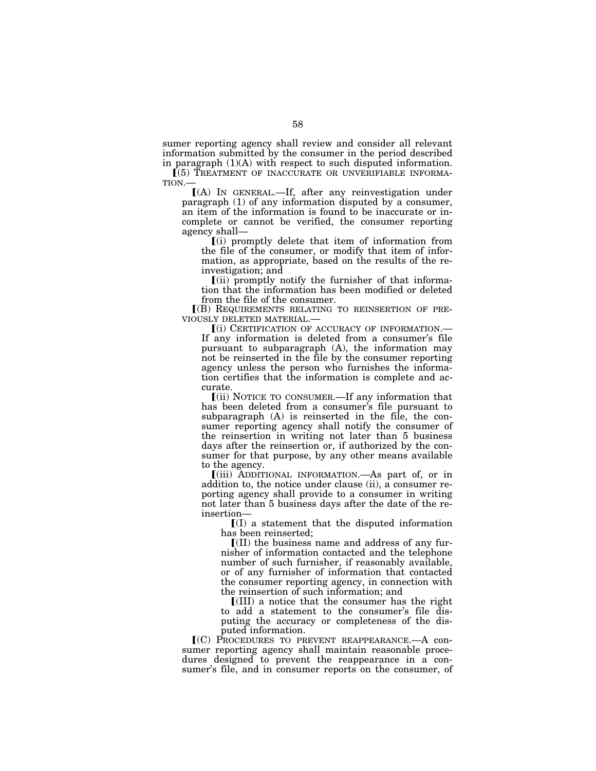sumer reporting agency shall review and consider all relevant information submitted by the consumer in the period described in paragraph  $(1)(A)$  with respect to such disputed information.

 $(5)$  TREATMENT OF INACCURATE OR UNVERIFIABLE INFORMATION.—

 $(A)$  In GENERAL.—If, after any reinvestigation under paragraph (1) of any information disputed by a consumer, an item of the information is found to be inaccurate or incomplete or cannot be verified, the consumer reporting agency shall—

 $(i)$  promptly delete that item of information from the file of the consumer, or modify that item of information, as appropriate, based on the results of the reinvestigation; and

 $(iii)$  promptly notify the furnisher of that information that the information has been modified or deleted from the file of the consumer.

ø(B) REQUIREMENTS RELATING TO REINSERTION OF PRE-VIOUSLY DELETED MATERIAL.—

ø(i) CERTIFICATION OF ACCURACY OF INFORMATION.— If any information is deleted from a consumer's file pursuant to subparagraph (A), the information may not be reinserted in the file by the consumer reporting agency unless the person who furnishes the information certifies that the information is complete and accurate.

ø(ii) NOTICE TO CONSUMER.—If any information that has been deleted from a consumer's file pursuant to subparagraph (A) is reinserted in the file, the consumer reporting agency shall notify the consumer of the reinsertion in writing not later than 5 business days after the reinsertion or, if authorized by the consumer for that purpose, by any other means available to the agency.

ø(iii) ADDITIONAL INFORMATION.—As part of, or in addition to, the notice under clause (ii), a consumer reporting agency shall provide to a consumer in writing not later than 5 business days after the date of the reinsertion—

 $\left[$ (I) a statement that the disputed information has been reinserted;

 $\overline{f(II)}$  the business name and address of any furnisher of information contacted and the telephone number of such furnisher, if reasonably available, or of any furnisher of information that contacted the consumer reporting agency, in connection with the reinsertion of such information; and

 $\llbracket$ (III) a notice that the consumer has the right to add a statement to the consumer's file disputing the accuracy or completeness of the disputed information.

ø(C) PROCEDURES TO PREVENT REAPPEARANCE.—A consumer reporting agency shall maintain reasonable procedures designed to prevent the reappearance in a consumer's file, and in consumer reports on the consumer, of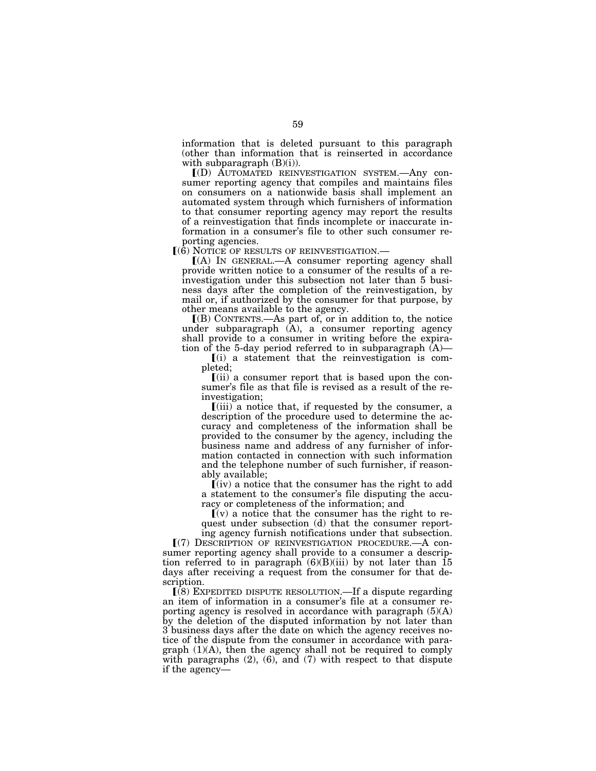information that is deleted pursuant to this paragraph (other than information that is reinserted in accordance with subparagraph  $(B)(i)$ .

ø(D) AUTOMATED REINVESTIGATION SYSTEM.—Any consumer reporting agency that compiles and maintains files on consumers on a nationwide basis shall implement an automated system through which furnishers of information to that consumer reporting agency may report the results of a reinvestigation that finds incomplete or inaccurate information in a consumer's file to other such consumer reporting agencies.

 $(6)$  NOTICE OF RESULTS OF REINVESTIGATION.—

 $[(A)$  In GENERAL.—A consumer reporting agency shall provide written notice to a consumer of the results of a reinvestigation under this subsection not later than 5 business days after the completion of the reinvestigation, by mail or, if authorized by the consumer for that purpose, by other means available to the agency.

 $[(B)$  CONTENTS.—As part of, or in addition to, the notice under subparagraph (A), a consumer reporting agency shall provide to a consumer in writing before the expiration of the 5-day period referred to in subparagraph  $(A)$ —

 $(i)$  a statement that the reinvestigation is completed;

 $\lceil$ (ii) a consumer report that is based upon the consumer's file as that file is revised as a result of the reinvestigation;

 $(iii)$  a notice that, if requested by the consumer, a description of the procedure used to determine the accuracy and completeness of the information shall be provided to the consumer by the agency, including the business name and address of any furnisher of information contacted in connection with such information and the telephone number of such furnisher, if reasonably available;

 $\left[$ (iv) a notice that the consumer has the right to add a statement to the consumer's file disputing the accuracy or completeness of the information; and

 $(x)$  a notice that the consumer has the right to request under subsection (d) that the consumer report-

ing agency furnish notifications under that subsection. ø(7) DESCRIPTION OF REINVESTIGATION PROCEDURE.—A consumer reporting agency shall provide to a consumer a description referred to in paragraph  $(6)(B)(iii)$  by not later than 15 days after receiving a request from the consumer for that description.

 $(8)$  EXPEDITED DISPUTE RESOLUTION.—If a dispute regarding an item of information in a consumer's file at a consumer reporting agency is resolved in accordance with paragraph  $(5)(A)$ by the deletion of the disputed information by not later than 3 business days after the date on which the agency receives notice of the dispute from the consumer in accordance with paragraph  $(1)(A)$ , then the agency shall not be required to comply with paragraphs  $(2)$ ,  $(6)$ , and  $(7)$  with respect to that dispute if the agency—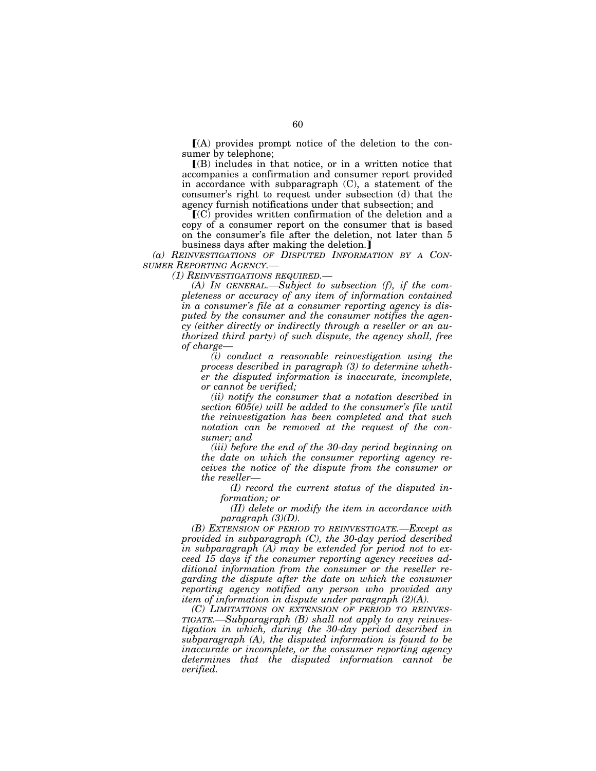$(A)$  provides prompt notice of the deletion to the consumer by telephone;

 $\Gamma(B)$  includes in that notice, or in a written notice that accompanies a confirmation and consumer report provided in accordance with subparagraph (C), a statement of the consumer's right to request under subsection (d) that the agency furnish notifications under that subsection; and

 $\mathbf{C}(C)$  provides written confirmation of the deletion and a copy of a consumer report on the consumer that is based on the consumer's file after the deletion, not later than 5 business days after making the deletion.]

*(a) REINVESTIGATIONS OF DISPUTED INFORMATION BY A CON-SUMER REPORTING AGENCY.—* 

*(1) REINVESTIGATIONS REQUIRED.—* 

*(A) IN GENERAL.—Subject to subsection (f), if the completeness or accuracy of any item of information contained in a consumer's file at a consumer reporting agency is disputed by the consumer and the consumer notifies the agency (either directly or indirectly through a reseller or an authorized third party) of such dispute, the agency shall, free of charge—* 

*(i) conduct a reasonable reinvestigation using the process described in paragraph (3) to determine whether the disputed information is inaccurate, incomplete, or cannot be verified;* 

*(ii) notify the consumer that a notation described in section 605(e) will be added to the consumer's file until the reinvestigation has been completed and that such notation can be removed at the request of the consumer; and* 

*(iii) before the end of the 30-day period beginning on the date on which the consumer reporting agency receives the notice of the dispute from the consumer or the reseller—* 

*(I) record the current status of the disputed information; or* 

*(II) delete or modify the item in accordance with paragraph (3)(D).* 

*(B) EXTENSION OF PERIOD TO REINVESTIGATE.—Except as provided in subparagraph (C), the 30-day period described in subparagraph (A) may be extended for period not to exceed 15 days if the consumer reporting agency receives additional information from the consumer or the reseller regarding the dispute after the date on which the consumer reporting agency notified any person who provided any item of information in dispute under paragraph (2)(A).* 

*(C) LIMITATIONS ON EXTENSION OF PERIOD TO REINVES-TIGATE.—Subparagraph (B) shall not apply to any reinvestigation in which, during the 30-day period described in subparagraph (A), the disputed information is found to be inaccurate or incomplete, or the consumer reporting agency determines that the disputed information cannot be verified.*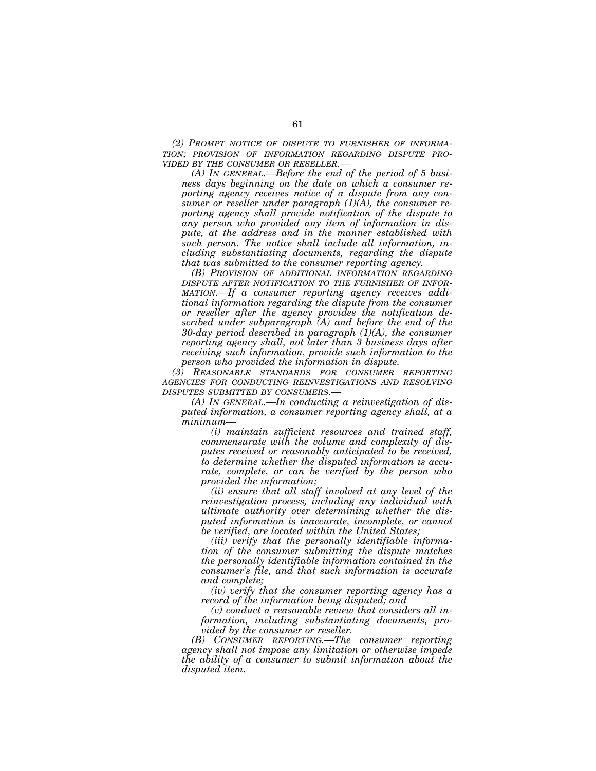*(2) PROMPT NOTICE OF DISPUTE TO FURNISHER OF INFORMA-TION; PROVISION OF INFORMATION REGARDING DISPUTE PRO-VIDED BY THE CONSUMER OR RESELLER.—* 

*(A) IN GENERAL.—Before the end of the period of 5 business days beginning on the date on which a consumer reporting agency receives notice of a dispute from any consumer or reseller under paragraph (1)(A), the consumer reporting agency shall provide notification of the dispute to any person who provided any item of information in dispute, at the address and in the manner established with such person. The notice shall include all information, including substantiating documents, regarding the dispute that was submitted to the consumer reporting agency.* 

*(B) PROVISION OF ADDITIONAL INFORMATION REGARDING DISPUTE AFTER NOTIFICATION TO THE FURNISHER OF INFOR-MATION.—If a consumer reporting agency receives additional information regarding the dispute from the consumer or reseller after the agency provides the notification described under subparagraph (A) and before the end of the 30-day period described in paragraph (1)(A), the consumer reporting agency shall, not later than 3 business days after receiving such information, provide such information to the person who provided the information in dispute.* 

*(3) REASONABLE STANDARDS FOR CONSUMER REPORTING AGENCIES FOR CONDUCTING REINVESTIGATIONS AND RESOLVING DISPUTES SUBMITTED BY CONSUMERS.—* 

*(A) IN GENERAL.—In conducting a reinvestigation of disputed information, a consumer reporting agency shall, at a minimum—* 

*(i) maintain sufficient resources and trained staff, commensurate with the volume and complexity of disputes received or reasonably anticipated to be received, to determine whether the disputed information is accurate, complete, or can be verified by the person who provided the information;* 

*(ii) ensure that all staff involved at any level of the reinvestigation process, including any individual with ultimate authority over determining whether the disputed information is inaccurate, incomplete, or cannot be verified, are located within the United States;* 

*(iii) verify that the personally identifiable information of the consumer submitting the dispute matches the personally identifiable information contained in the consumer's file, and that such information is accurate and complete;* 

*(iv) verify that the consumer reporting agency has a record of the information being disputed; and* 

*(v) conduct a reasonable review that considers all information, including substantiating documents, provided by the consumer or reseller.* 

*(B) CONSUMER REPORTING.—The consumer reporting agency shall not impose any limitation or otherwise impede the ability of a consumer to submit information about the disputed item.*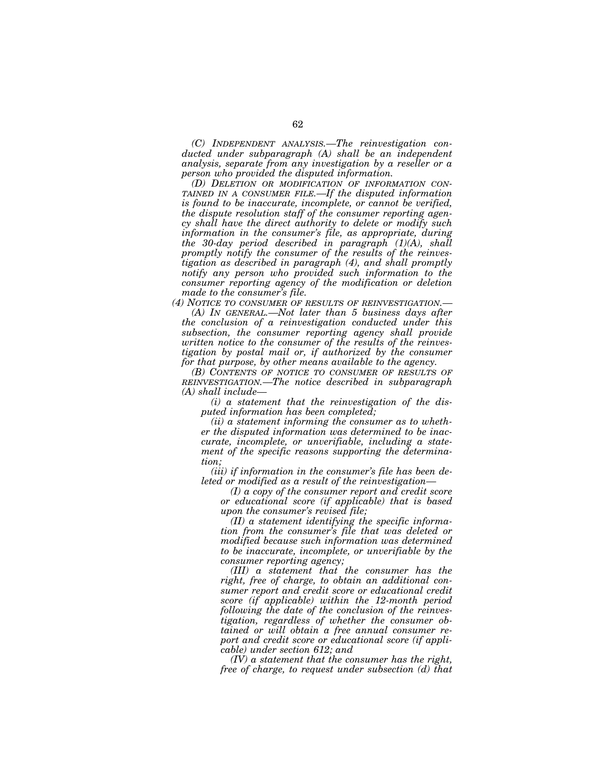*(C) INDEPENDENT ANALYSIS.—The reinvestigation conducted under subparagraph (A) shall be an independent analysis, separate from any investigation by a reseller or a person who provided the disputed information.* 

*(D) DELETION OR MODIFICATION OF INFORMATION CON-TAINED IN A CONSUMER FILE.—If the disputed information is found to be inaccurate, incomplete, or cannot be verified, the dispute resolution staff of the consumer reporting agency shall have the direct authority to delete or modify such information in the consumer's file, as appropriate, during the 30-day period described in paragraph (1)(A), shall promptly notify the consumer of the results of the reinvestigation as described in paragraph (4), and shall promptly notify any person who provided such information to the consumer reporting agency of the modification or deletion made to the consumer's file.* 

*(4) NOTICE TO CONSUMER OF RESULTS OF REINVESTIGATION.—* 

*(A) IN GENERAL.—Not later than 5 business days after the conclusion of a reinvestigation conducted under this subsection, the consumer reporting agency shall provide written notice to the consumer of the results of the reinvestigation by postal mail or, if authorized by the consumer for that purpose, by other means available to the agency.* 

*(B) CONTENTS OF NOTICE TO CONSUMER OF RESULTS OF REINVESTIGATION.—The notice described in subparagraph (A) shall include—* 

*(i) a statement that the reinvestigation of the disputed information has been completed;* 

*(ii) a statement informing the consumer as to whether the disputed information was determined to be inaccurate, incomplete, or unverifiable, including a statement of the specific reasons supporting the determination;* 

*(iii) if information in the consumer's file has been deleted or modified as a result of the reinvestigation—* 

*(I) a copy of the consumer report and credit score or educational score (if applicable) that is based upon the consumer's revised file;* 

*(II) a statement identifying the specific information from the consumer's file that was deleted or modified because such information was determined to be inaccurate, incomplete, or unverifiable by the consumer reporting agency;* 

*(III) a statement that the consumer has the right, free of charge, to obtain an additional consumer report and credit score or educational credit score (if applicable) within the 12-month period following the date of the conclusion of the reinvestigation, regardless of whether the consumer obtained or will obtain a free annual consumer report and credit score or educational score (if applicable) under section 612; and* 

*(IV) a statement that the consumer has the right, free of charge, to request under subsection (d) that*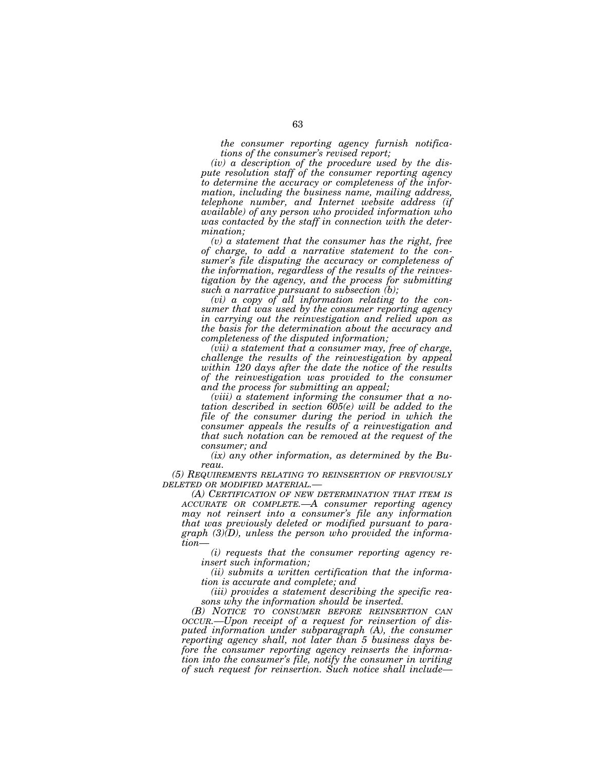*the consumer reporting agency furnish notifications of the consumer's revised report;* 

*(iv) a description of the procedure used by the dispute resolution staff of the consumer reporting agency to determine the accuracy or completeness of the information, including the business name, mailing address, telephone number, and Internet website address (if available) of any person who provided information who was contacted by the staff in connection with the determination;* 

*(v) a statement that the consumer has the right, free of charge, to add a narrative statement to the consumer's file disputing the accuracy or completeness of the information, regardless of the results of the reinvestigation by the agency, and the process for submitting such a narrative pursuant to subsection (b);* 

*(vi) a copy of all information relating to the consumer that was used by the consumer reporting agency in carrying out the reinvestigation and relied upon as the basis for the determination about the accuracy and completeness of the disputed information;* 

*(vii) a statement that a consumer may, free of charge, challenge the results of the reinvestigation by appeal within 120 days after the date the notice of the results of the reinvestigation was provided to the consumer and the process for submitting an appeal;* 

*(viii) a statement informing the consumer that a notation described in section 605(e) will be added to the file of the consumer during the period in which the consumer appeals the results of a reinvestigation and that such notation can be removed at the request of the consumer; and* 

*(ix) any other information, as determined by the Bureau.* 

*(5) REQUIREMENTS RELATING TO REINSERTION OF PREVIOUSLY DELETED OR MODIFIED MATERIAL.— (A) CERTIFICATION OF NEW DETERMINATION THAT ITEM IS*

*ACCURATE OR COMPLETE.—A consumer reporting agency may not reinsert into a consumer's file any information that was previously deleted or modified pursuant to paragraph (3)(D), unless the person who provided the information—* 

*(i) requests that the consumer reporting agency reinsert such information;* 

*(ii) submits a written certification that the information is accurate and complete; and* 

*(iii) provides a statement describing the specific reasons why the information should be inserted.* 

*(B) NOTICE TO CONSUMER BEFORE REINSERTION CAN OCCUR.—Upon receipt of a request for reinsertion of disputed information under subparagraph (A), the consumer reporting agency shall, not later than 5 business days before the consumer reporting agency reinserts the information into the consumer's file, notify the consumer in writing of such request for reinsertion. Such notice shall include—*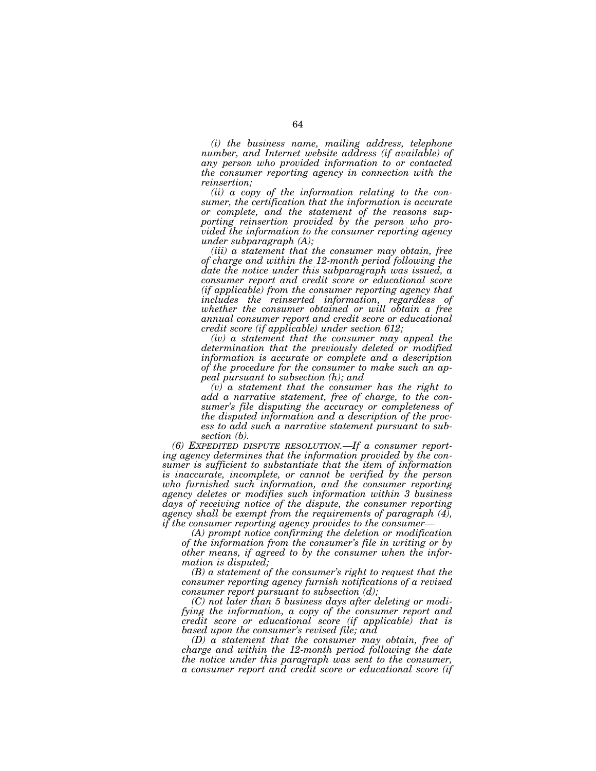*(i) the business name, mailing address, telephone number, and Internet website address (if available) of any person who provided information to or contacted the consumer reporting agency in connection with the reinsertion;* 

*(ii) a copy of the information relating to the consumer, the certification that the information is accurate or complete, and the statement of the reasons supporting reinsertion provided by the person who provided the information to the consumer reporting agency under subparagraph (A);* 

*(iii) a statement that the consumer may obtain, free of charge and within the 12-month period following the date the notice under this subparagraph was issued, a consumer report and credit score or educational score (if applicable) from the consumer reporting agency that includes the reinserted information, regardless of whether the consumer obtained or will obtain a free annual consumer report and credit score or educational credit score (if applicable) under section 612;* 

*(iv) a statement that the consumer may appeal the determination that the previously deleted or modified information is accurate or complete and a description of the procedure for the consumer to make such an appeal pursuant to subsection (h); and* 

*(v) a statement that the consumer has the right to add a narrative statement, free of charge, to the consumer's file disputing the accuracy or completeness of the disputed information and a description of the process to add such a narrative statement pursuant to subsection (b).* 

*(6) EXPEDITED DISPUTE RESOLUTION.—If a consumer reporting agency determines that the information provided by the consumer is sufficient to substantiate that the item of information is inaccurate, incomplete, or cannot be verified by the person who furnished such information, and the consumer reporting agency deletes or modifies such information within 3 business*  days of receiving notice of the dispute, the consumer reporting *agency shall be exempt from the requirements of paragraph (4), if the consumer reporting agency provides to the consumer—* 

*(A) prompt notice confirming the deletion or modification of the information from the consumer's file in writing or by other means, if agreed to by the consumer when the information is disputed;* 

*(B) a statement of the consumer's right to request that the consumer reporting agency furnish notifications of a revised consumer report pursuant to subsection (d);* 

*(C) not later than 5 business days after deleting or modifying the information, a copy of the consumer report and credit score or educational score (if applicable) that is based upon the consumer's revised file; and* 

*(D) a statement that the consumer may obtain, free of charge and within the 12-month period following the date the notice under this paragraph was sent to the consumer, a consumer report and credit score or educational score (if*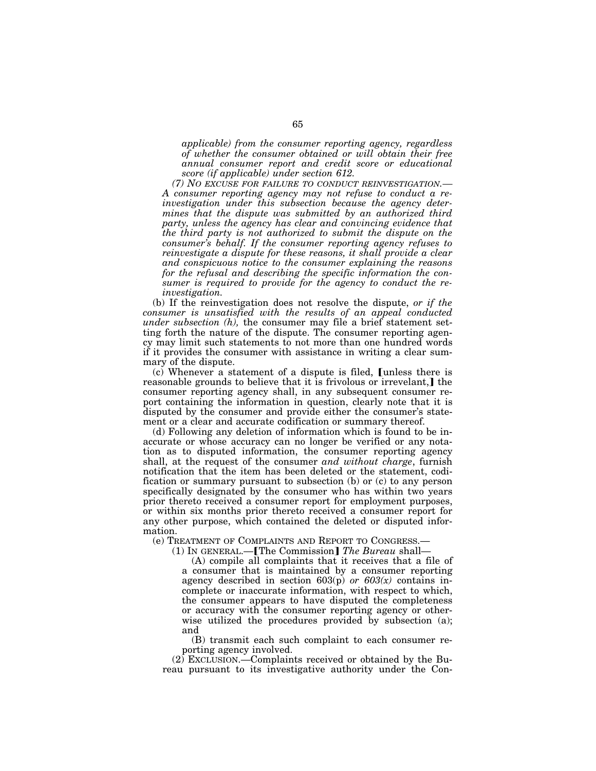*applicable) from the consumer reporting agency, regardless of whether the consumer obtained or will obtain their free annual consumer report and credit score or educational score (if applicable) under section 612.* 

*(7) NO EXCUSE FOR FAILURE TO CONDUCT REINVESTIGATION.— A consumer reporting agency may not refuse to conduct a reinvestigation under this subsection because the agency determines that the dispute was submitted by an authorized third party, unless the agency has clear and convincing evidence that the third party is not authorized to submit the dispute on the consumer's behalf. If the consumer reporting agency refuses to reinvestigate a dispute for these reasons, it shall provide a clear and conspicuous notice to the consumer explaining the reasons for the refusal and describing the specific information the consumer is required to provide for the agency to conduct the reinvestigation.* 

(b) If the reinvestigation does not resolve the dispute, *or if the consumer is unsatisfied with the results of an appeal conducted under subsection (h),* the consumer may file a brief statement setting forth the nature of the dispute. The consumer reporting agency may limit such statements to not more than one hundred words if it provides the consumer with assistance in writing a clear summary of the dispute.

 $(c)$  Whenever a statement of a dispute is filed, funless there is reasonable grounds to believe that it is frivolous or irrevelant, the consumer reporting agency shall, in any subsequent consumer report containing the information in question, clearly note that it is disputed by the consumer and provide either the consumer's statement or a clear and accurate codification or summary thereof.

(d) Following any deletion of information which is found to be inaccurate or whose accuracy can no longer be verified or any notation as to disputed information, the consumer reporting agency shall, at the request of the consumer *and without charge*, furnish notification that the item has been deleted or the statement, codification or summary pursuant to subsection (b) or (c) to any person specifically designated by the consumer who has within two years prior thereto received a consumer report for employment purposes, or within six months prior thereto received a consumer report for any other purpose, which contained the deleted or disputed information.

(e) TREATMENT OF COMPLAINTS AND REPORT TO CONGRESS.—

(1) IN GENERAL.—**[The Commission]** The Bureau shall—

(A) compile all complaints that it receives that a file of a consumer that is maintained by a consumer reporting agency described in section 603(p) *or 603(x)* contains incomplete or inaccurate information, with respect to which, the consumer appears to have disputed the completeness or accuracy with the consumer reporting agency or otherwise utilized the procedures provided by subsection (a); and

(B) transmit each such complaint to each consumer reporting agency involved.

 $(2)$  EXCLUSION.—Complaints received or obtained by the Bureau pursuant to its investigative authority under the Con-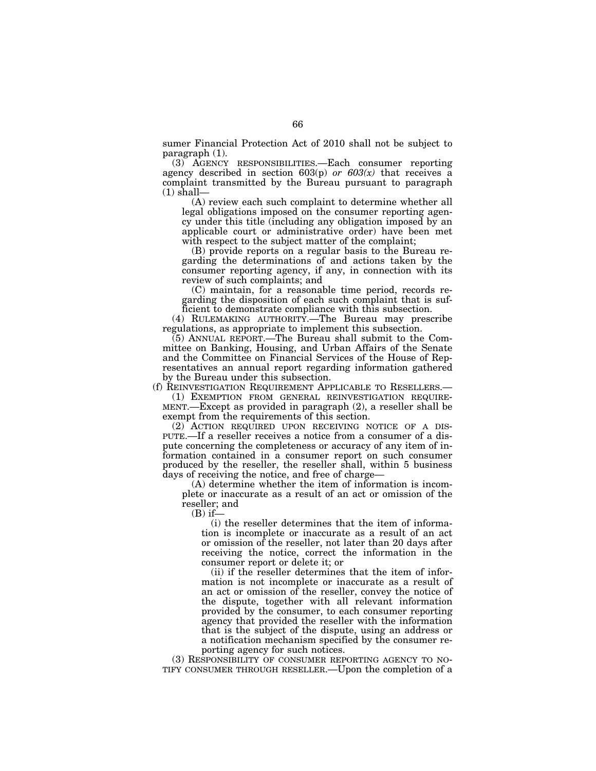sumer Financial Protection Act of 2010 shall not be subject to paragraph (1).

(3) AGENCY RESPONSIBILITIES.—Each consumer reporting agency described in section 603(p) *or 603(x)* that receives a complaint transmitted by the Bureau pursuant to paragraph  $(1)$  shall-

(A) review each such complaint to determine whether all legal obligations imposed on the consumer reporting agency under this title (including any obligation imposed by an applicable court or administrative order) have been met with respect to the subject matter of the complaint;

(B) provide reports on a regular basis to the Bureau regarding the determinations of and actions taken by the consumer reporting agency, if any, in connection with its review of such complaints; and

(C) maintain, for a reasonable time period, records regarding the disposition of each such complaint that is sufficient to demonstrate compliance with this subsection.

(4) RULEMAKING AUTHORITY.—The Bureau may prescribe regulations, as appropriate to implement this subsection.

(5) ANNUAL REPORT.—The Bureau shall submit to the Committee on Banking, Housing, and Urban Affairs of the Senate and the Committee on Financial Services of the House of Representatives an annual report regarding information gathered by the Bureau under this subsection.

(f) REINVESTIGATION REQUIREMENT APPLICABLE TO RESELLERS.— (1) EXEMPTION FROM GENERAL REINVESTIGATION REQUIRE- MENT.—Except as provided in paragraph (2), a reseller shall be exempt from the requirements of this section.

(2) ACTION REQUIRED UPON RECEIVING NOTICE OF A DIS- PUTE.—If a reseller receives a notice from a consumer of a dispute concerning the completeness or accuracy of any item of information contained in a consumer report on such consumer produced by the reseller, the reseller shall, within 5 business days of receiving the notice, and free of charge—

(A) determine whether the item of information is incomplete or inaccurate as a result of an act or omission of the reseller; and

 $(B)$  if-

(i) the reseller determines that the item of information is incomplete or inaccurate as a result of an act or omission of the reseller, not later than 20 days after receiving the notice, correct the information in the consumer report or delete it; or

(ii) if the reseller determines that the item of information is not incomplete or inaccurate as a result of an act or omission of the reseller, convey the notice of the dispute, together with all relevant information provided by the consumer, to each consumer reporting agency that provided the reseller with the information that is the subject of the dispute, using an address or a notification mechanism specified by the consumer reporting agency for such notices.

(3) RESPONSIBILITY OF CONSUMER REPORTING AGENCY TO NO-TIFY CONSUMER THROUGH RESELLER.—Upon the completion of a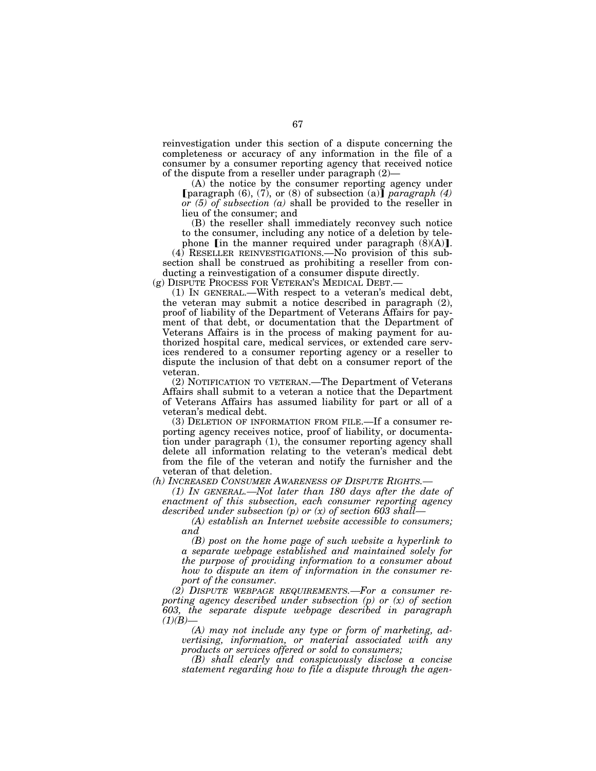reinvestigation under this section of a dispute concerning the completeness or accuracy of any information in the file of a consumer by a consumer reporting agency that received notice of the dispute from a reseller under paragraph (2)—

(A) the notice by the consumer reporting agency under [paragraph  $(6)$ ,  $(7)$ , or  $(8)$  of subsection  $(a)$ ] *paragraph*  $(4)$ *or (5) of subsection (a)* shall be provided to the reseller in lieu of the consumer; and

(B) the reseller shall immediately reconvey such notice to the consumer, including any notice of a deletion by tele-

phone [in the manner required under paragraph  $(8)(A)$ ]. (4) RESELLER REINVESTIGATIONS.—No provision of this subsection shall be construed as prohibiting a reseller from conducting a reinvestigation of a consumer dispute directly.

(g) DISPUTE PROCESS FOR VETERAN'S MEDICAL DEBT.—

(1) IN GENERAL.—With respect to a veteran's medical debt, the veteran may submit a notice described in paragraph (2), proof of liability of the Department of Veterans Affairs for payment of that debt, or documentation that the Department of Veterans Affairs is in the process of making payment for authorized hospital care, medical services, or extended care services rendered to a consumer reporting agency or a reseller to dispute the inclusion of that debt on a consumer report of the veteran.

(2) NOTIFICATION TO VETERAN.—The Department of Veterans Affairs shall submit to a veteran a notice that the Department of Veterans Affairs has assumed liability for part or all of a veteran's medical debt.

(3) DELETION OF INFORMATION FROM FILE.—If a consumer reporting agency receives notice, proof of liability, or documentation under paragraph (1), the consumer reporting agency shall delete all information relating to the veteran's medical debt from the file of the veteran and notify the furnisher and the veteran of that deletion.

*(h) INCREASED CONSUMER AWARENESS OF DISPUTE RIGHTS.—* 

*(1) IN GENERAL.—Not later than 180 days after the date of enactment of this subsection, each consumer reporting agency described under subsection (p) or (x) of section 603 shall—* 

*(A) establish an Internet website accessible to consumers; and* 

*(B) post on the home page of such website a hyperlink to a separate webpage established and maintained solely for the purpose of providing information to a consumer about how to dispute an item of information in the consumer report of the consumer.* 

*(2) DISPUTE WEBPAGE REQUIREMENTS.—For a consumer reporting agency described under subsection (p) or (x) of section 603, the separate dispute webpage described in paragraph*   $(1)(B)$ 

*(A) may not include any type or form of marketing, advertising, information, or material associated with any products or services offered or sold to consumers;* 

*(B) shall clearly and conspicuously disclose a concise statement regarding how to file a dispute through the agen-*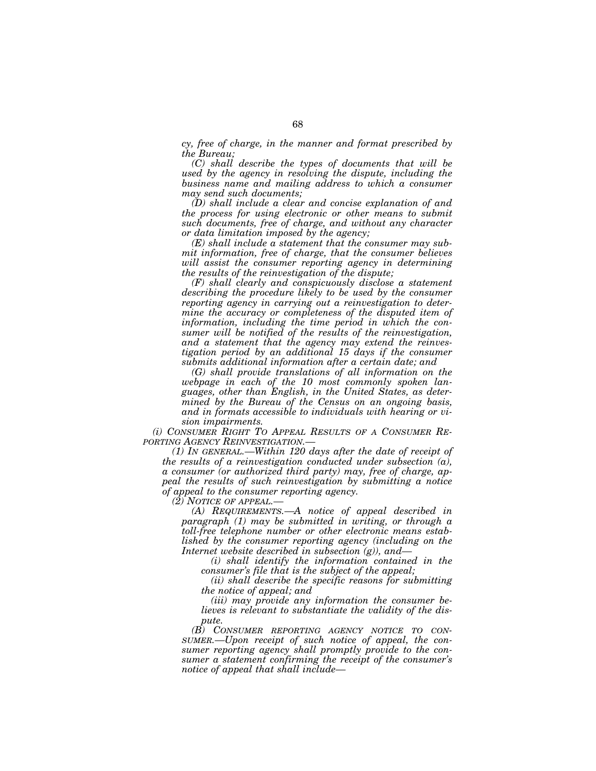*cy, free of charge, in the manner and format prescribed by the Bureau;* 

*(C) shall describe the types of documents that will be used by the agency in resolving the dispute, including the business name and mailing address to which a consumer may send such documents;* 

*(D) shall include a clear and concise explanation of and the process for using electronic or other means to submit such documents, free of charge, and without any character or data limitation imposed by the agency;* 

*(E) shall include a statement that the consumer may submit information, free of charge, that the consumer believes will assist the consumer reporting agency in determining the results of the reinvestigation of the dispute;* 

*(F) shall clearly and conspicuously disclose a statement describing the procedure likely to be used by the consumer reporting agency in carrying out a reinvestigation to determine the accuracy or completeness of the disputed item of information, including the time period in which the consumer will be notified of the results of the reinvestigation, and a statement that the agency may extend the reinvestigation period by an additional 15 days if the consumer submits additional information after a certain date; and* 

*(G) shall provide translations of all information on the webpage in each of the 10 most commonly spoken languages, other than English, in the United States, as determined by the Bureau of the Census on an ongoing basis, and in formats accessible to individuals with hearing or vision impairments.* 

*(i) CONSUMER RIGHT TO APPEAL RESULTS OF A CONSUMER RE-PORTING AGENCY REINVESTIGATION.—* 

*(1) IN GENERAL.—Within 120 days after the date of receipt of the results of a reinvestigation conducted under subsection (a), a consumer (or authorized third party) may, free of charge, appeal the results of such reinvestigation by submitting a notice of appeal to the consumer reporting agency.* 

*(2) NOTICE OF APPEAL.—* 

*(A) REQUIREMENTS.—A notice of appeal described in paragraph (1) may be submitted in writing, or through a toll-free telephone number or other electronic means established by the consumer reporting agency (including on the Internet website described in subsection (g)), and—* 

*(i) shall identify the information contained in the consumer's file that is the subject of the appeal;* 

*(ii) shall describe the specific reasons for submitting the notice of appeal; and* 

*(iii) may provide any information the consumer believes is relevant to substantiate the validity of the dispute.* 

*(B) CONSUMER REPORTING AGENCY NOTICE TO CON-SUMER.—Upon receipt of such notice of appeal, the consumer reporting agency shall promptly provide to the consumer a statement confirming the receipt of the consumer's notice of appeal that shall include—*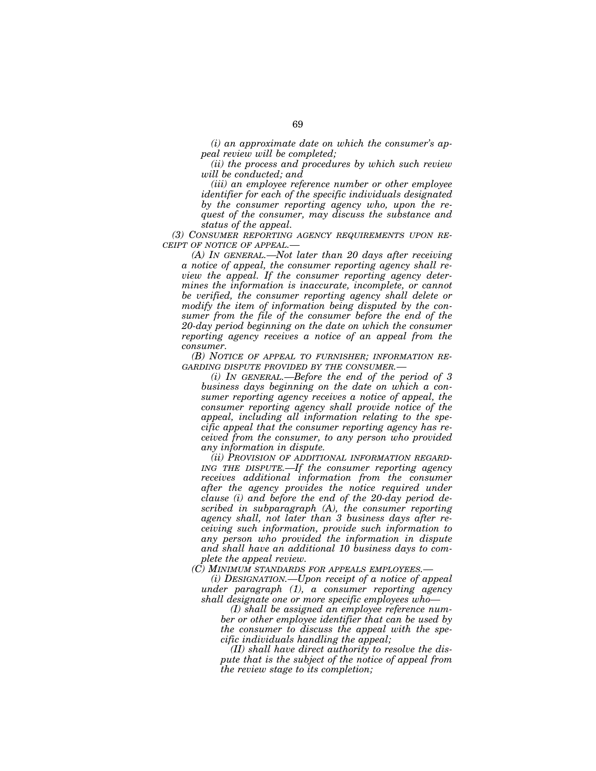*(i) an approximate date on which the consumer's appeal review will be completed;* 

*(ii) the process and procedures by which such review will be conducted; and* 

*(iii) an employee reference number or other employee identifier for each of the specific individuals designated by the consumer reporting agency who, upon the request of the consumer, may discuss the substance and status of the appeal.* 

*(3) CONSUMER REPORTING AGENCY REQUIREMENTS UPON RE-CEIPT OF NOTICE OF APPEAL.—* 

*(A) IN GENERAL.—Not later than 20 days after receiving a notice of appeal, the consumer reporting agency shall review the appeal. If the consumer reporting agency determines the information is inaccurate, incomplete, or cannot be verified, the consumer reporting agency shall delete or modify the item of information being disputed by the consumer from the file of the consumer before the end of the 20-day period beginning on the date on which the consumer reporting agency receives a notice of an appeal from the consumer.* 

*(B) NOTICE OF APPEAL TO FURNISHER; INFORMATION RE-GARDING DISPUTE PROVIDED BY THE CONSUMER.—* 

*(i) IN GENERAL.—Before the end of the period of 3 business days beginning on the date on which a consumer reporting agency receives a notice of appeal, the consumer reporting agency shall provide notice of the appeal, including all information relating to the specific appeal that the consumer reporting agency has received from the consumer, to any person who provided any information in dispute.* 

*(ii) PROVISION OF ADDITIONAL INFORMATION REGARD-ING THE DISPUTE.—If the consumer reporting agency receives additional information from the consumer after the agency provides the notice required under clause (i) and before the end of the 20-day period described in subparagraph (A), the consumer reporting agency shall, not later than 3 business days after receiving such information, provide such information to any person who provided the information in dispute and shall have an additional 10 business days to complete the appeal review.* 

*(C) MINIMUM STANDARDS FOR APPEALS EMPLOYEES.—* 

*(i) DESIGNATION.—Upon receipt of a notice of appeal under paragraph (1), a consumer reporting agency shall designate one or more specific employees who—* 

*(I) shall be assigned an employee reference number or other employee identifier that can be used by the consumer to discuss the appeal with the specific individuals handling the appeal;* 

*(II) shall have direct authority to resolve the dispute that is the subject of the notice of appeal from the review stage to its completion;*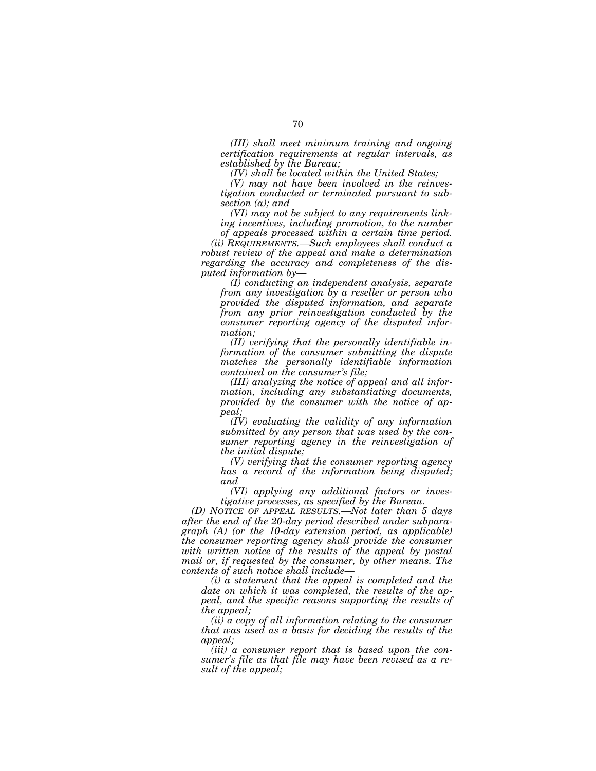*(III) shall meet minimum training and ongoing certification requirements at regular intervals, as established by the Bureau;* 

*(IV) shall be located within the United States;* 

*(V) may not have been involved in the reinvestigation conducted or terminated pursuant to subsection (a); and* 

*(VI) may not be subject to any requirements linking incentives, including promotion, to the number* 

*of appeals processed within a certain time period. (ii) REQUIREMENTS.—Such employees shall conduct a robust review of the appeal and make a determination* 

*regarding the accuracy and completeness of the disputed information by— (I) conducting an independent analysis, separate* 

*from any investigation by a reseller or person who provided the disputed information, and separate from any prior reinvestigation conducted by the consumer reporting agency of the disputed information;* 

*(II) verifying that the personally identifiable information of the consumer submitting the dispute matches the personally identifiable information contained on the consumer's file;* 

*(III) analyzing the notice of appeal and all information, including any substantiating documents, provided by the consumer with the notice of appeal;* 

*(IV) evaluating the validity of any information submitted by any person that was used by the consumer reporting agency in the reinvestigation of the initial dispute;* 

*(V) verifying that the consumer reporting agency has a record of the information being disputed; and* 

*(VI) applying any additional factors or investigative processes, as specified by the Bureau.* 

*(D) NOTICE OF APPEAL RESULTS.—Not later than 5 days after the end of the 20-day period described under subparagraph (A) (or the 10-day extension period, as applicable) the consumer reporting agency shall provide the consumer with written notice of the results of the appeal by postal mail or, if requested by the consumer, by other means. The contents of such notice shall include—* 

*(i) a statement that the appeal is completed and the date on which it was completed, the results of the appeal, and the specific reasons supporting the results of the appeal;* 

*(ii) a copy of all information relating to the consumer that was used as a basis for deciding the results of the appeal;* 

*(iii) a consumer report that is based upon the consumer's file as that file may have been revised as a result of the appeal;*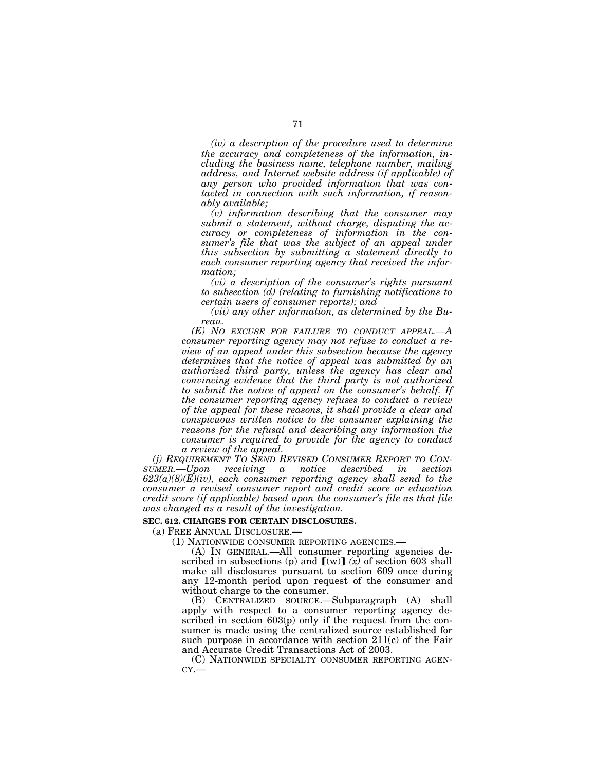*(iv) a description of the procedure used to determine the accuracy and completeness of the information, including the business name, telephone number, mailing address, and Internet website address (if applicable) of any person who provided information that was contacted in connection with such information, if reasonably available;* 

*(v) information describing that the consumer may submit a statement, without charge, disputing the accuracy or completeness of information in the consumer's file that was the subject of an appeal under this subsection by submitting a statement directly to each consumer reporting agency that received the information;* 

*(vi) a description of the consumer's rights pursuant to subsection (d) (relating to furnishing notifications to certain users of consumer reports); and* 

*(vii) any other information, as determined by the Bureau.* 

*(E) NO EXCUSE FOR FAILURE TO CONDUCT APPEAL.—A consumer reporting agency may not refuse to conduct a review of an appeal under this subsection because the agency determines that the notice of appeal was submitted by an authorized third party, unless the agency has clear and convincing evidence that the third party is not authorized to submit the notice of appeal on the consumer's behalf. If the consumer reporting agency refuses to conduct a review of the appeal for these reasons, it shall provide a clear and conspicuous written notice to the consumer explaining the reasons for the refusal and describing any information the consumer is required to provide for the agency to conduct a review of the appeal.* 

*(j) REQUIREMENT TO SEND REVISED CONSUMER REPORT TO CON-SUMER.—Upon receiving a notice described in section*   $623(a)(8)(E)(iv)$ , each consumer reporting agency shall send to the *consumer a revised consumer report and credit score or education credit score (if applicable) based upon the consumer's file as that file was changed as a result of the investigation.* 

#### **SEC. 612. CHARGES FOR CERTAIN DISCLOSURES.**

(a) FREE ANNUAL DISCLOSURE.—

(1) NATIONWIDE CONSUMER REPORTING AGENCIES.—

(A) IN GENERAL.—All consumer reporting agencies described in subsections (p) and  $[(w)] (x)$  of section 603 shall make all disclosures pursuant to section 609 once during any 12-month period upon request of the consumer and without charge to the consumer.

(B) CENTRALIZED SOURCE.—Subparagraph (A) shall apply with respect to a consumer reporting agency described in section 603(p) only if the request from the consumer is made using the centralized source established for such purpose in accordance with section 211(c) of the Fair and Accurate Credit Transactions Act of 2003.

(C) NATIONWIDE SPECIALTY CONSUMER REPORTING AGEN-CY.—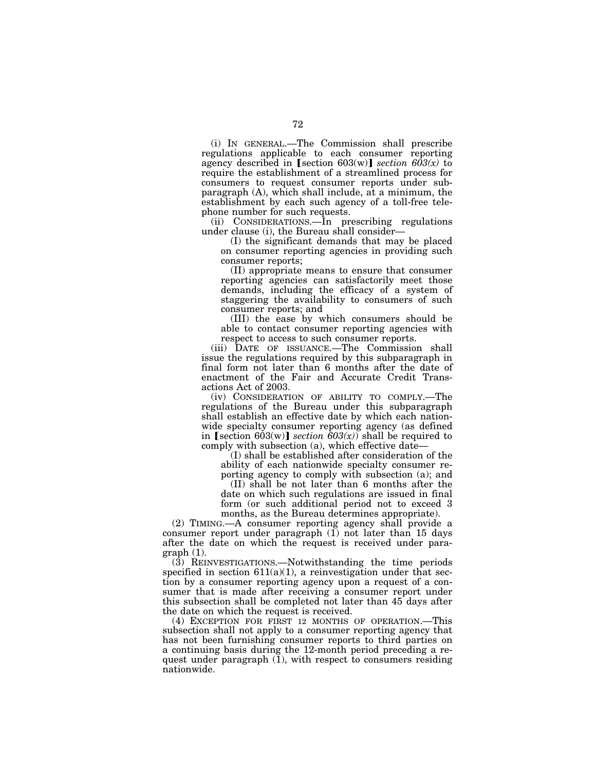(i) IN GENERAL.—The Commission shall prescribe regulations applicable to each consumer reporting agency described in [section 603(w)] *section 603(x)* to require the establishment of a streamlined process for consumers to request consumer reports under subparagraph (A), which shall include, at a minimum, the establishment by each such agency of a toll-free telephone number for such requests.

(ii) CONSIDERATIONS.—In prescribing regulations under clause (i), the Bureau shall consider—

(I) the significant demands that may be placed on consumer reporting agencies in providing such consumer reports;

(II) appropriate means to ensure that consumer reporting agencies can satisfactorily meet those demands, including the efficacy of a system of staggering the availability to consumers of such consumer reports; and

(III) the ease by which consumers should be able to contact consumer reporting agencies with respect to access to such consumer reports.

(iii) DATE OF ISSUANCE.—The Commission shall issue the regulations required by this subparagraph in final form not later than 6 months after the date of enactment of the Fair and Accurate Credit Transactions Act of 2003.

(iv) CONSIDERATION OF ABILITY TO COMPLY.—The regulations of the Bureau under this subparagraph shall establish an effective date by which each nationwide specialty consumer reporting agency (as defined in [section  $603(w)$ ] *section*  $603(x)$  shall be required to comply with subsection (a), which effective date—

(I) shall be established after consideration of the ability of each nationwide specialty consumer reporting agency to comply with subsection (a); and (II) shall be not later than 6 months after the date on which such regulations are issued in final

form (or such additional period not to exceed 3 months, as the Bureau determines appropriate).

(2) TIMING.—A consumer reporting agency shall provide a consumer report under paragraph (1) not later than 15 days after the date on which the request is received under paragraph (1).

(3) REINVESTIGATIONS.—Notwithstanding the time periods specified in section  $611(a)(1)$ , a reinvestigation under that section by a consumer reporting agency upon a request of a consumer that is made after receiving a consumer report under this subsection shall be completed not later than 45 days after the date on which the request is received.

(4) EXCEPTION FOR FIRST 12 MONTHS OF OPERATION.—This subsection shall not apply to a consumer reporting agency that has not been furnishing consumer reports to third parties on a continuing basis during the 12-month period preceding a request under paragraph (1), with respect to consumers residing nationwide.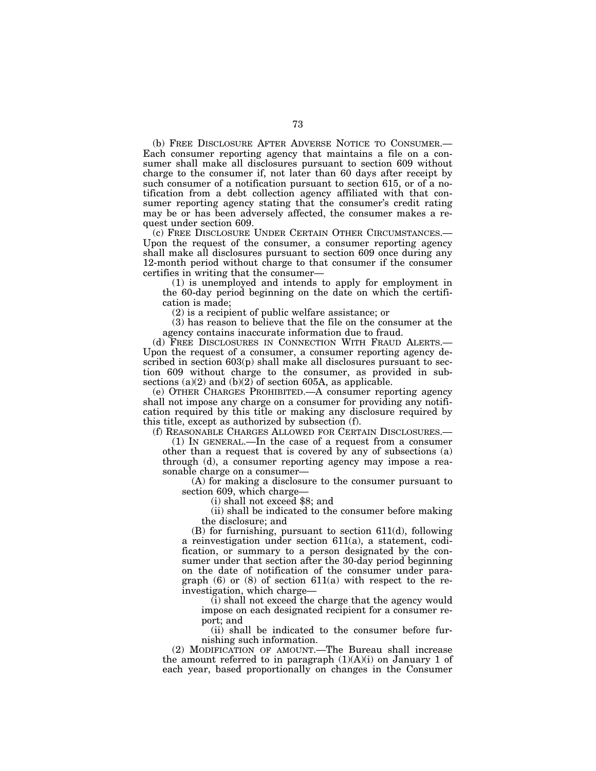(b) FREE DISCLOSURE AFTER ADVERSE NOTICE TO CONSUMER.— Each consumer reporting agency that maintains a file on a consumer shall make all disclosures pursuant to section 609 without charge to the consumer if, not later than 60 days after receipt by such consumer of a notification pursuant to section 615, or of a notification from a debt collection agency affiliated with that consumer reporting agency stating that the consumer's credit rating may be or has been adversely affected, the consumer makes a request under section 609.

(c) FREE DISCLOSURE UNDER CERTAIN OTHER CIRCUMSTANCES.— Upon the request of the consumer, a consumer reporting agency shall make all disclosures pursuant to section 609 once during any 12-month period without charge to that consumer if the consumer certifies in writing that the consumer—

(1) is unemployed and intends to apply for employment in the 60-day period beginning on the date on which the certification is made;

(2) is a recipient of public welfare assistance; or

(3) has reason to believe that the file on the consumer at the agency contains inaccurate information due to fraud.

(d) FREE DISCLOSURES IN CONNECTION WITH FRAUD ALERTS.— Upon the request of a consumer, a consumer reporting agency described in section 603(p) shall make all disclosures pursuant to section 609 without charge to the consumer, as provided in subsections  $(a)(2)$  and  $(b)(2)$  of section 605A, as applicable.

(e) OTHER CHARGES PROHIBITED.—A consumer reporting agency shall not impose any charge on a consumer for providing any notification required by this title or making any disclosure required by this title, except as authorized by subsection (f).

(f) REASONABLE CHARGES ALLOWED FOR CERTAIN DISCLOSURES.—

(1) IN GENERAL.—In the case of a request from a consumer other than a request that is covered by any of subsections (a) through (d), a consumer reporting agency may impose a reasonable charge on a consumer—

(A) for making a disclosure to the consumer pursuant to section 609, which charge—

(i) shall not exceed \$8; and

(ii) shall be indicated to the consumer before making the disclosure; and

(B) for furnishing, pursuant to section 611(d), following a reinvestigation under section 611(a), a statement, codification, or summary to a person designated by the consumer under that section after the 30-day period beginning on the date of notification of the consumer under paragraph  $(6)$  or  $(8)$  of section  $611(a)$  with respect to the reinvestigation, which charge—

(i) shall not exceed the charge that the agency would impose on each designated recipient for a consumer report; and

(ii) shall be indicated to the consumer before furnishing such information.

(2) MODIFICATION OF AMOUNT.—The Bureau shall increase the amount referred to in paragraph  $(1)(A)(i)$  on January 1 of each year, based proportionally on changes in the Consumer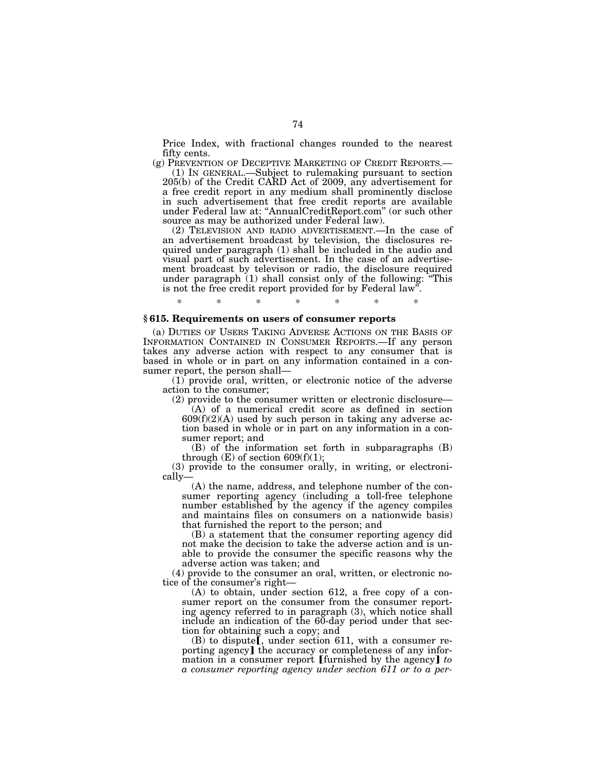Price Index, with fractional changes rounded to the nearest fifty cents.<br>(g) PREVENTION OF DECEPTIVE MARKETING OF CREDIT REPORTS.—

 $(1)$  In GENERAL.—Subject to rulemaking pursuant to section 205(b) of the Credit CARD Act of 2009, any advertisement for a free credit report in any medium shall prominently disclose in such advertisement that free credit reports are available under Federal law at: ''AnnualCreditReport.com'' (or such other source as may be authorized under Federal law).

(2) TELEVISION AND RADIO ADVERTISEMENT.—In the case of an advertisement broadcast by television, the disclosures required under paragraph (1) shall be included in the audio and visual part of such advertisement. In the case of an advertisement broadcast by televison or radio, the disclosure required under paragraph (1) shall consist only of the following: ''This is not the free credit report provided for by Federal law".

\* \* \* \* \* \* \*

#### **§ 615. Requirements on users of consumer reports**

(a) DUTIES OF USERS TAKING ADVERSE ACTIONS ON THE BASIS OF INFORMATION CONTAINED IN CONSUMER REPORTS.—If any person takes any adverse action with respect to any consumer that is based in whole or in part on any information contained in a consumer report, the person shall—

(1) provide oral, written, or electronic notice of the adverse action to the consumer;

(2) provide to the consumer written or electronic disclosure—

(A) of a numerical credit score as defined in section  $609(f)(2)(A)$  used by such person in taking any adverse action based in whole or in part on any information in a consumer report; and

(B) of the information set forth in subparagraphs (B) through  $(E)$  of section 609 $(f)(1)$ ;

(3) provide to the consumer orally, in writing, or electronically—

(A) the name, address, and telephone number of the consumer reporting agency (including a toll-free telephone number established by the agency if the agency compiles and maintains files on consumers on a nationwide basis) that furnished the report to the person; and

(B) a statement that the consumer reporting agency did not make the decision to take the adverse action and is unable to provide the consumer the specific reasons why the adverse action was taken; and

(4) provide to the consumer an oral, written, or electronic notice of the consumer's right—

(A) to obtain, under section 612, a free copy of a consumer report on the consumer from the consumer reporting agency referred to in paragraph (3), which notice shall include an indication of the 60-day period under that sec-

tion for obtaining such a copy; and  $(B)$  to dispute  $\lbrack \rbrack$ , under section 611, with a consumer reporting agency] the accuracy or completeness of any information in a consumer report **furnished** by the agency *to a consumer reporting agency under section 611 or to a per-*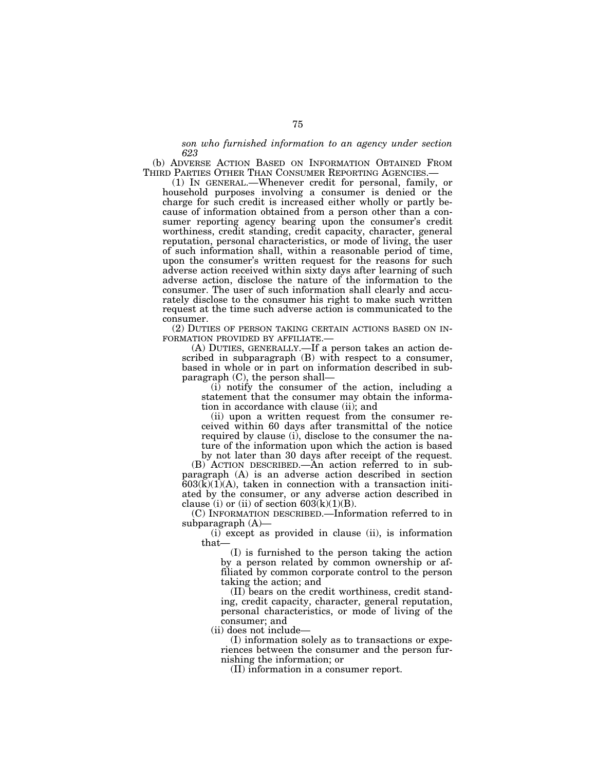*son who furnished information to an agency under section 623* 

(b) ADVERSE ACTION BASED ON INFORMATION OBTAINED FROM THIRD PARTIES OTHER THAN CONSUMER REPORTING AGENCIES.—

 $T(1)$  In GENERAL.—Whenever credit for personal, family, or household purposes involving a consumer is denied or the charge for such credit is increased either wholly or partly because of information obtained from a person other than a consumer reporting agency bearing upon the consumer's credit worthiness, credit standing, credit capacity, character, general reputation, personal characteristics, or mode of living, the user of such information shall, within a reasonable period of time, upon the consumer's written request for the reasons for such adverse action received within sixty days after learning of such adverse action, disclose the nature of the information to the consumer. The user of such information shall clearly and accurately disclose to the consumer his right to make such written request at the time such adverse action is communicated to the consumer.

(2) DUTIES OF PERSON TAKING CERTAIN ACTIONS BASED ON IN-<br>FORMATION PROVIDED BY AFFILIATE.—<br>(A) DUTIES, GENERALLY.—If a person takes an action de-

scribed in subparagraph (B) with respect to a consumer, based in whole or in part on information described in subparagraph (C), the person shall—

(i) notify the consumer of the action, including a statement that the consumer may obtain the information in accordance with clause (ii); and

(ii) upon a written request from the consumer received within 60 days after transmittal of the notice required by clause (i), disclose to the consumer the nature of the information upon which the action is based by not later than 30 days after receipt of the request.

(B) ACTION DESCRIBED.—An action referred to in subparagraph (A) is an adverse action described in section  $603(k)(1)(A)$ , taken in connection with a transaction initiated by the consumer, or any adverse action described in clause (i) or (ii) of section  $603(k)(1)(B)$ .

(C) INFORMATION DESCRIBED.—Information referred to in subparagraph (A)—

(i) except as provided in clause (ii), is information that—

(I) is furnished to the person taking the action by a person related by common ownership or affiliated by common corporate control to the person taking the action; and

(II) bears on the credit worthiness, credit standing, credit capacity, character, general reputation, personal characteristics, or mode of living of the consumer; and

(ii) does not include—

(I) information solely as to transactions or experiences between the consumer and the person furnishing the information; or

(II) information in a consumer report.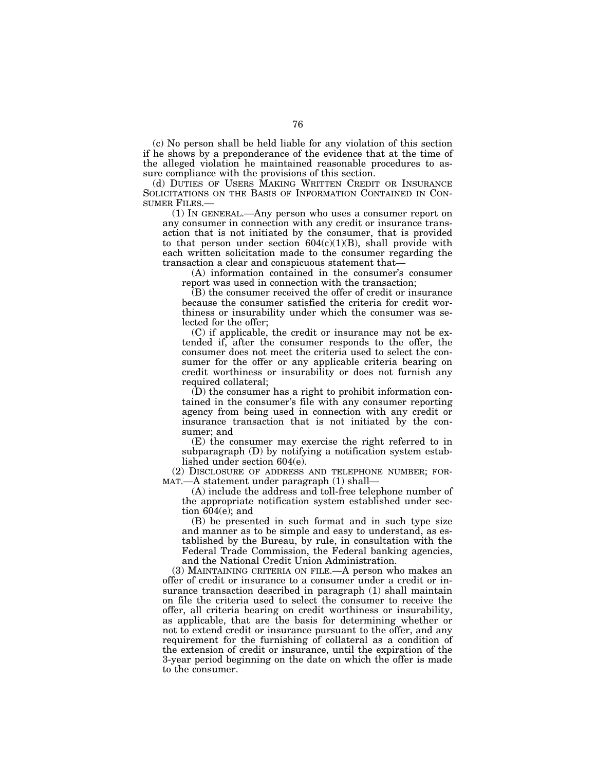(c) No person shall be held liable for any violation of this section if he shows by a preponderance of the evidence that at the time of the alleged violation he maintained reasonable procedures to assure compliance with the provisions of this section.

(d) DUTIES OF USERS MAKING WRITTEN CREDIT OR INSURANCE SOLICITATIONS ON THE BASIS OF INFORMATION CONTAINED IN CON-SUMER FILES.—

(1) IN GENERAL.—Any person who uses a consumer report on any consumer in connection with any credit or insurance transaction that is not initiated by the consumer, that is provided to that person under section  $604(c)(1)(B)$ , shall provide with each written solicitation made to the consumer regarding the transaction a clear and conspicuous statement that—

(A) information contained in the consumer's consumer report was used in connection with the transaction;

(B) the consumer received the offer of credit or insurance because the consumer satisfied the criteria for credit worthiness or insurability under which the consumer was selected for the offer;

(C) if applicable, the credit or insurance may not be extended if, after the consumer responds to the offer, the consumer does not meet the criteria used to select the consumer for the offer or any applicable criteria bearing on credit worthiness or insurability or does not furnish any required collateral;

(D) the consumer has a right to prohibit information contained in the consumer's file with any consumer reporting agency from being used in connection with any credit or insurance transaction that is not initiated by the consumer; and

(E) the consumer may exercise the right referred to in subparagraph (D) by notifying a notification system established under section 604(e).

(2) DISCLOSURE OF ADDRESS AND TELEPHONE NUMBER; FOR-MAT.—A statement under paragraph (1) shall—

(A) include the address and toll-free telephone number of the appropriate notification system established under section 604(e); and

(B) be presented in such format and in such type size and manner as to be simple and easy to understand, as established by the Bureau, by rule, in consultation with the Federal Trade Commission, the Federal banking agencies, and the National Credit Union Administration.

(3) MAINTAINING CRITERIA ON FILE.—A person who makes an offer of credit or insurance to a consumer under a credit or insurance transaction described in paragraph (1) shall maintain on file the criteria used to select the consumer to receive the offer, all criteria bearing on credit worthiness or insurability, as applicable, that are the basis for determining whether or not to extend credit or insurance pursuant to the offer, and any requirement for the furnishing of collateral as a condition of the extension of credit or insurance, until the expiration of the 3-year period beginning on the date on which the offer is made to the consumer.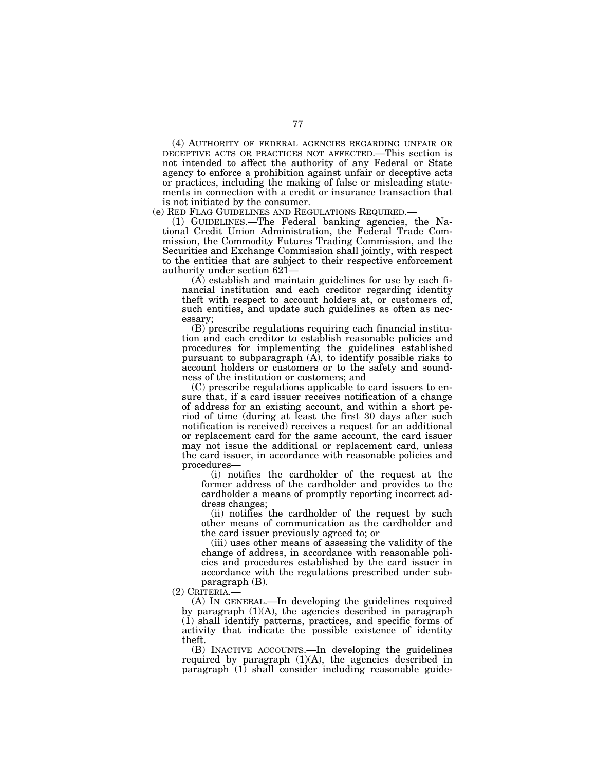(4) AUTHORITY OF FEDERAL AGENCIES REGARDING UNFAIR OR DECEPTIVE ACTS OR PRACTICES NOT AFFECTED.—This section is not intended to affect the authority of any Federal or State agency to enforce a prohibition against unfair or deceptive acts or practices, including the making of false or misleading statements in connection with a credit or insurance transaction that is not initiated by the consumer.<br>(e) RED FLAG GUIDELINES AND REGULATIONS REQUIRED.—

(e) RED FLAG GUIDELINES AND REGULATIONS REQUIRED.— (1) GUIDELINES.—The Federal banking agencies, the National Credit Union Administration, the Federal Trade Commission, the Commodity Futures Trading Commission, and the Securities and Exchange Commission shall jointly, with respect to the entities that are subject to their respective enforcement authority under section 621—

(A) establish and maintain guidelines for use by each financial institution and each creditor regarding identity theft with respect to account holders at, or customers of, such entities, and update such guidelines as often as necessary;

(B) prescribe regulations requiring each financial institution and each creditor to establish reasonable policies and procedures for implementing the guidelines established pursuant to subparagraph (A), to identify possible risks to account holders or customers or to the safety and soundness of the institution or customers; and

(C) prescribe regulations applicable to card issuers to ensure that, if a card issuer receives notification of a change of address for an existing account, and within a short period of time (during at least the first 30 days after such notification is received) receives a request for an additional or replacement card for the same account, the card issuer may not issue the additional or replacement card, unless the card issuer, in accordance with reasonable policies and procedures—

(i) notifies the cardholder of the request at the former address of the cardholder and provides to the cardholder a means of promptly reporting incorrect address changes;

(ii) notifies the cardholder of the request by such other means of communication as the cardholder and the card issuer previously agreed to; or

(iii) uses other means of assessing the validity of the change of address, in accordance with reasonable policies and procedures established by the card issuer in accordance with the regulations prescribed under subparagraph (B).

(2) CRITERIA.—

(A) IN GENERAL.—In developing the guidelines required by paragraph  $(1)(A)$ , the agencies described in paragraph (1) shall identify patterns, practices, and specific forms of activity that indicate the possible existence of identity theft.

(B) INACTIVE ACCOUNTS.—In developing the guidelines required by paragraph  $(1)(A)$ , the agencies described in paragraph (1) shall consider including reasonable guide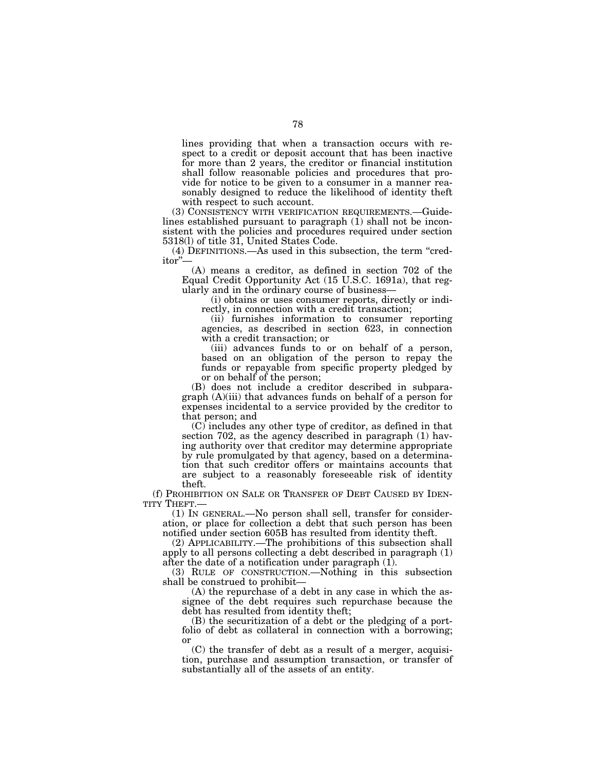lines providing that when a transaction occurs with respect to a credit or deposit account that has been inactive for more than 2 years, the creditor or financial institution shall follow reasonable policies and procedures that provide for notice to be given to a consumer in a manner reasonably designed to reduce the likelihood of identity theft with respect to such account.

(3) CONSISTENCY WITH VERIFICATION REQUIREMENTS.—Guidelines established pursuant to paragraph (1) shall not be inconsistent with the policies and procedures required under section 5318(l) of title 31, United States Code.

(4) DEFINITIONS.—As used in this subsection, the term ''creditor''—

(A) means a creditor, as defined in section 702 of the Equal Credit Opportunity Act (15 U.S.C. 1691a), that regularly and in the ordinary course of business—

(i) obtains or uses consumer reports, directly or indirectly, in connection with a credit transaction;

(ii) furnishes information to consumer reporting agencies, as described in section 623, in connection with a credit transaction; or

(iii) advances funds to or on behalf of a person, based on an obligation of the person to repay the funds or repayable from specific property pledged by or on behalf of the person;

(B) does not include a creditor described in subparagraph (A)(iii) that advances funds on behalf of a person for expenses incidental to a service provided by the creditor to that person; and

(C) includes any other type of creditor, as defined in that section 702, as the agency described in paragraph (1) having authority over that creditor may determine appropriate by rule promulgated by that agency, based on a determination that such creditor offers or maintains accounts that are subject to a reasonably foreseeable risk of identity theft.

(f) PROHIBITION ON SALE OR TRANSFER OF DEBT CAUSED BY IDENTITY THEFT.—

 $(1)$  In GENERAL.—No person shall sell, transfer for consideration, or place for collection a debt that such person has been notified under section 605B has resulted from identity theft.

(2) APPLICABILITY.—The prohibitions of this subsection shall apply to all persons collecting a debt described in paragraph (1) after the date of a notification under paragraph (1).

(3) RULE OF CONSTRUCTION.—Nothing in this subsection shall be construed to prohibit—

(A) the repurchase of a debt in any case in which the assignee of the debt requires such repurchase because the debt has resulted from identity theft;

(B) the securitization of a debt or the pledging of a portfolio of debt as collateral in connection with a borrowing; or

(C) the transfer of debt as a result of a merger, acquisition, purchase and assumption transaction, or transfer of substantially all of the assets of an entity.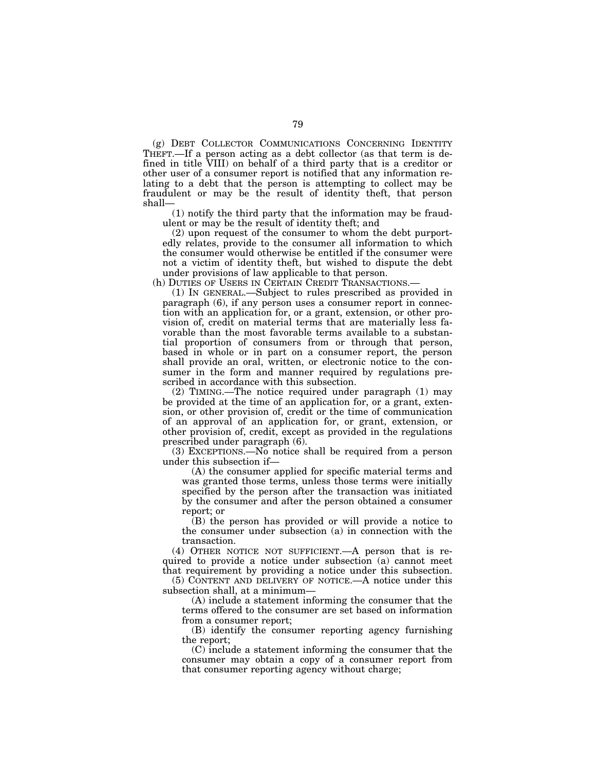(g) DEBT COLLECTOR COMMUNICATIONS CONCERNING IDENTITY THEFT.—If a person acting as a debt collector (as that term is defined in title VIII) on behalf of a third party that is a creditor or other user of a consumer report is notified that any information relating to a debt that the person is attempting to collect may be fraudulent or may be the result of identity theft, that person shall—

(1) notify the third party that the information may be fraudulent or may be the result of identity theft; and

(2) upon request of the consumer to whom the debt purportedly relates, provide to the consumer all information to which the consumer would otherwise be entitled if the consumer were not a victim of identity theft, but wished to dispute the debt under provisions of law applicable to that person.

(h) DUTIES OF USERS IN CERTAIN CREDIT TRANSACTIONS.—

(1) IN GENERAL.—Subject to rules prescribed as provided in paragraph (6), if any person uses a consumer report in connection with an application for, or a grant, extension, or other provision of, credit on material terms that are materially less favorable than the most favorable terms available to a substantial proportion of consumers from or through that person, based in whole or in part on a consumer report, the person shall provide an oral, written, or electronic notice to the consumer in the form and manner required by regulations prescribed in accordance with this subsection.

(2) TIMING.—The notice required under paragraph (1) may be provided at the time of an application for, or a grant, extension, or other provision of, credit or the time of communication of an approval of an application for, or grant, extension, or other provision of, credit, except as provided in the regulations prescribed under paragraph (6).

(3) EXCEPTIONS.—No notice shall be required from a person under this subsection if—

(A) the consumer applied for specific material terms and was granted those terms, unless those terms were initially specified by the person after the transaction was initiated by the consumer and after the person obtained a consumer report; or

(B) the person has provided or will provide a notice to the consumer under subsection (a) in connection with the transaction.

(4) OTHER NOTICE NOT SUFFICIENT.—A person that is required to provide a notice under subsection (a) cannot meet that requirement by providing a notice under this subsection.

(5) CONTENT AND DELIVERY OF NOTICE.—A notice under this subsection shall, at a minimum—

(A) include a statement informing the consumer that the terms offered to the consumer are set based on information from a consumer report;

(B) identify the consumer reporting agency furnishing the report;

(C) include a statement informing the consumer that the consumer may obtain a copy of a consumer report from that consumer reporting agency without charge;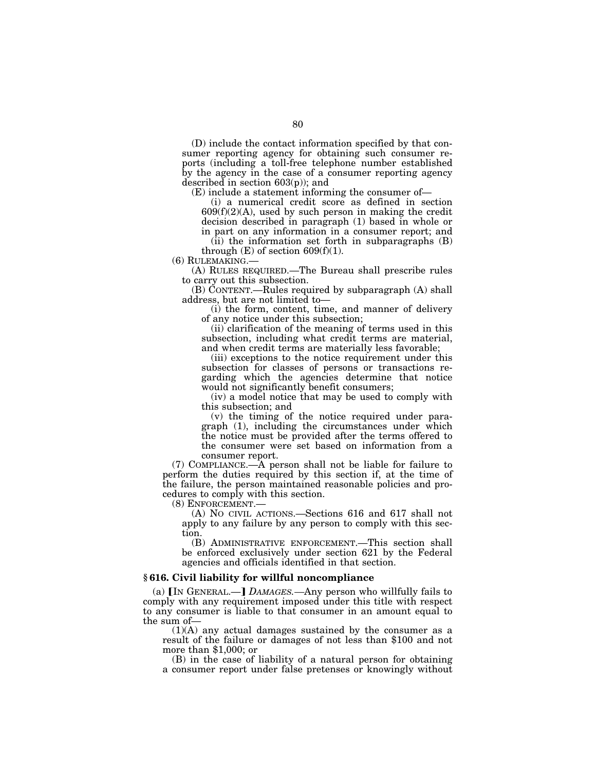(D) include the contact information specified by that consumer reporting agency for obtaining such consumer reports (including a toll-free telephone number established by the agency in the case of a consumer reporting agency described in section 603(p)); and

(E) include a statement informing the consumer of—

(i) a numerical credit score as defined in section  $609(f)(2)(A)$ , used by such person in making the credit decision described in paragraph (1) based in whole or in part on any information in a consumer report; and

 $(iii)$  the information set forth in subparagraphs  $(B)$ through  $(E)$  of section 609(f)(1).

(6) RULEMAKING.—

(A) RULES REQUIRED.—The Bureau shall prescribe rules to carry out this subsection.

(B) CONTENT.—Rules required by subparagraph (A) shall address, but are not limited to—

(i) the form, content, time, and manner of delivery of any notice under this subsection;

(ii) clarification of the meaning of terms used in this subsection, including what credit terms are material, and when credit terms are materially less favorable;

(iii) exceptions to the notice requirement under this subsection for classes of persons or transactions regarding which the agencies determine that notice would not significantly benefit consumers;

(iv) a model notice that may be used to comply with this subsection; and

(v) the timing of the notice required under paragraph (1), including the circumstances under which the notice must be provided after the terms offered to the consumer were set based on information from a consumer report.

(7) COMPLIANCE.—A person shall not be liable for failure to perform the duties required by this section if, at the time of the failure, the person maintained reasonable policies and procedures to comply with this section.<br>(8) ENFORCEMENT.—

 $(A)$  No CIVIL ACTIONS.—Sections 616 and 617 shall not apply to any failure by any person to comply with this section.

(B) ADMINISTRATIVE ENFORCEMENT.—This section shall be enforced exclusively under section 621 by the Federal agencies and officials identified in that section.

### **§ 616. Civil liability for willful noncompliance**

(a) **[IN GENERAL.—]** *DAMAGES*.—Any person who willfully fails to comply with any requirement imposed under this title with respect to any consumer is liable to that consumer in an amount equal to the sum of—

 $(1)(A)$  any actual damages sustained by the consumer as a result of the failure or damages of not less than \$100 and not more than \$1,000; or

(B) in the case of liability of a natural person for obtaining a consumer report under false pretenses or knowingly without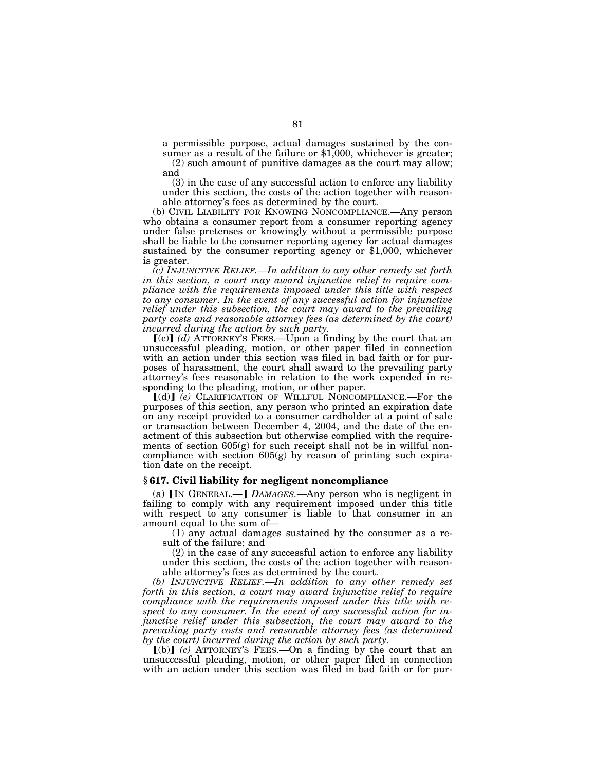a permissible purpose, actual damages sustained by the consumer as a result of the failure or \$1,000, whichever is greater; (2) such amount of punitive damages as the court may allow;

and

(3) in the case of any successful action to enforce any liability under this section, the costs of the action together with reasonable attorney's fees as determined by the court.

(b) CIVIL LIABILITY FOR KNOWING NONCOMPLIANCE.—Any person who obtains a consumer report from a consumer reporting agency under false pretenses or knowingly without a permissible purpose shall be liable to the consumer reporting agency for actual damages sustained by the consumer reporting agency or \$1,000, whichever is greater.

*(c) INJUNCTIVE RELIEF.—In addition to any other remedy set forth in this section, a court may award injunctive relief to require compliance with the requirements imposed under this title with respect to any consumer. In the event of any successful action for injunctive relief under this subsection, the court may award to the prevailing party costs and reasonable attorney fees (as determined by the court) incurred during the action by such party.* 

 $\lceil$ (c) $\rceil$  (d) ATTORNEY's FEES.—Upon a finding by the court that an unsuccessful pleading, motion, or other paper filed in connection with an action under this section was filed in bad faith or for purposes of harassment, the court shall award to the prevailing party attorney's fees reasonable in relation to the work expended in responding to the pleading, motion, or other paper.

ø(d)¿ *(e)* CLARIFICATION OF WILLFUL NONCOMPLIANCE.—For the purposes of this section, any person who printed an expiration date on any receipt provided to a consumer cardholder at a point of sale or transaction between December 4, 2004, and the date of the enactment of this subsection but otherwise complied with the requirements of section  $605(g)$  for such receipt shall not be in willful noncompliance with section 605(g) by reason of printing such expiration date on the receipt.

#### **§ 617. Civil liability for negligent noncompliance**

(a) [IN GENERAL.—] *DAMAGES*.—Any person who is negligent in failing to comply with any requirement imposed under this title with respect to any consumer is liable to that consumer in an amount equal to the sum of—

(1) any actual damages sustained by the consumer as a result of the failure; and

(2) in the case of any successful action to enforce any liability under this section, the costs of the action together with reasonable attorney's fees as determined by the court.

*(b) INJUNCTIVE RELIEF.—In addition to any other remedy set forth in this section, a court may award injunctive relief to require compliance with the requirements imposed under this title with respect to any consumer. In the event of any successful action for injunctive relief under this subsection, the court may award to the prevailing party costs and reasonable attorney fees (as determined by the court) incurred during the action by such party.* 

 $[6]$  (c) ATTORNEY's FEES.—On a finding by the court that an unsuccessful pleading, motion, or other paper filed in connection with an action under this section was filed in bad faith or for pur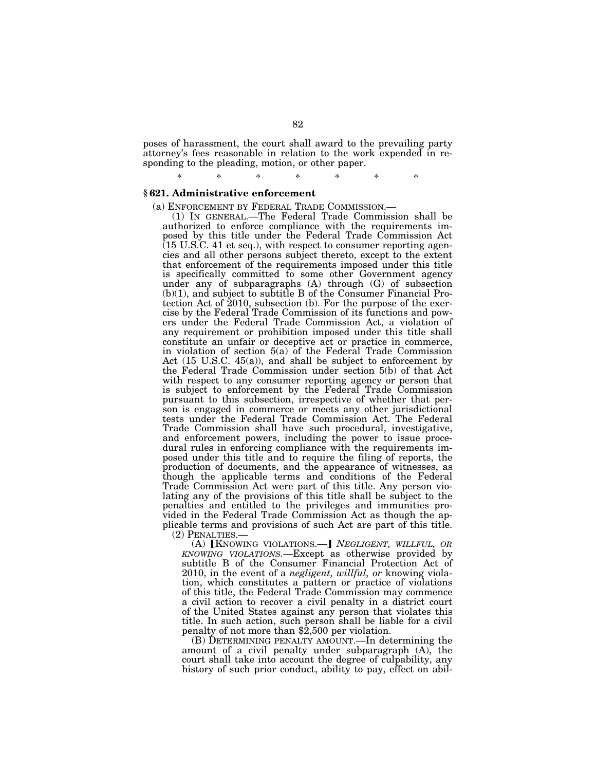poses of harassment, the court shall award to the prevailing party attorney's fees reasonable in relation to the work expended in responding to the pleading, motion, or other paper.

# \* \* \* \* \* \* \* **§ 621. Administrative enforcement**

(a) ENFORCEMENT BY FEDERAL TRADE COMMISSION.— (1) IN GENERAL.—The Federal Trade Commission shall be authorized to enforce compliance with the requirements imposed by this title under the Federal Trade Commission Act (15 U.S.C. 41 et seq.), with respect to consumer reporting agencies and all other persons subject thereto, except to the extent that enforcement of the requirements imposed under this title is specifically committed to some other Government agency under any of subparagraphs (A) through (G) of subsection  $(b)(1)$ , and subject to subtitle B of the Consumer Financial Protection Act of 2010, subsection (b). For the purpose of the exercise by the Federal Trade Commission of its functions and powers under the Federal Trade Commission Act, a violation of any requirement or prohibition imposed under this title shall constitute an unfair or deceptive act or practice in commerce, in violation of section 5(a) of the Federal Trade Commission Act (15 U.S.C. 45(a)), and shall be subject to enforcement by the Federal Trade Commission under section 5(b) of that Act with respect to any consumer reporting agency or person that is subject to enforcement by the Federal Trade Commission pursuant to this subsection, irrespective of whether that person is engaged in commerce or meets any other jurisdictional tests under the Federal Trade Commission Act. The Federal Trade Commission shall have such procedural, investigative, and enforcement powers, including the power to issue procedural rules in enforcing compliance with the requirements imposed under this title and to require the filing of reports, the production of documents, and the appearance of witnesses, as though the applicable terms and conditions of the Federal Trade Commission Act were part of this title. Any person violating any of the provisions of this title shall be subject to the penalties and entitled to the privileges and immunities provided in the Federal Trade Commission Act as though the applicable terms and provisions of such Act are part of this title.

(2) PENALTIES.—<sup>—</sup><br>(A) [KNOWING VIOLATIONS.—] *NEGLIGENT, WILLFUL, OR KNOWING VIOLATIONS.—*Except as otherwise provided by subtitle B of the Consumer Financial Protection Act of 2010, in the event of a *negligent, willful, or* knowing violation, which constitutes a pattern or practice of violations of this title, the Federal Trade Commission may commence a civil action to recover a civil penalty in a district court of the United States against any person that violates this title. In such action, such person shall be liable for a civil penalty of not more than \$2,500 per violation.

(B) DETERMINING PENALTY AMOUNT.—In determining the amount of a civil penalty under subparagraph (A), the court shall take into account the degree of culpability, any history of such prior conduct, ability to pay, effect on abil-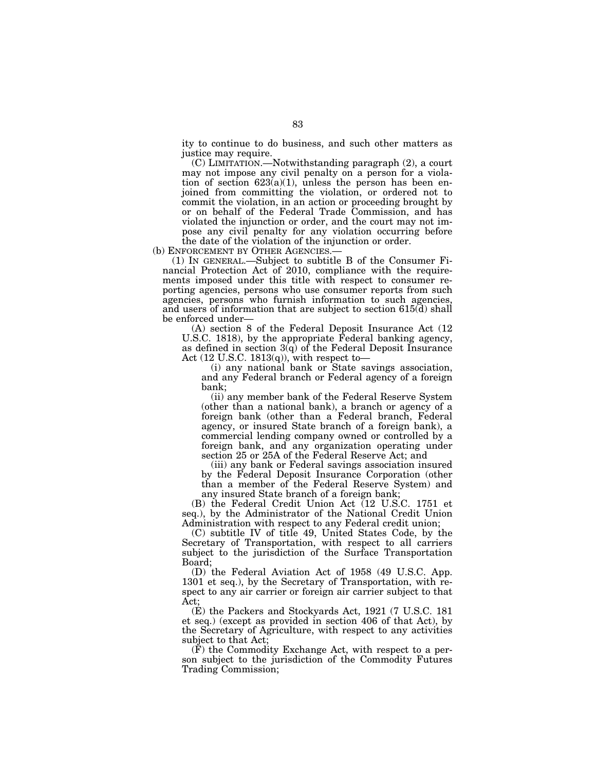ity to continue to do business, and such other matters as justice may require.

(C) LIMITATION.—Notwithstanding paragraph (2), a court may not impose any civil penalty on a person for a violation of section  $623(a)(1)$ , unless the person has been enjoined from committing the violation, or ordered not to commit the violation, in an action or proceeding brought by or on behalf of the Federal Trade Commission, and has violated the injunction or order, and the court may not impose any civil penalty for any violation occurring before the date of the violation of the injunction or order.

(b) ENFORCEMENT BY OTHER AGENCIES.

(1) IN GENERAL.—Subject to subtitle B of the Consumer Financial Protection Act of 2010, compliance with the requirements imposed under this title with respect to consumer reporting agencies, persons who use consumer reports from such agencies, persons who furnish information to such agencies, and users of information that are subject to section 615(d) shall be enforced under—

(A) section 8 of the Federal Deposit Insurance Act (12 U.S.C. 1818), by the appropriate Federal banking agency, as defined in section  $3\dot{q}$  of the Federal Deposit Insurance Act (12 U.S.C. 1813(q)), with respect to—

(i) any national bank or State savings association, and any Federal branch or Federal agency of a foreign bank;

(ii) any member bank of the Federal Reserve System (other than a national bank), a branch or agency of a foreign bank (other than a Federal branch, Federal agency, or insured State branch of a foreign bank), a commercial lending company owned or controlled by a foreign bank, and any organization operating under section 25 or 25A of the Federal Reserve Act; and

(iii) any bank or Federal savings association insured by the Federal Deposit Insurance Corporation (other than a member of the Federal Reserve System) and any insured State branch of a foreign bank;

(B) the Federal Credit Union Act (12 U.S.C. 1751 et seq.), by the Administrator of the National Credit Union Administration with respect to any Federal credit union;

(C) subtitle IV of title 49, United States Code, by the Secretary of Transportation, with respect to all carriers subject to the jurisdiction of the Surface Transportation Board;

(D) the Federal Aviation Act of 1958 (49 U.S.C. App. 1301 et seq.), by the Secretary of Transportation, with respect to any air carrier or foreign air carrier subject to that Act;

(E) the Packers and Stockyards Act, 1921 (7 U.S.C. 181 et seq.) (except as provided in section 406 of that Act), by the Secretary of Agriculture, with respect to any activities subject to that Act;

(F) the Commodity Exchange Act, with respect to a person subject to the jurisdiction of the Commodity Futures Trading Commission;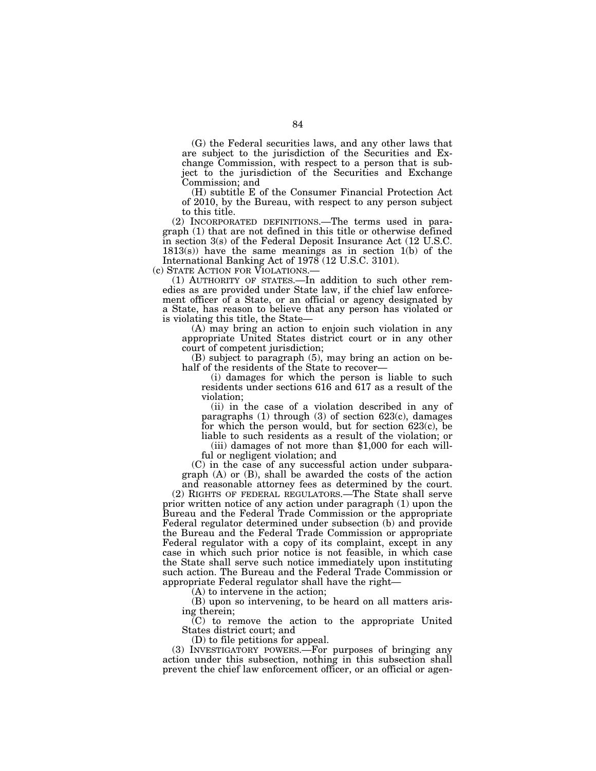(G) the Federal securities laws, and any other laws that are subject to the jurisdiction of the Securities and Exchange Commission, with respect to a person that is subject to the jurisdiction of the Securities and Exchange Commission; and

(H) subtitle E of the Consumer Financial Protection Act of 2010, by the Bureau, with respect to any person subject to this title.

(2) INCORPORATED DEFINITIONS.—The terms used in paragraph (1) that are not defined in this title or otherwise defined in section 3(s) of the Federal Deposit Insurance Act (12 U.S.C.  $1813(s)$ ) have the same meanings as in section  $1(b)$  of the International Banking Act of 1978 (12 U.S.C. 3101).

(c) STATE ACTION FOR VIOLATIONS.—

(1) AUTHORITY OF STATES.—In addition to such other remedies as are provided under State law, if the chief law enforcement officer of a State, or an official or agency designated by a State, has reason to believe that any person has violated or is violating this title, the State—

(A) may bring an action to enjoin such violation in any appropriate United States district court or in any other court of competent jurisdiction;

(B) subject to paragraph (5), may bring an action on behalf of the residents of the State to recover—

(i) damages for which the person is liable to such residents under sections 616 and 617 as a result of the violation;

(ii) in the case of a violation described in any of paragraphs (1) through (3) of section 623(c), damages for which the person would, but for section 623(c), be liable to such residents as a result of the violation; or

(iii) damages of not more than \$1,000 for each willful or negligent violation; and

(C) in the case of any successful action under subparagraph (A) or (B), shall be awarded the costs of the action and reasonable attorney fees as determined by the court.

(2) RIGHTS OF FEDERAL REGULATORS.—The State shall serve prior written notice of any action under paragraph (1) upon the Bureau and the Federal Trade Commission or the appropriate Federal regulator determined under subsection (b) and provide the Bureau and the Federal Trade Commission or appropriate Federal regulator with a copy of its complaint, except in any case in which such prior notice is not feasible, in which case the State shall serve such notice immediately upon instituting such action. The Bureau and the Federal Trade Commission or appropriate Federal regulator shall have the right—

(A) to intervene in the action;

(B) upon so intervening, to be heard on all matters arising therein;

(C) to remove the action to the appropriate United States district court; and

(D) to file petitions for appeal.

(3) INVESTIGATORY POWERS.—For purposes of bringing any action under this subsection, nothing in this subsection shall prevent the chief law enforcement officer, or an official or agen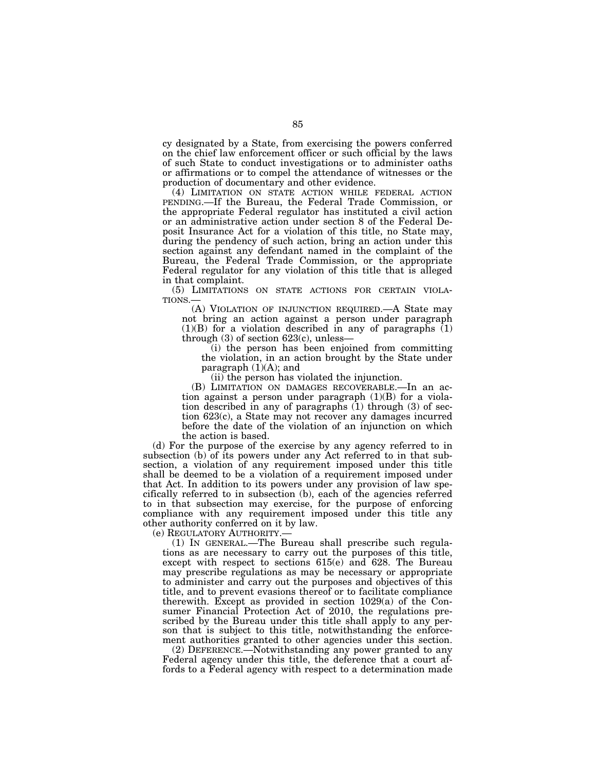cy designated by a State, from exercising the powers conferred on the chief law enforcement officer or such official by the laws of such State to conduct investigations or to administer oaths or affirmations or to compel the attendance of witnesses or the production of documentary and other evidence.

(4) LIMITATION ON STATE ACTION WHILE FEDERAL ACTION PENDING.—If the Bureau, the Federal Trade Commission, or the appropriate Federal regulator has instituted a civil action or an administrative action under section 8 of the Federal Deposit Insurance Act for a violation of this title, no State may, during the pendency of such action, bring an action under this section against any defendant named in the complaint of the Bureau, the Federal Trade Commission, or the appropriate Federal regulator for any violation of this title that is alleged in that complaint.

(5) LIMITATIONS ON STATE ACTIONS FOR CERTAIN VIOLA-TIONS.—

(A) VIOLATION OF INJUNCTION REQUIRED.—A State may not bring an action against a person under paragraph  $(1)(B)$  for a violation described in any of paragraphs  $(1)$ through  $(3)$  of section  $623(c)$ , unless-

(i) the person has been enjoined from committing the violation, in an action brought by the State under paragraph (1)(A); and

(ii) the person has violated the injunction.

(B) LIMITATION ON DAMAGES RECOVERABLE.—In an action against a person under paragraph (1)(B) for a violation described in any of paragraphs  $(1)$  through  $(3)$  of section 623(c), a State may not recover any damages incurred before the date of the violation of an injunction on which the action is based.

(d) For the purpose of the exercise by any agency referred to in subsection (b) of its powers under any Act referred to in that subsection, a violation of any requirement imposed under this title shall be deemed to be a violation of a requirement imposed under that Act. In addition to its powers under any provision of law specifically referred to in subsection (b), each of the agencies referred to in that subsection may exercise, for the purpose of enforcing compliance with any requirement imposed under this title any other authority conferred on it by law.

(e) REGULATORY AUTHORITY.—

(1) IN GENERAL.—The Bureau shall prescribe such regulations as are necessary to carry out the purposes of this title, except with respect to sections 615(e) and 628. The Bureau may prescribe regulations as may be necessary or appropriate to administer and carry out the purposes and objectives of this title, and to prevent evasions thereof or to facilitate compliance therewith. Except as provided in section 1029(a) of the Consumer Financial Protection Act of 2010, the regulations prescribed by the Bureau under this title shall apply to any person that is subject to this title, notwithstanding the enforcement authorities granted to other agencies under this section.

(2) DEFERENCE.—Notwithstanding any power granted to any Federal agency under this title, the deference that a court affords to a Federal agency with respect to a determination made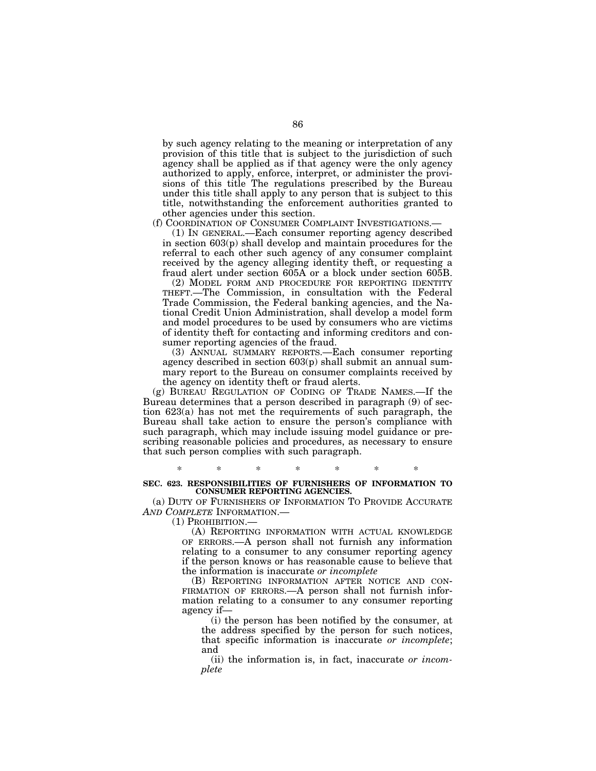by such agency relating to the meaning or interpretation of any provision of this title that is subject to the jurisdiction of such agency shall be applied as if that agency were the only agency authorized to apply, enforce, interpret, or administer the provisions of this title The regulations prescribed by the Bureau under this title shall apply to any person that is subject to this title, notwithstanding the enforcement authorities granted to other agencies under this section.

(f) COORDINATION OF CONSUMER COMPLAINT INVESTIGATIONS.—

(1) IN GENERAL.—Each consumer reporting agency described in section 603(p) shall develop and maintain procedures for the referral to each other such agency of any consumer complaint received by the agency alleging identity theft, or requesting a fraud alert under section 605A or a block under section 605B.

(2) MODEL FORM AND PROCEDURE FOR REPORTING IDENTITY THEFT.—The Commission, in consultation with the Federal Trade Commission, the Federal banking agencies, and the National Credit Union Administration, shall develop a model form and model procedures to be used by consumers who are victims of identity theft for contacting and informing creditors and consumer reporting agencies of the fraud.

(3) ANNUAL SUMMARY REPORTS.—Each consumer reporting agency described in section 603(p) shall submit an annual summary report to the Bureau on consumer complaints received by the agency on identity theft or fraud alerts.

(g) BUREAU REGULATION OF CODING OF TRADE NAMES.—If the Bureau determines that a person described in paragraph (9) of section 623(a) has not met the requirements of such paragraph, the Bureau shall take action to ensure the person's compliance with such paragraph, which may include issuing model guidance or prescribing reasonable policies and procedures, as necessary to ensure that such person complies with such paragraph.

\* \* \* \* \* \* \* **SEC. 623. RESPONSIBILITIES OF FURNISHERS OF INFORMATION TO CONSUMER REPORTING AGENCIES.** 

(a) DUTY OF FURNISHERS OF INFORMATION TO PROVIDE ACCURATE *AND COMPLETE* INFORMATION.—

(1) PROHIBITION.—

(A) REPORTING INFORMATION WITH ACTUAL KNOWLEDGE OF ERRORS.—A person shall not furnish any information relating to a consumer to any consumer reporting agency if the person knows or has reasonable cause to believe that the information is inaccurate *or incomplete* 

(B) REPORTING INFORMATION AFTER NOTICE AND CON-FIRMATION OF ERRORS.—A person shall not furnish information relating to a consumer to any consumer reporting agency if—

(i) the person has been notified by the consumer, at the address specified by the person for such notices, that specific information is inaccurate *or incomplete*; and

(ii) the information is, in fact, inaccurate *or incomplete*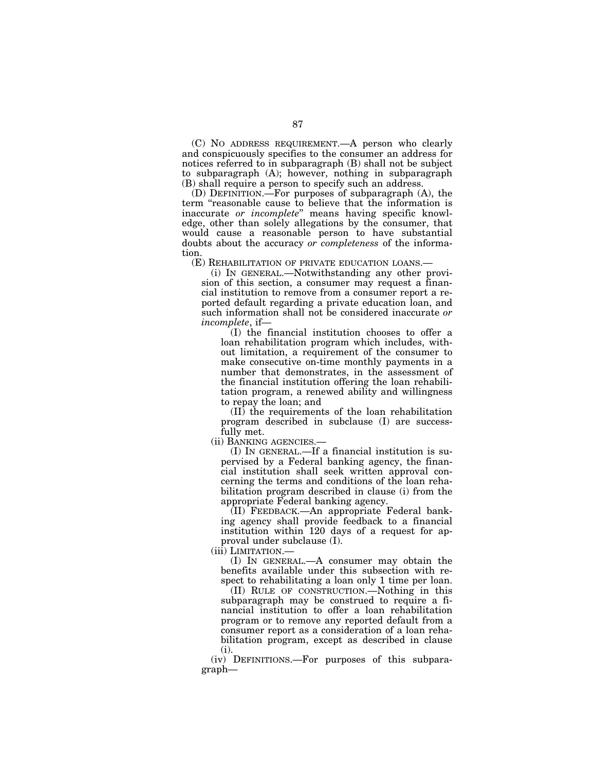(C) NO ADDRESS REQUIREMENT.—A person who clearly and conspicuously specifies to the consumer an address for notices referred to in subparagraph (B) shall not be subject to subparagraph (A); however, nothing in subparagraph (B) shall require a person to specify such an address.

(D) DEFINITION.—For purposes of subparagraph (A), the term ''reasonable cause to believe that the information is inaccurate *or incomplete*'' means having specific knowledge, other than solely allegations by the consumer, that would cause a reasonable person to have substantial doubts about the accuracy *or completeness* of the information.

(E) REHABILITATION OF PRIVATE EDUCATION LOANS.—

(i) IN GENERAL.—Notwithstanding any other provision of this section, a consumer may request a financial institution to remove from a consumer report a reported default regarding a private education loan, and such information shall not be considered inaccurate *or incomplete*, if—

(I) the financial institution chooses to offer a loan rehabilitation program which includes, without limitation, a requirement of the consumer to make consecutive on-time monthly payments in a number that demonstrates, in the assessment of the financial institution offering the loan rehabilitation program, a renewed ability and willingness to repay the loan; and

(II) the requirements of the loan rehabilitation program described in subclause (I) are successfully met.

(ii) BANKING AGENCIES.—

(I) IN GENERAL.—If a financial institution is supervised by a Federal banking agency, the financial institution shall seek written approval concerning the terms and conditions of the loan rehabilitation program described in clause (i) from the appropriate Federal banking agency.

(II) FEEDBACK.—An appropriate Federal banking agency shall provide feedback to a financial institution within 120 days of a request for approval under subclause (I).

(iii) LIMITATION.—

(I) IN GENERAL.—A consumer may obtain the benefits available under this subsection with respect to rehabilitating a loan only 1 time per loan.

(II) RULE OF CONSTRUCTION.—Nothing in this subparagraph may be construed to require a financial institution to offer a loan rehabilitation program or to remove any reported default from a consumer report as a consideration of a loan rehabilitation program, except as described in clause (i).

(iv) DEFINITIONS.—For purposes of this subparagraph—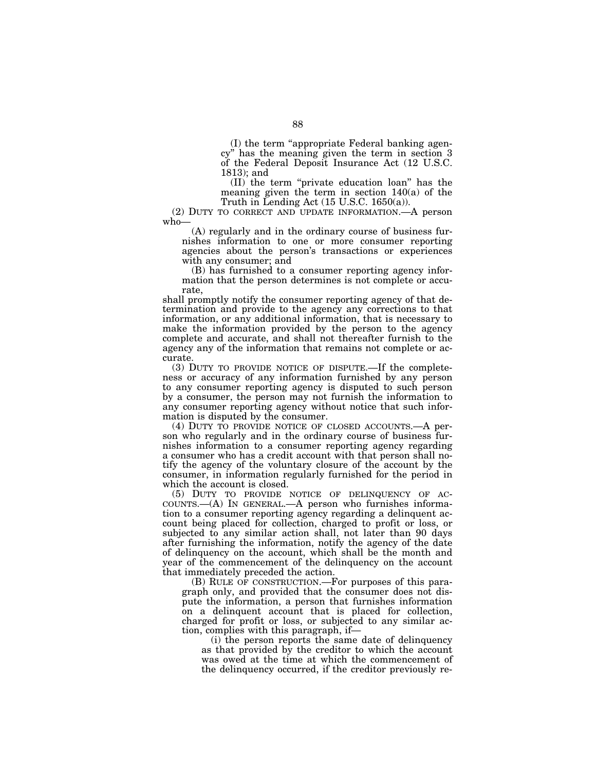(I) the term ''appropriate Federal banking agency'' has the meaning given the term in section 3 of the Federal Deposit Insurance Act (12 U.S.C. 1813); and

(II) the term ''private education loan'' has the meaning given the term in section 140(a) of the Truth in Lending Act  $(15 \text{ U.S.C. } 1650(a))$ .

(2) DUTY TO CORRECT AND UPDATE INFORMATION.—A person who—

(A) regularly and in the ordinary course of business furnishes information to one or more consumer reporting agencies about the person's transactions or experiences with any consumer; and

(B) has furnished to a consumer reporting agency information that the person determines is not complete or accurate,

shall promptly notify the consumer reporting agency of that determination and provide to the agency any corrections to that information, or any additional information, that is necessary to make the information provided by the person to the agency complete and accurate, and shall not thereafter furnish to the agency any of the information that remains not complete or accurate.

(3) DUTY TO PROVIDE NOTICE OF DISPUTE.—If the completeness or accuracy of any information furnished by any person to any consumer reporting agency is disputed to such person by a consumer, the person may not furnish the information to any consumer reporting agency without notice that such information is disputed by the consumer.

(4) DUTY TO PROVIDE NOTICE OF CLOSED ACCOUNTS.—A person who regularly and in the ordinary course of business furnishes information to a consumer reporting agency regarding a consumer who has a credit account with that person shall notify the agency of the voluntary closure of the account by the consumer, in information regularly furnished for the period in which the account is closed.<br>
(5) DUTY TO PROVIDE NOTICE OF DELINQUENCY OF AC-

 $\text{COUNTS.}(\mathcal{A})$  In GENERAL.—A person who furnishes information to a consumer reporting agency regarding a delinquent account being placed for collection, charged to profit or loss, or subjected to any similar action shall, not later than 90 days after furnishing the information, notify the agency of the date of delinquency on the account, which shall be the month and year of the commencement of the delinquency on the account that immediately preceded the action.

(B) RULE OF CONSTRUCTION.—For purposes of this paragraph only, and provided that the consumer does not dispute the information, a person that furnishes information on a delinquent account that is placed for collection, charged for profit or loss, or subjected to any similar action, complies with this paragraph, if—

(i) the person reports the same date of delinquency as that provided by the creditor to which the account was owed at the time at which the commencement of the delinquency occurred, if the creditor previously re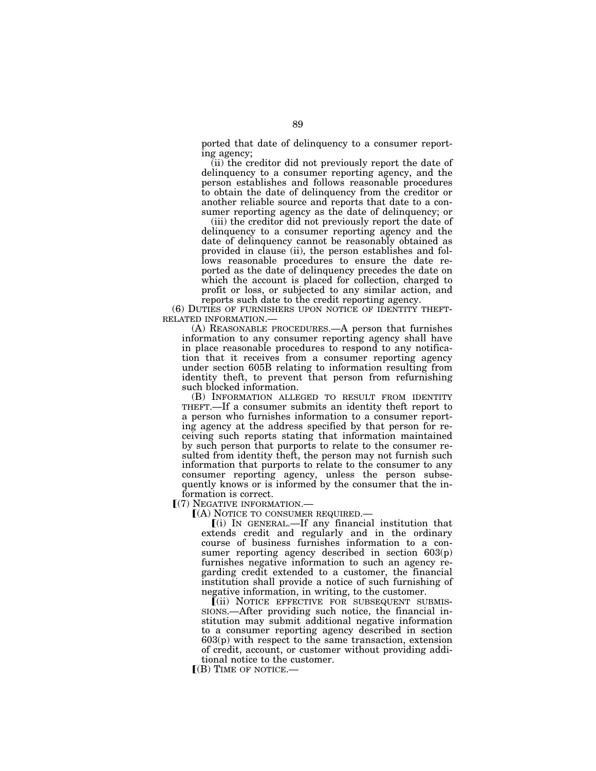ported that date of delinquency to a consumer reporting agency;

(ii) the creditor did not previously report the date of delinquency to a consumer reporting agency, and the person establishes and follows reasonable procedures to obtain the date of delinquency from the creditor or another reliable source and reports that date to a consumer reporting agency as the date of delinquency; or

(iii) the creditor did not previously report the date of delinquency to a consumer reporting agency and the date of delinquency cannot be reasonably obtained as provided in clause (ii), the person establishes and follows reasonable procedures to ensure the date reported as the date of delinquency precedes the date on which the account is placed for collection, charged to profit or loss, or subjected to any similar action, and reports such date to the credit reporting agency.

(6) DUTIES OF FURNISHERS UPON NOTICE OF IDENTITY THEFT-RELATED INFORMATION.—

(A) REASONABLE PROCEDURES.—A person that furnishes information to any consumer reporting agency shall have in place reasonable procedures to respond to any notification that it receives from a consumer reporting agency under section 605B relating to information resulting from identity theft, to prevent that person from refurnishing such blocked information.

(B) INFORMATION ALLEGED TO RESULT FROM IDENTITY THEFT.—If a consumer submits an identity theft report to a person who furnishes information to a consumer reporting agency at the address specified by that person for receiving such reports stating that information maintained by such person that purports to relate to the consumer resulted from identity theft, the person may not furnish such information that purports to relate to the consumer to any consumer reporting agency, unless the person subsequently knows or is informed by the consumer that the in-

formation is correct.<br>
[(7) NEGATIVE INFORMATION.

 $[(A)$  NOTICE TO CONSUMER REQUIRED.—<br> $[(i)$  IN GENERAL.—If any financial institution that extends credit and regularly and in the ordinary course of business furnishes information to a consumer reporting agency described in section 603(p) furnishes negative information to such an agency regarding credit extended to a customer, the financial institution shall provide a notice of such furnishing of negative information, in writing, to the customer.

ø(ii) NOTICE EFFECTIVE FOR SUBSEQUENT SUBMIS-SIONS.—After providing such notice, the financial institution may submit additional negative information to a consumer reporting agency described in section  $603(p)$  with respect to the same transaction, extension of credit, account, or customer without providing additional notice to the customer.

 $[(B)$  TIME OF NOTICE.—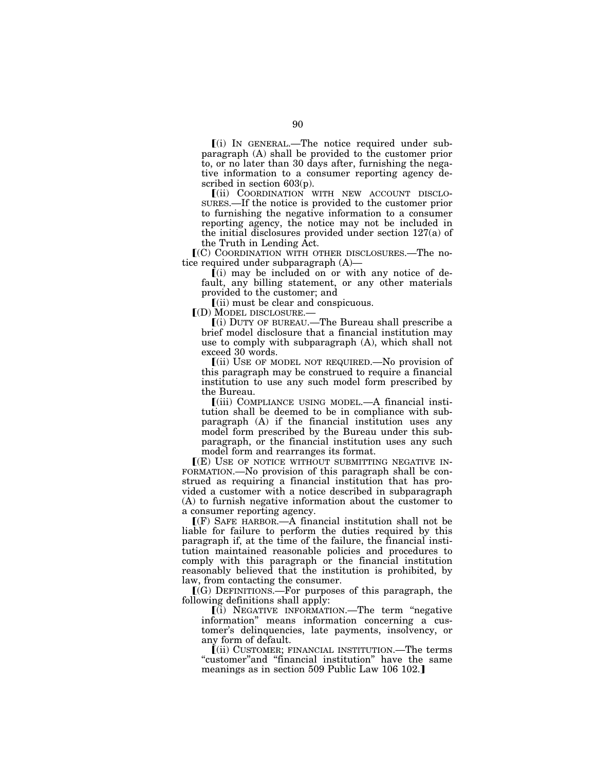$(i)$  IN GENERAL.—The notice required under subparagraph (A) shall be provided to the customer prior to, or no later than 30 days after, furnishing the negative information to a consumer reporting agency described in section 603(p).

ø(ii) COORDINATION WITH NEW ACCOUNT DISCLO-SURES.—If the notice is provided to the customer prior to furnishing the negative information to a consumer reporting agency, the notice may not be included in the initial disclosures provided under section 127(a) of the Truth in Lending Act.

ø(C) COORDINATION WITH OTHER DISCLOSURES.—The notice required under subparagraph (A)—

 $(i)$  may be included on or with any notice of default, any billing statement, or any other materials provided to the customer; and

 $\lceil$ (ii) must be clear and conspicuous.

ø(D) MODEL DISCLOSURE.—

 $(i)$  DUTY OF BUREAU.—The Bureau shall prescribe a brief model disclosure that a financial institution may use to comply with subparagraph (A), which shall not exceed 30 words.

 $(iii)$  USE OF MODEL NOT REQUIRED.—No provision of this paragraph may be construed to require a financial institution to use any such model form prescribed by the Bureau.

ø(iii) COMPLIANCE USING MODEL.—A financial institution shall be deemed to be in compliance with subparagraph (A) if the financial institution uses any model form prescribed by the Bureau under this subparagraph, or the financial institution uses any such model form and rearranges its format.

 $(E)$  USE OF NOTICE WITHOUT SUBMITTING NEGATIVE IN-FORMATION.—No provision of this paragraph shall be construed as requiring a financial institution that has provided a customer with a notice described in subparagraph (A) to furnish negative information about the customer to a consumer reporting agency.

 $\Gamma(F)$  SAFE HARBOR.—A financial institution shall not be liable for failure to perform the duties required by this paragraph if, at the time of the failure, the financial institution maintained reasonable policies and procedures to comply with this paragraph or the financial institution reasonably believed that the institution is prohibited, by law, from contacting the consumer.

 $(G)$  DEFINITIONS.—For purposes of this paragraph, the following definitions shall apply:

ø(i) NEGATIVE INFORMATION.—The term ''negative information'' means information concerning a customer's delinquencies, late payments, insolvency, or any form of default.

 $\dot{f}$ (ii) CUSTOMER; FINANCIAL INSTITUTION.—The terms ''customer''and ''financial institution'' have the same meanings as in section 509 Public Law 106 102.]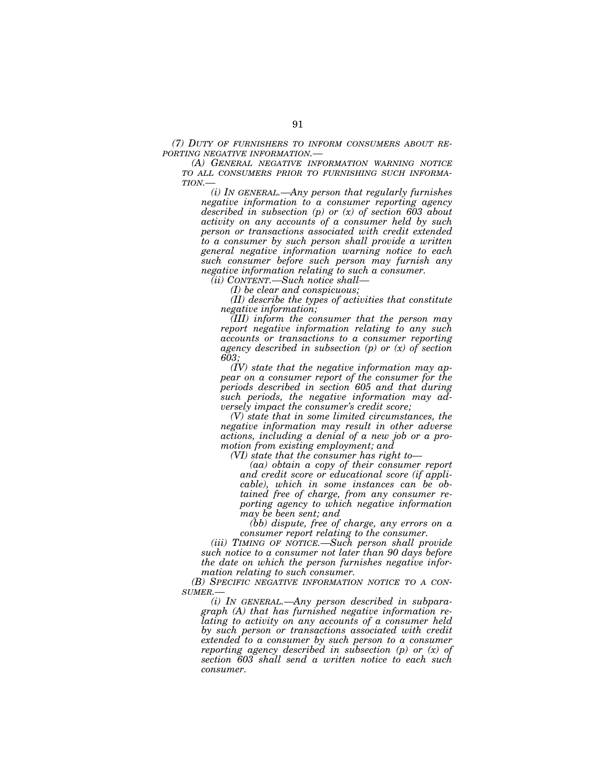*(7) DUTY OF FURNISHERS TO INFORM CONSUMERS ABOUT RE- PORTING NEGATIVE INFORMATION.— (A) GENERAL NEGATIVE INFORMATION WARNING NOTICE*

*TO ALL CONSUMERS PRIOR TO FURNISHING SUCH INFORMA- TION.—* 

*(i) IN GENERAL.—Any person that regularly furnishes negative information to a consumer reporting agency described in subsection (p) or (x) of section 603 about activity on any accounts of a consumer held by such person or transactions associated with credit extended to a consumer by such person shall provide a written general negative information warning notice to each such consumer before such person may furnish any negative information relating to such a consumer.* 

*(ii) CONTENT.—Such notice shall—* 

*(I) be clear and conspicuous;* 

*(II) describe the types of activities that constitute negative information;* 

*(III) inform the consumer that the person may report negative information relating to any such accounts or transactions to a consumer reporting agency described in subsection (p) or (x) of section 603;* 

*(IV) state that the negative information may appear on a consumer report of the consumer for the periods described in section 605 and that during such periods, the negative information may adversely impact the consumer's credit score;* 

*(V) state that in some limited circumstances, the negative information may result in other adverse actions, including a denial of a new job or a promotion from existing employment; and* 

*(VI) state that the consumer has right to—* 

*(aa) obtain a copy of their consumer report and credit score or educational score (if applicable), which in some instances can be obtained free of charge, from any consumer reporting agency to which negative information may be been sent; and* 

*(bb) dispute, free of charge, any errors on a consumer report relating to the consumer.* 

*(iii) TIMING OF NOTICE.—Such person shall provide such notice to a consumer not later than 90 days before the date on which the person furnishes negative information relating to such consumer.* 

*(B) SPECIFIC NEGATIVE INFORMATION NOTICE TO A CON-SUMER.—* 

*(i) IN GENERAL.—Any person described in subparagraph (A) that has furnished negative information relating to activity on any accounts of a consumer held by such person or transactions associated with credit extended to a consumer by such person to a consumer reporting agency described in subsection (p) or (x) of section 603 shall send a written notice to each such consumer.*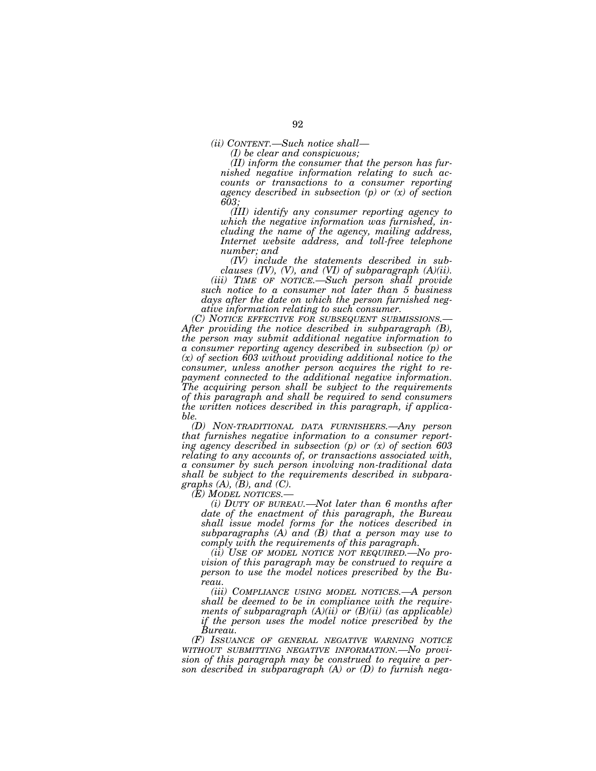*(ii) CONTENT.—Such notice shall—* 

*(I) be clear and conspicuous;* 

*(II) inform the consumer that the person has furnished negative information relating to such accounts or transactions to a consumer reporting agency described in subsection (p) or (x) of section 603;* 

*(III) identify any consumer reporting agency to which the negative information was furnished, including the name of the agency, mailing address, Internet website address, and toll-free telephone number; and* 

*(IV) include the statements described in subclauses (IV), (V), and (VI) of subparagraph (A)(ii).* 

*(iii) TIME OF NOTICE.—Such person shall provide such notice to a consumer not later than 5 business days after the date on which the person furnished negative information relating to such consumer.* 

*(C) NOTICE EFFECTIVE FOR SUBSEQUENT SUBMISSIONS.— After providing the notice described in subparagraph (B), the person may submit additional negative information to a consumer reporting agency described in subsection (p) or (x) of section 603 without providing additional notice to the consumer, unless another person acquires the right to repayment connected to the additional negative information. The acquiring person shall be subject to the requirements of this paragraph and shall be required to send consumers the written notices described in this paragraph, if applicable.* 

*(D) NON-TRADITIONAL DATA FURNISHERS.—Any person that furnishes negative information to a consumer reporting agency described in subsection (p) or (x) of section 603 relating to any accounts of, or transactions associated with, a consumer by such person involving non-traditional data shall be subject to the requirements described in subparagraphs (A), (B), and (C).* 

*(E) MODEL NOTICES.— (i) DUTY OF BUREAU.—Not later than 6 months after date of the enactment of this paragraph, the Bureau shall issue model forms for the notices described in subparagraphs (A) and (B) that a person may use to comply with the requirements of this paragraph.* 

*(ii) USE OF MODEL NOTICE NOT REQUIRED.—No provision of this paragraph may be construed to require a person to use the model notices prescribed by the Bureau.* 

*(iii) COMPLIANCE USING MODEL NOTICES.—A person shall be deemed to be in compliance with the requirements of subparagraph (A)(ii) or (B)(ii) (as applicable) if the person uses the model notice prescribed by the Bureau.* 

*(F) ISSUANCE OF GENERAL NEGATIVE WARNING NOTICE WITHOUT SUBMITTING NEGATIVE INFORMATION.—No provision of this paragraph may be construed to require a person described in subparagraph (A) or (D) to furnish nega-*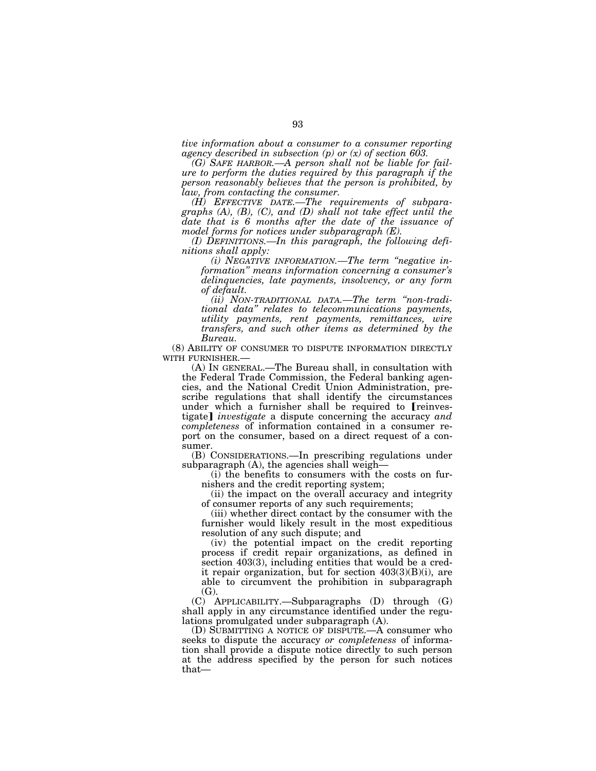*tive information about a consumer to a consumer reporting agency described in subsection (p) or (x) of section 603.* 

*(G) SAFE HARBOR.—A person shall not be liable for failure to perform the duties required by this paragraph if the person reasonably believes that the person is prohibited, by law, from contacting the consumer.* 

*(H) EFFECTIVE DATE.—The requirements of subparagraphs (A), (B), (C), and (D) shall not take effect until the*  date that is 6 months after the date of the issuance of *model forms for notices under subparagraph (E).* 

*(I) DEFINITIONS.—In this paragraph, the following definitions shall apply:* 

*(i) NEGATIVE INFORMATION.—The term ''negative information'' means information concerning a consumer's delinquencies, late payments, insolvency, or any form of default.* 

*(ii) NON-TRADITIONAL DATA.—The term ''non-traditional data'' relates to telecommunications payments, utility payments, rent payments, remittances, wire transfers, and such other items as determined by the Bureau.* 

(8) ABILITY OF CONSUMER TO DISPUTE INFORMATION DIRECTLY

 $(A)$  In GENERAL.—The Bureau shall, in consultation with the Federal Trade Commission, the Federal banking agencies, and the National Credit Union Administration, prescribe regulations that shall identify the circumstances under which a furnisher shall be required to [reinvestigate] *investigate* a dispute concerning the accuracy and *completeness* of information contained in a consumer report on the consumer, based on a direct request of a consumer.

(B) CONSIDERATIONS.—In prescribing regulations under subparagraph  $(A)$ , the agencies shall weigh-

(i) the benefits to consumers with the costs on furnishers and the credit reporting system;

(ii) the impact on the overall accuracy and integrity of consumer reports of any such requirements;

(iii) whether direct contact by the consumer with the furnisher would likely result in the most expeditious resolution of any such dispute; and

(iv) the potential impact on the credit reporting process if credit repair organizations, as defined in section 403(3), including entities that would be a credit repair organization, but for section 403(3)(B)(i), are able to circumvent the prohibition in subparagraph (G).

(C) APPLICABILITY.—Subparagraphs (D) through (G) shall apply in any circumstance identified under the regulations promulgated under subparagraph (A).

(D) SUBMITTING A NOTICE OF DISPUTE.—A consumer who seeks to dispute the accuracy *or completeness* of information shall provide a dispute notice directly to such person at the address specified by the person for such notices that—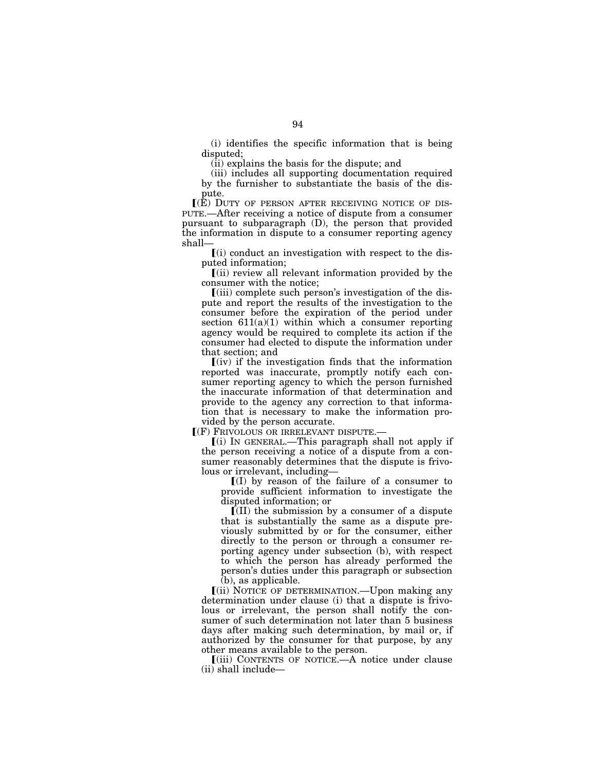(i) identifies the specific information that is being disputed;

(ii) explains the basis for the dispute; and

(iii) includes all supporting documentation required by the furnisher to substantiate the basis of the dispute.

 $[(\hat{E})$  DUTY OF PERSON AFTER RECEIVING NOTICE OF DIS-PUTE.—After receiving a notice of dispute from a consumer pursuant to subparagraph (D), the person that provided the information in dispute to a consumer reporting agency shall—

 $(i)$  conduct an investigation with respect to the disputed information;

 $\left[$ (ii) review all relevant information provided by the consumer with the notice;

 $\lceil$ (iii) complete such person's investigation of the dispute and report the results of the investigation to the consumer before the expiration of the period under section  $611(a)(1)$  within which a consumer reporting agency would be required to complete its action if the consumer had elected to dispute the information under that section; and

 $\left[$ (iv) if the investigation finds that the information reported was inaccurate, promptly notify each consumer reporting agency to which the person furnished the inaccurate information of that determination and provide to the agency any correction to that information that is necessary to make the information provided by the person accurate.

 $(F)$  Frivolous or irrelevant dispute.

 $(i)$  IN GENERAL.—This paragraph shall not apply if the person receiving a notice of a dispute from a consumer reasonably determines that the dispute is frivolous or irrelevant, including—

 $[(I)$  by reason of the failure of a consumer to provide sufficient information to investigate the disputed information; or

 $\left[ \text{[II]}\right]$  the submission by a consumer of a dispute that is substantially the same as a dispute previously submitted by or for the consumer, either directly to the person or through a consumer reporting agency under subsection (b), with respect to which the person has already performed the person's duties under this paragraph or subsection (b), as applicable.

ø(ii) NOTICE OF DETERMINATION.—Upon making any determination under clause (i) that a dispute is frivolous or irrelevant, the person shall notify the consumer of such determination not later than 5 business days after making such determination, by mail or, if authorized by the consumer for that purpose, by any other means available to the person.

ø(iii) CONTENTS OF NOTICE.—A notice under clause (ii) shall include—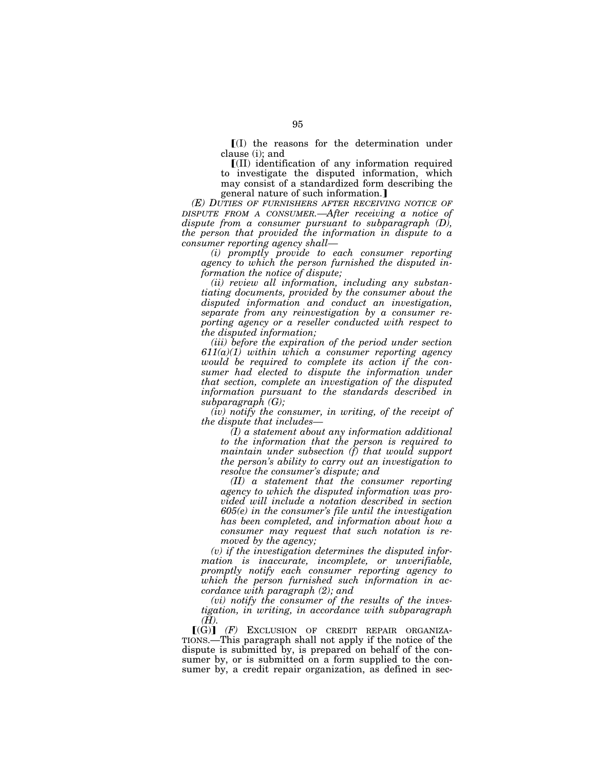$\P$ (I) the reasons for the determination under clause (i); and

ø(II) identification of any information required to investigate the disputed information, which may consist of a standardized form describing the general nature of such information.]

*(E) DUTIES OF FURNISHERS AFTER RECEIVING NOTICE OF DISPUTE FROM A CONSUMER.—After receiving a notice of dispute from a consumer pursuant to subparagraph (D), the person that provided the information in dispute to a consumer reporting agency shall—* 

*(i) promptly provide to each consumer reporting agency to which the person furnished the disputed information the notice of dispute;* 

*(ii) review all information, including any substantiating documents, provided by the consumer about the disputed information and conduct an investigation, separate from any reinvestigation by a consumer reporting agency or a reseller conducted with respect to the disputed information;* 

*(iii) before the expiration of the period under section 611(a)(1) within which a consumer reporting agency would be required to complete its action if the consumer had elected to dispute the information under that section, complete an investigation of the disputed information pursuant to the standards described in subparagraph (G);* 

*(iv) notify the consumer, in writing, of the receipt of the dispute that includes—* 

*(I) a statement about any information additional to the information that the person is required to maintain under subsection (f) that would support the person's ability to carry out an investigation to resolve the consumer's dispute; and* 

*(II) a statement that the consumer reporting agency to which the disputed information was provided will include a notation described in section 605(e) in the consumer's file until the investigation has been completed, and information about how a consumer may request that such notation is removed by the agency;* 

*(v) if the investigation determines the disputed information is inaccurate, incomplete, or unverifiable, promptly notify each consumer reporting agency to which the person furnished such information in accordance with paragraph (2); and* 

*(vi) notify the consumer of the results of the investigation, in writing, in accordance with subparagraph (H).* 

 $[(G)]$   $(F)$  EXCLUSION OF CREDIT REPAIR ORGANIZA-TIONS.—This paragraph shall not apply if the notice of the dispute is submitted by, is prepared on behalf of the consumer by, or is submitted on a form supplied to the consumer by, a credit repair organization, as defined in sec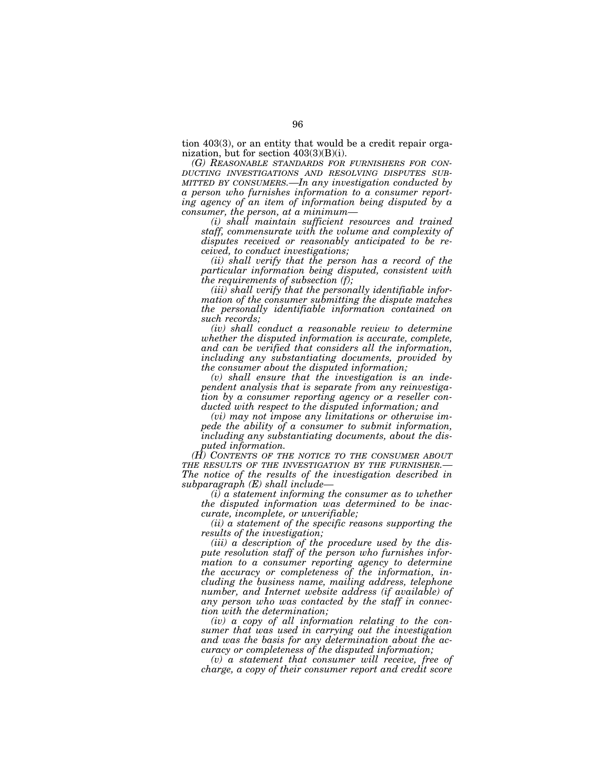tion 403(3), or an entity that would be a credit repair organization, but for section  $403(3)(B)(i)$ .

*(G) REASONABLE STANDARDS FOR FURNISHERS FOR CON- DUCTING INVESTIGATIONS AND RESOLVING DISPUTES SUB- MITTED BY CONSUMERS.—In any investigation conducted by a person who furnishes information to a consumer reporting agency of an item of information being disputed by a consumer, the person, at a minimum—* 

*(i) shall maintain sufficient resources and trained staff, commensurate with the volume and complexity of disputes received or reasonably anticipated to be received, to conduct investigations;* 

*(ii) shall verify that the person has a record of the particular information being disputed, consistent with the requirements of subsection (f);* 

*(iii) shall verify that the personally identifiable information of the consumer submitting the dispute matches the personally identifiable information contained on such records;* 

*(iv) shall conduct a reasonable review to determine whether the disputed information is accurate, complete, and can be verified that considers all the information, including any substantiating documents, provided by the consumer about the disputed information;* 

*(v) shall ensure that the investigation is an independent analysis that is separate from any reinvestigation by a consumer reporting agency or a reseller conducted with respect to the disputed information; and* 

*(vi) may not impose any limitations or otherwise impede the ability of a consumer to submit information, including any substantiating documents, about the disputed information.* 

*(H) CONTENTS OF THE NOTICE TO THE CONSUMER ABOUT THE RESULTS OF THE INVESTIGATION BY THE FURNISHER.— The notice of the results of the investigation described in subparagraph (E) shall include—* 

*(i) a statement informing the consumer as to whether the disputed information was determined to be inaccurate, incomplete, or unverifiable;* 

*(ii) a statement of the specific reasons supporting the results of the investigation;* 

*(iii) a description of the procedure used by the dispute resolution staff of the person who furnishes information to a consumer reporting agency to determine the accuracy or completeness of the information, including the business name, mailing address, telephone number, and Internet website address (if available) of any person who was contacted by the staff in connection with the determination;* 

*(iv) a copy of all information relating to the consumer that was used in carrying out the investigation and was the basis for any determination about the accuracy or completeness of the disputed information;* 

*(v) a statement that consumer will receive, free of charge, a copy of their consumer report and credit score*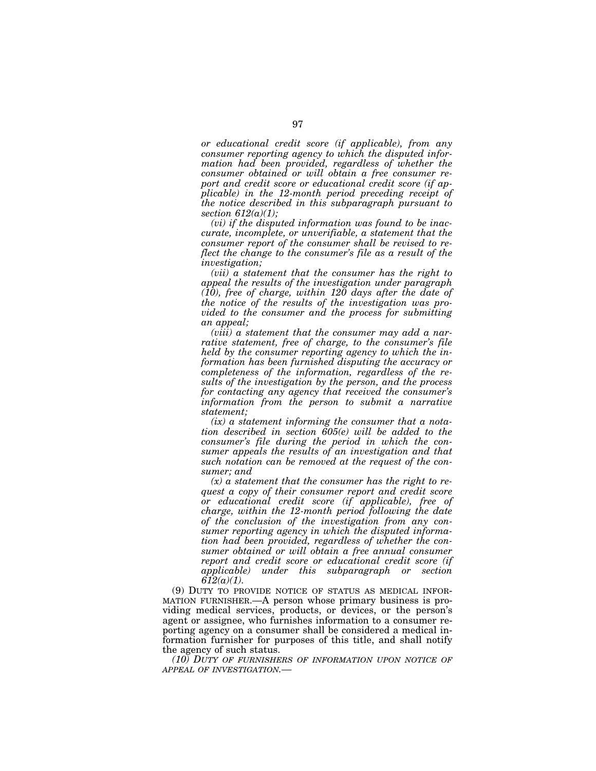*or educational credit score (if applicable), from any consumer reporting agency to which the disputed information had been provided, regardless of whether the consumer obtained or will obtain a free consumer report and credit score or educational credit score (if applicable) in the 12-month period preceding receipt of the notice described in this subparagraph pursuant to section 612(a)(1);* 

*(vi) if the disputed information was found to be inaccurate, incomplete, or unverifiable, a statement that the consumer report of the consumer shall be revised to reflect the change to the consumer's file as a result of the investigation;* 

*(vii) a statement that the consumer has the right to appeal the results of the investigation under paragraph (10), free of charge, within 120 days after the date of the notice of the results of the investigation was provided to the consumer and the process for submitting an appeal;* 

*(viii) a statement that the consumer may add a narrative statement, free of charge, to the consumer's file held by the consumer reporting agency to which the information has been furnished disputing the accuracy or completeness of the information, regardless of the results of the investigation by the person, and the process for contacting any agency that received the consumer's information from the person to submit a narrative statement;* 

*(ix) a statement informing the consumer that a notation described in section 605(e) will be added to the consumer's file during the period in which the consumer appeals the results of an investigation and that such notation can be removed at the request of the consumer; and* 

*(x) a statement that the consumer has the right to request a copy of their consumer report and credit score or educational credit score (if applicable), free of charge, within the 12-month period following the date of the conclusion of the investigation from any consumer reporting agency in which the disputed information had been provided, regardless of whether the consumer obtained or will obtain a free annual consumer report and credit score or educational credit score (if applicable) under this subparagraph or section 612(a)(1).* 

(9) DUTY TO PROVIDE NOTICE OF STATUS AS MEDICAL INFOR-MATION FURNISHER.—A person whose primary business is providing medical services, products, or devices, or the person's agent or assignee, who furnishes information to a consumer reporting agency on a consumer shall be considered a medical information furnisher for purposes of this title, and shall notify the agency of such status.

*(10) DUTY OF FURNISHERS OF INFORMATION UPON NOTICE OF APPEAL OF INVESTIGATION.—*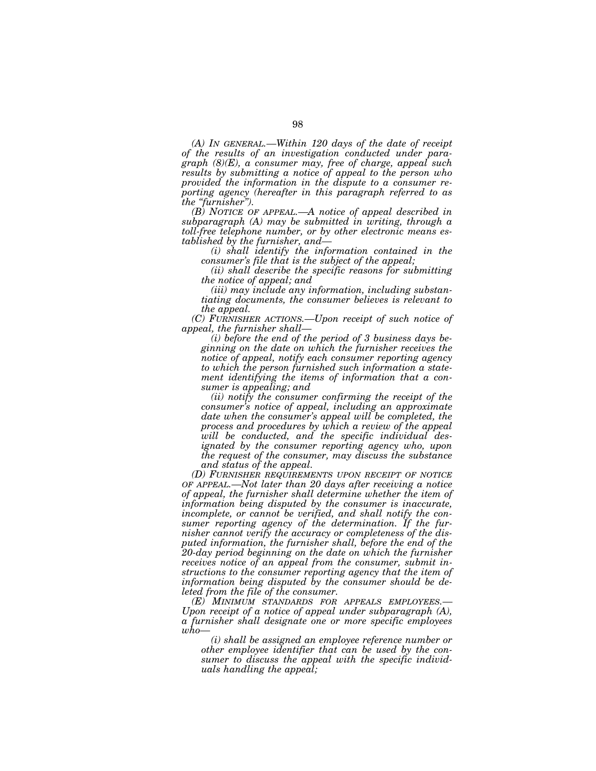*(A) IN GENERAL.—Within 120 days of the date of receipt of the results of an investigation conducted under paragraph (8)(E), a consumer may, free of charge, appeal such results by submitting a notice of appeal to the person who provided the information in the dispute to a consumer reporting agency (hereafter in this paragraph referred to as the ''furnisher'').* 

*(B) NOTICE OF APPEAL.—A notice of appeal described in subparagraph (A) may be submitted in writing, through a toll-free telephone number, or by other electronic means established by the furnisher, and—* 

*(i) shall identify the information contained in the consumer's file that is the subject of the appeal;* 

*(ii) shall describe the specific reasons for submitting the notice of appeal; and* 

*(iii) may include any information, including substantiating documents, the consumer believes is relevant to the appeal.* 

*(C) FURNISHER ACTIONS.—Upon receipt of such notice of appeal, the furnisher shall—* 

*(i) before the end of the period of 3 business days beginning on the date on which the furnisher receives the notice of appeal, notify each consumer reporting agency to which the person furnished such information a statement identifying the items of information that a consumer is appealing; and* 

*(ii) notify the consumer confirming the receipt of the consumer's notice of appeal, including an approximate date when the consumer's appeal will be completed, the process and procedures by which a review of the appeal will be conducted, and the specific individual designated by the consumer reporting agency who, upon the request of the consumer, may discuss the substance and status of the appeal.* 

*(D) FURNISHER REQUIREMENTS UPON RECEIPT OF NOTICE OF APPEAL.—Not later than 20 days after receiving a notice of appeal, the furnisher shall determine whether the item of information being disputed by the consumer is inaccurate, incomplete, or cannot be verified, and shall notify the consumer reporting agency of the determination. If the furnisher cannot verify the accuracy or completeness of the disputed information, the furnisher shall, before the end of the 20-day period beginning on the date on which the furnisher receives notice of an appeal from the consumer, submit instructions to the consumer reporting agency that the item of information being disputed by the consumer should be deleted from the file of the consumer.* 

*(E) MINIMUM STANDARDS FOR APPEALS EMPLOYEES.— Upon receipt of a notice of appeal under subparagraph (A), a furnisher shall designate one or more specific employees who—* 

*(i) shall be assigned an employee reference number or other employee identifier that can be used by the consumer to discuss the appeal with the specific individuals handling the appeal;*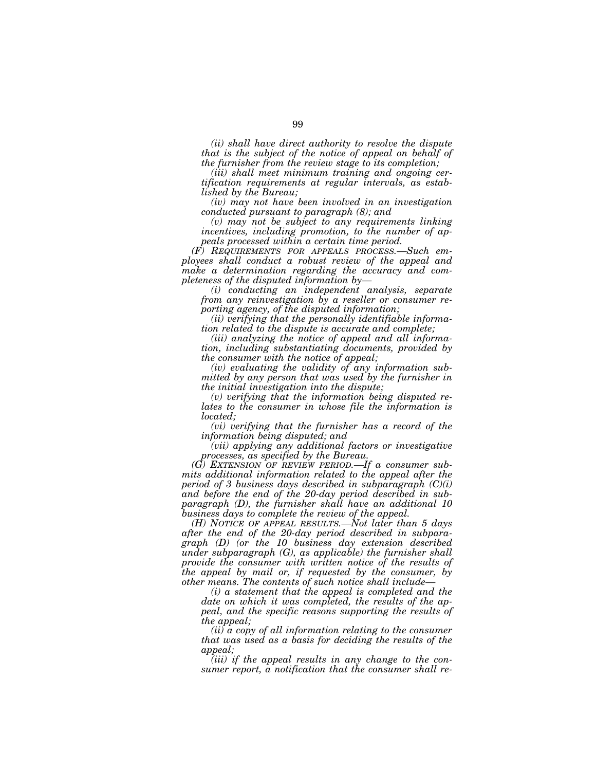*(ii) shall have direct authority to resolve the dispute that is the subject of the notice of appeal on behalf of the furnisher from the review stage to its completion;* 

*(iii) shall meet minimum training and ongoing certification requirements at regular intervals, as established by the Bureau;* 

*(iv) may not have been involved in an investigation conducted pursuant to paragraph (8); and* 

*(v) may not be subject to any requirements linking incentives, including promotion, to the number of appeals processed within a certain time period.* 

*(F) REQUIREMENTS FOR APPEALS PROCESS.—Such employees shall conduct a robust review of the appeal and make a determination regarding the accuracy and completeness of the disputed information by—* 

*(i) conducting an independent analysis, separate from any reinvestigation by a reseller or consumer reporting agency, of the disputed information;* 

*(ii) verifying that the personally identifiable information related to the dispute is accurate and complete;* 

*(iii) analyzing the notice of appeal and all information, including substantiating documents, provided by the consumer with the notice of appeal;* 

*(iv) evaluating the validity of any information submitted by any person that was used by the furnisher in the initial investigation into the dispute;* 

*(v) verifying that the information being disputed relates to the consumer in whose file the information is located;* 

*(vi) verifying that the furnisher has a record of the information being disputed; and* 

*(vii) applying any additional factors or investigative processes, as specified by the Bureau.* 

*(G) EXTENSION OF REVIEW PERIOD.—If a consumer submits additional information related to the appeal after the period of 3 business days described in subparagraph (C)(i) and before the end of the 20-day period described in subparagraph (D), the furnisher shall have an additional 10 business days to complete the review of the appeal.* 

*(H) NOTICE OF APPEAL RESULTS.—Not later than 5 days after the end of the 20-day period described in subparagraph (D) (or the 10 business day extension described under subparagraph (G), as applicable) the furnisher shall provide the consumer with written notice of the results of the appeal by mail or, if requested by the consumer, by other means. The contents of such notice shall include—* 

*(i) a statement that the appeal is completed and the date on which it was completed, the results of the appeal, and the specific reasons supporting the results of the appeal;* 

*(ii) a copy of all information relating to the consumer that was used as a basis for deciding the results of the appeal;* 

*(iii) if the appeal results in any change to the consumer report, a notification that the consumer shall re-*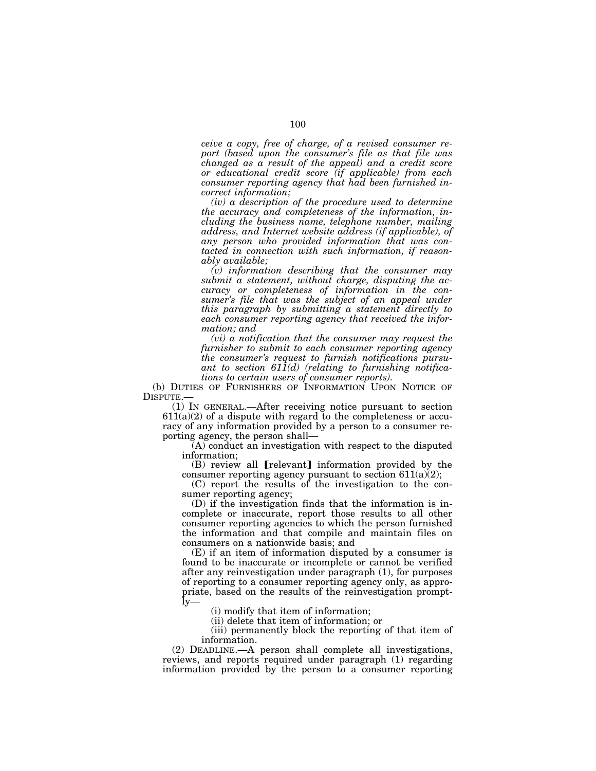*ceive a copy, free of charge, of a revised consumer report (based upon the consumer's file as that file was changed as a result of the appeal) and a credit score or educational credit score (if applicable) from each consumer reporting agency that had been furnished incorrect information;* 

*(iv) a description of the procedure used to determine the accuracy and completeness of the information, including the business name, telephone number, mailing address, and Internet website address (if applicable), of any person who provided information that was contacted in connection with such information, if reasonably available;* 

*(v) information describing that the consumer may submit a statement, without charge, disputing the accuracy or completeness of information in the consumer's file that was the subject of an appeal under this paragraph by submitting a statement directly to each consumer reporting agency that received the information; and* 

*(vi) a notification that the consumer may request the furnisher to submit to each consumer reporting agency the consumer's request to furnish notifications pursu*ant to section  $61\bar{1}$ (*d*) (relating to furnishing notifica*tions to certain users of consumer reports).* 

(b) DUTIES OF FURNISHERS OF INFORMATION UPON NOTICE OF DISPUTE.—

(1) IN GENERAL.—After receiving notice pursuant to section  $611(a)(2)$  of a dispute with regard to the completeness or accuracy of any information provided by a person to a consumer reporting agency, the person shall—

(A) conduct an investigation with respect to the disputed information;

 $(B)$  review all **[**relevant**]** information provided by the consumer reporting agency pursuant to section  $611(a)(2)$ ;

(C) report the results of the investigation to the consumer reporting agency;

(D) if the investigation finds that the information is incomplete or inaccurate, report those results to all other consumer reporting agencies to which the person furnished the information and that compile and maintain files on consumers on a nationwide basis; and

(E) if an item of information disputed by a consumer is found to be inaccurate or incomplete or cannot be verified after any reinvestigation under paragraph (1), for purposes of reporting to a consumer reporting agency only, as appropriate, based on the results of the reinvestigation prompt- $\bar{1}$ y—

(i) modify that item of information;

(ii) delete that item of information; or

(iii) permanently block the reporting of that item of information.

(2) DEADLINE.—A person shall complete all investigations, reviews, and reports required under paragraph (1) regarding information provided by the person to a consumer reporting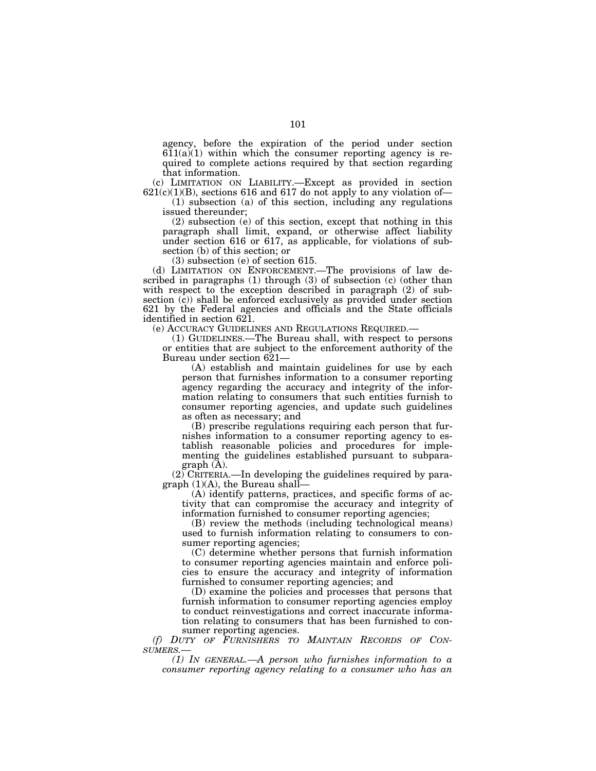agency, before the expiration of the period under section  $611(a)(1)$  within which the consumer reporting agency is required to complete actions required by that section regarding that information.

(c) LIMITATION ON LIABILITY.—Except as provided in section  $621(c)(1)(B)$ , sections 616 and 617 do not apply to any violation of-

(1) subsection (a) of this section, including any regulations issued thereunder;

(2) subsection (e) of this section, except that nothing in this paragraph shall limit, expand, or otherwise affect liability under section 616 or 617, as applicable, for violations of subsection (b) of this section; or

(3) subsection (e) of section 615.

(d) LIMITATION ON ENFORCEMENT.—The provisions of law described in paragraphs (1) through (3) of subsection (c) (other than with respect to the exception described in paragraph (2) of subsection  $(c)$ ) shall be enforced exclusively as provided under section 621 by the Federal agencies and officials and the State officials identified in section 621.

(e) ACCURACY GUIDELINES AND REGULATIONS REQUIRED.—

(1) GUIDELINES.—The Bureau shall, with respect to persons or entities that are subject to the enforcement authority of the Bureau under section 621—

(A) establish and maintain guidelines for use by each person that furnishes information to a consumer reporting agency regarding the accuracy and integrity of the information relating to consumers that such entities furnish to consumer reporting agencies, and update such guidelines as often as necessary; and

(B) prescribe regulations requiring each person that furnishes information to a consumer reporting agency to establish reasonable policies and procedures for implementing the guidelines established pursuant to subparagraph  $(\mathbf{A})$ .

(2) CRITERIA.—In developing the guidelines required by paragraph (1)(A), the Bureau shall—

(A) identify patterns, practices, and specific forms of activity that can compromise the accuracy and integrity of information furnished to consumer reporting agencies;

(B) review the methods (including technological means) used to furnish information relating to consumers to consumer reporting agencies;

(C) determine whether persons that furnish information to consumer reporting agencies maintain and enforce policies to ensure the accuracy and integrity of information furnished to consumer reporting agencies; and

(D) examine the policies and processes that persons that furnish information to consumer reporting agencies employ to conduct reinvestigations and correct inaccurate information relating to consumers that has been furnished to consumer reporting agencies.

*(f) DUTY OF FURNISHERS TO MAINTAIN RECORDS OF CON- SUMERS.—* 

*(1) IN GENERAL.—A person who furnishes information to a consumer reporting agency relating to a consumer who has an*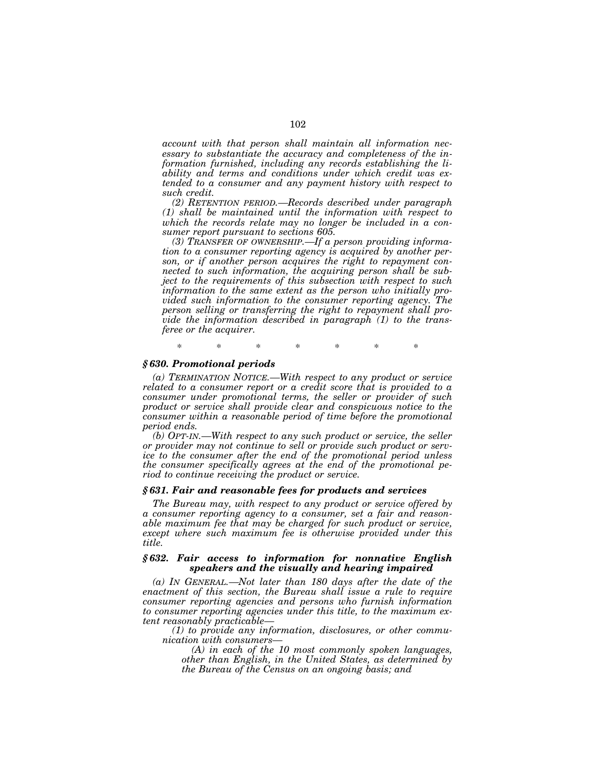*account with that person shall maintain all information necessary to substantiate the accuracy and completeness of the information furnished, including any records establishing the liability and terms and conditions under which credit was extended to a consumer and any payment history with respect to such credit.* 

*(2) RETENTION PERIOD.—Records described under paragraph (1) shall be maintained until the information with respect to which the records relate may no longer be included in a consumer report pursuant to sections 605.* 

*(3) TRANSFER OF OWNERSHIP.—If a person providing information to a consumer reporting agency is acquired by another person, or if another person acquires the right to repayment connected to such information, the acquiring person shall be subject to the requirements of this subsection with respect to such information to the same extent as the person who initially provided such information to the consumer reporting agency. The person selling or transferring the right to repayment shall provide the information described in paragraph (1) to the transferee or the acquirer.* 

\* \* \* \* \* \* \*

### *§ 630. Promotional periods*

*(a) TERMINATION NOTICE.—With respect to any product or service related to a consumer report or a credit score that is provided to a consumer under promotional terms, the seller or provider of such product or service shall provide clear and conspicuous notice to the consumer within a reasonable period of time before the promotional period ends.* 

*(b) OPT-IN.—With respect to any such product or service, the seller or provider may not continue to sell or provide such product or service to the consumer after the end of the promotional period unless the consumer specifically agrees at the end of the promotional period to continue receiving the product or service.* 

#### *§ 631. Fair and reasonable fees for products and services*

*The Bureau may, with respect to any product or service offered by a consumer reporting agency to a consumer, set a fair and reasonable maximum fee that may be charged for such product or service, except where such maximum fee is otherwise provided under this title.* 

## *§ 632. Fair access to information for nonnative English speakers and the visually and hearing impaired*

*(a) IN GENERAL.—Not later than 180 days after the date of the enactment of this section, the Bureau shall issue a rule to require consumer reporting agencies and persons who furnish information to consumer reporting agencies under this title, to the maximum extent reasonably practicable—* 

*(1) to provide any information, disclosures, or other communication with consumers—* 

*(A) in each of the 10 most commonly spoken languages, other than English, in the United States, as determined by the Bureau of the Census on an ongoing basis; and*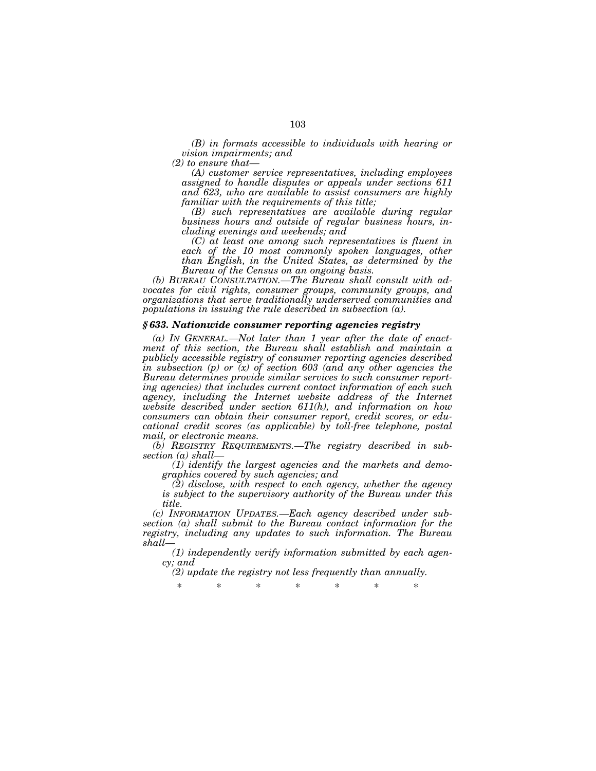*(B) in formats accessible to individuals with hearing or vision impairments; and* 

*(2) to ensure that—* 

*(A) customer service representatives, including employees assigned to handle disputes or appeals under sections 611 and 623, who are available to assist consumers are highly familiar with the requirements of this title;* 

*(B) such representatives are available during regular business hours and outside of regular business hours, including evenings and weekends; and* 

*(C) at least one among such representatives is fluent in each of the 10 most commonly spoken languages, other than English, in the United States, as determined by the Bureau of the Census on an ongoing basis.* 

*(b) BUREAU CONSULTATION.—The Bureau shall consult with advocates for civil rights, consumer groups, community groups, and organizations that serve traditionally underserved communities and populations in issuing the rule described in subsection (a).* 

#### *§ 633. Nationwide consumer reporting agencies registry*

*(a) IN GENERAL.—Not later than 1 year after the date of enactment of this section, the Bureau shall establish and maintain a publicly accessible registry of consumer reporting agencies described in subsection (p) or (x) of section 603 (and any other agencies the Bureau determines provide similar services to such consumer reporting agencies) that includes current contact information of each such agency, including the Internet website address of the Internet website described under section 611(h), and information on how consumers can obtain their consumer report, credit scores, or educational credit scores (as applicable) by toll-free telephone, postal mail, or electronic means.* 

*(b) REGISTRY REQUIREMENTS.—The registry described in subsection (a) shall—* 

*(1) identify the largest agencies and the markets and demographics covered by such agencies; and* 

*(2) disclose, with respect to each agency, whether the agency is subject to the supervisory authority of the Bureau under this title.* 

*(c) INFORMATION UPDATES.—Each agency described under subsection (a) shall submit to the Bureau contact information for the registry, including any updates to such information. The Bureau shall—* 

*(1) independently verify information submitted by each agency; and* 

*(2) update the registry not less frequently than annually.* 

\* \* \* \* \* \* \*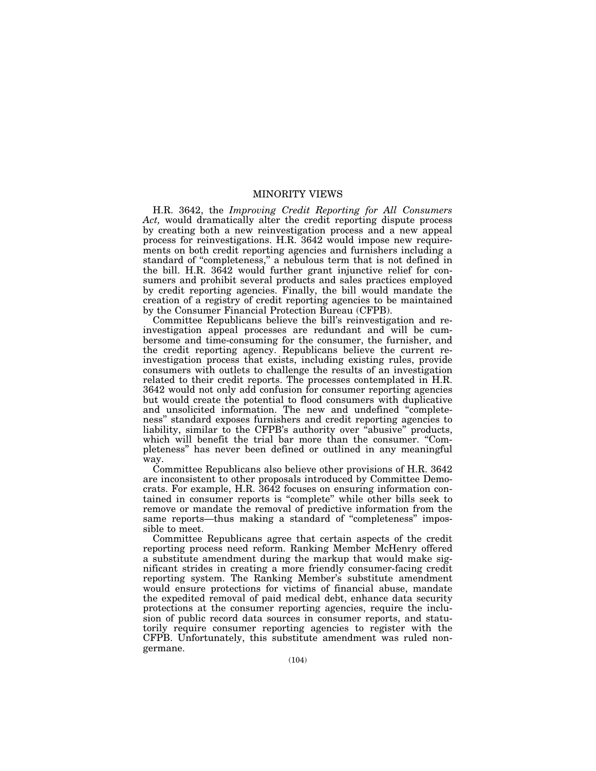## MINORITY VIEWS

H.R. 3642, the *Improving Credit Reporting for All Consumers Act,* would dramatically alter the credit reporting dispute process by creating both a new reinvestigation process and a new appeal process for reinvestigations. H.R. 3642 would impose new requirements on both credit reporting agencies and furnishers including a standard of ''completeness,'' a nebulous term that is not defined in the bill. H.R. 3642 would further grant injunctive relief for consumers and prohibit several products and sales practices employed by credit reporting agencies. Finally, the bill would mandate the creation of a registry of credit reporting agencies to be maintained by the Consumer Financial Protection Bureau (CFPB).

Committee Republicans believe the bill's reinvestigation and reinvestigation appeal processes are redundant and will be cumbersome and time-consuming for the consumer, the furnisher, and the credit reporting agency. Republicans believe the current reinvestigation process that exists, including existing rules, provide consumers with outlets to challenge the results of an investigation related to their credit reports. The processes contemplated in H.R. 3642 would not only add confusion for consumer reporting agencies but would create the potential to flood consumers with duplicative and unsolicited information. The new and undefined ''completeness'' standard exposes furnishers and credit reporting agencies to liability, similar to the CFPB's authority over "abusive" products, which will benefit the trial bar more than the consumer. "Completeness'' has never been defined or outlined in any meaningful way.

Committee Republicans also believe other provisions of H.R. 3642 are inconsistent to other proposals introduced by Committee Democrats. For example, H.R. 3642 focuses on ensuring information contained in consumer reports is ''complete'' while other bills seek to remove or mandate the removal of predictive information from the same reports—thus making a standard of "completeness" impossible to meet.

Committee Republicans agree that certain aspects of the credit reporting process need reform. Ranking Member McHenry offered a substitute amendment during the markup that would make significant strides in creating a more friendly consumer-facing credit reporting system. The Ranking Member's substitute amendment would ensure protections for victims of financial abuse, mandate the expedited removal of paid medical debt, enhance data security protections at the consumer reporting agencies, require the inclusion of public record data sources in consumer reports, and statutorily require consumer reporting agencies to register with the CFPB. Unfortunately, this substitute amendment was ruled nongermane.